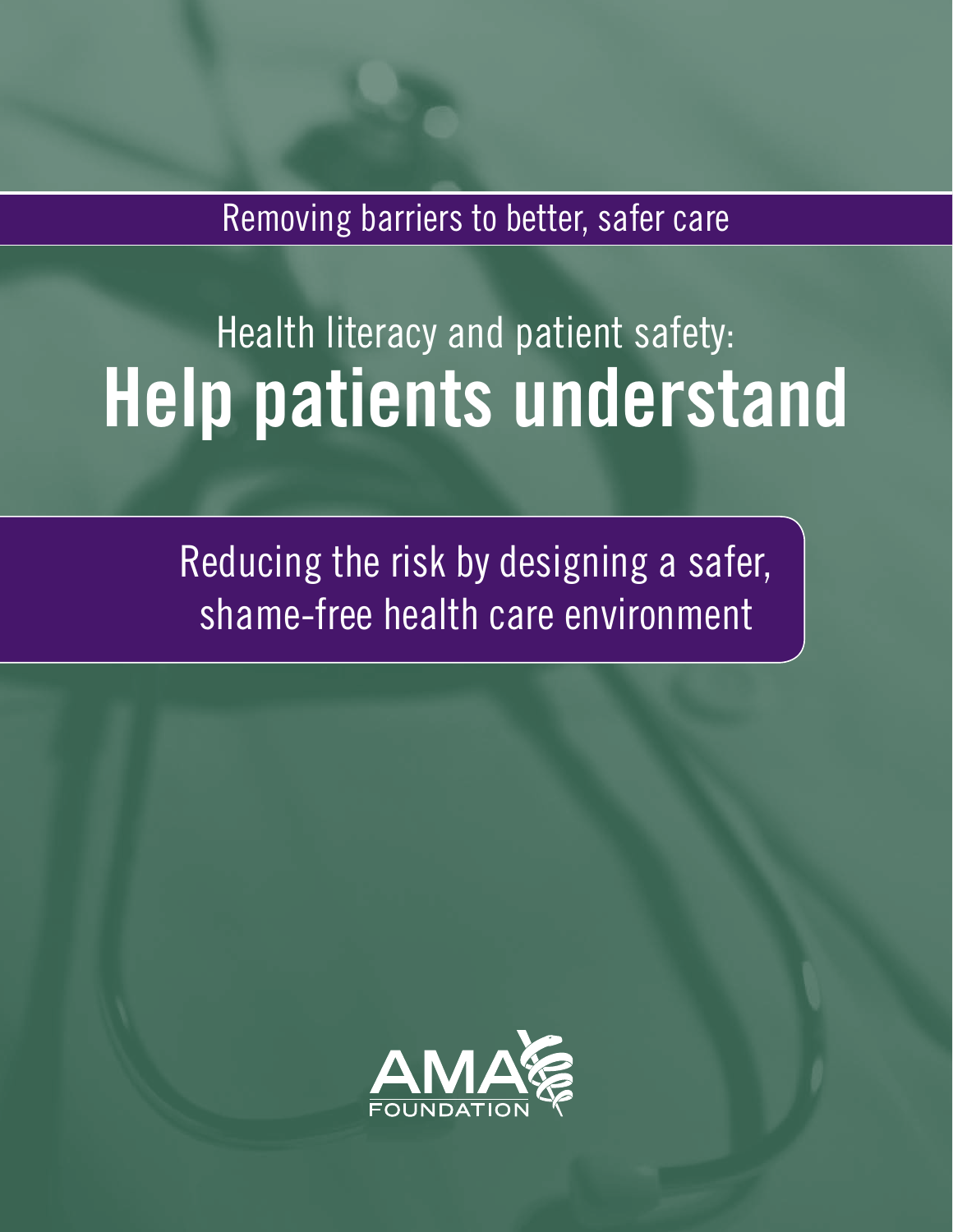Removing barriers to better, safer care

# Health literacy and patient safety: **Help patients understand**

Reducing the risk by designing a safer, shame-free health care environment

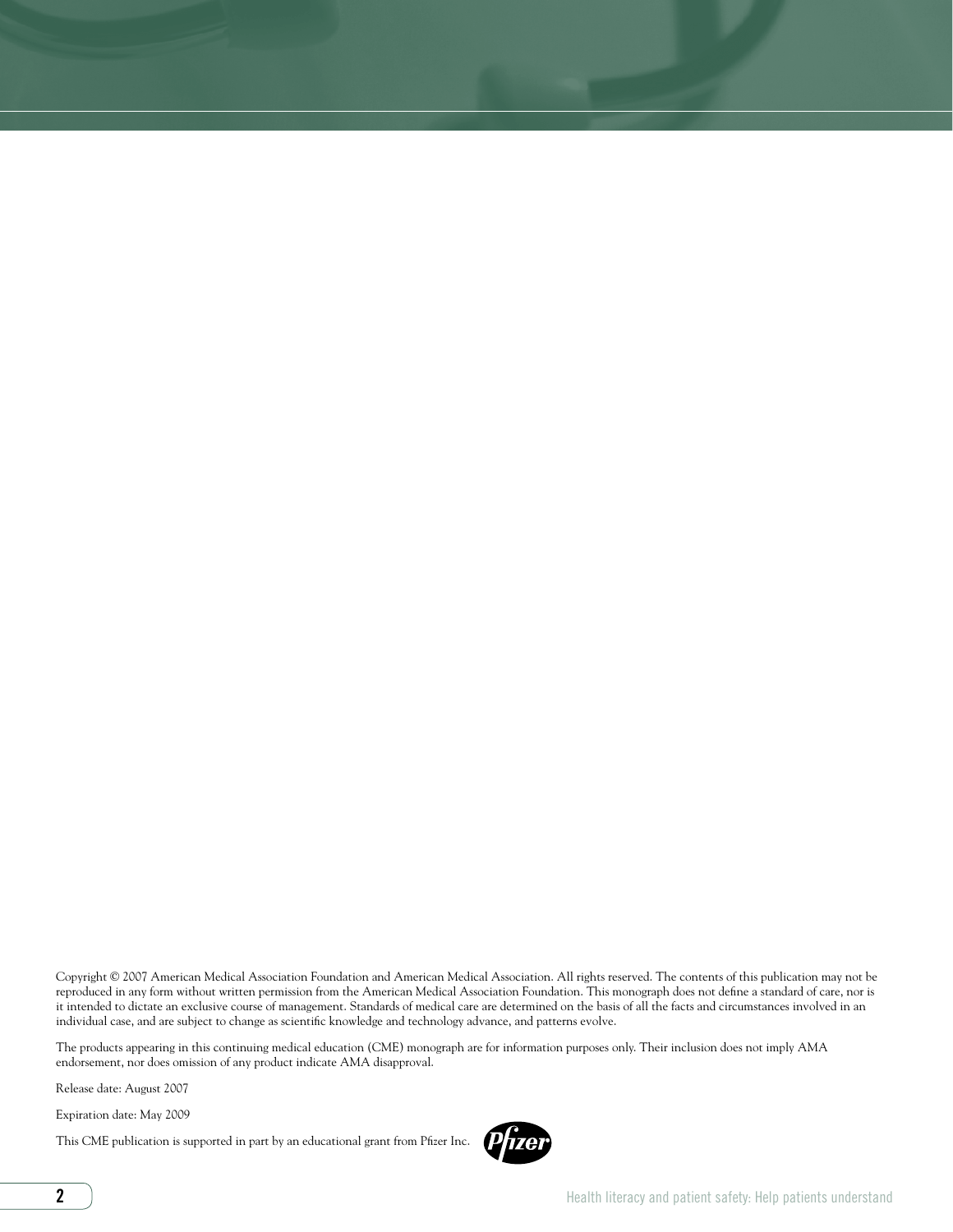Copyright © 2007 American Medical Association Foundation and American Medical Association. All rights reserved. The contents of this publication may not be reproduced in any form without written permission from the American Medical Association Foundation. This monograph does not define a standard of care, nor is it intended to dictate an exclusive course of management. Standards of medical care are determined on the basis of all the facts and circumstances involved in an individual case, and are subject to change as scientific knowledge and technology advance, and patterns evolve.

The products appearing in this continuing medical education (CME) monograph are for information purposes only. Their inclusion does not imply AMA endorsement, nor does omission of any product indicate AMA disapproval.

Release date: August 2007

Expiration date: May 2009

This CME publication is supported in part by an educational grant from Pfizer Inc.

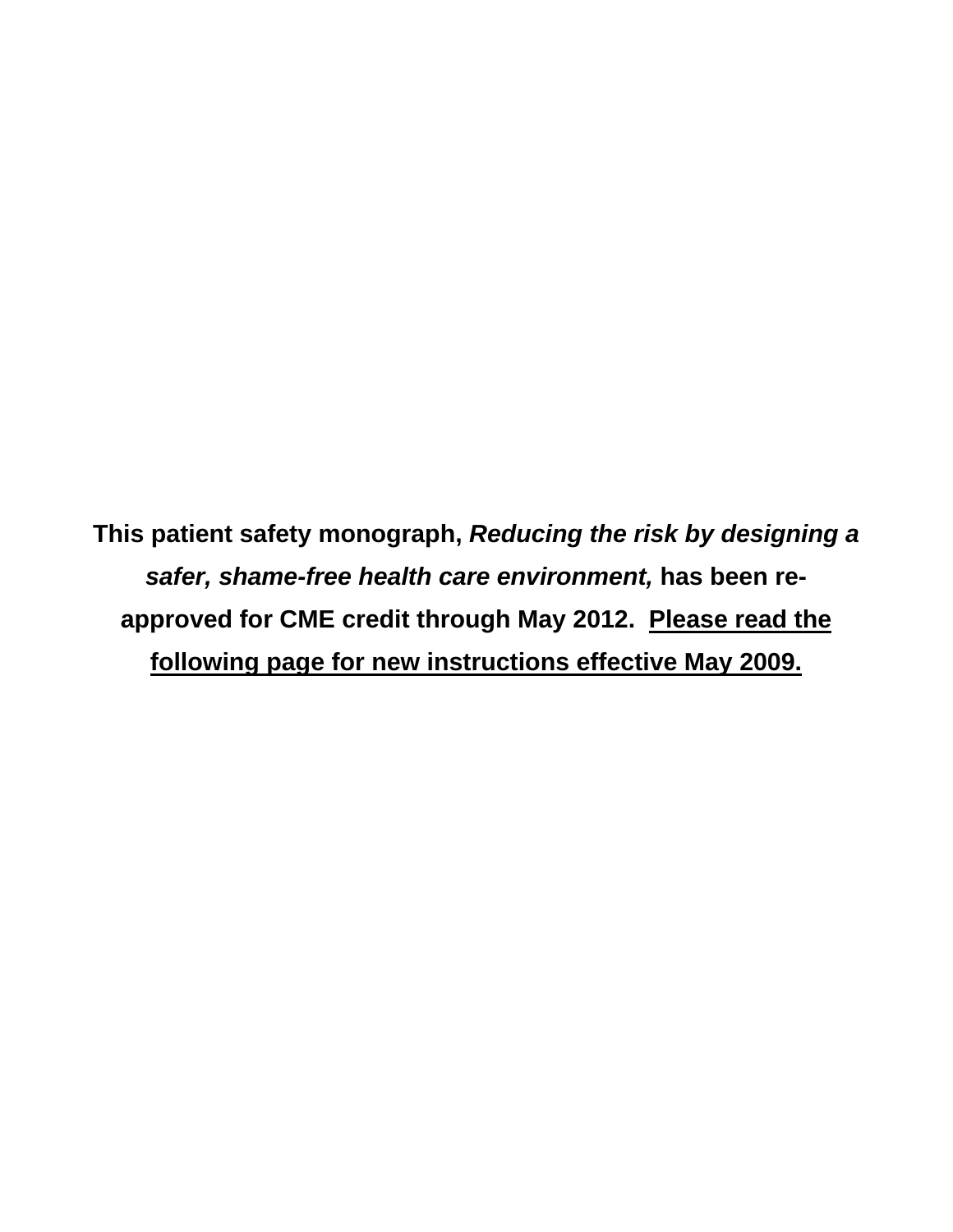**This patient safety monograph,** *Reducing the risk by designing a safer, shame-free health care environment,* **has been reapproved for CME credit through May 2012. Please read the following page for new instructions effective May 2009.**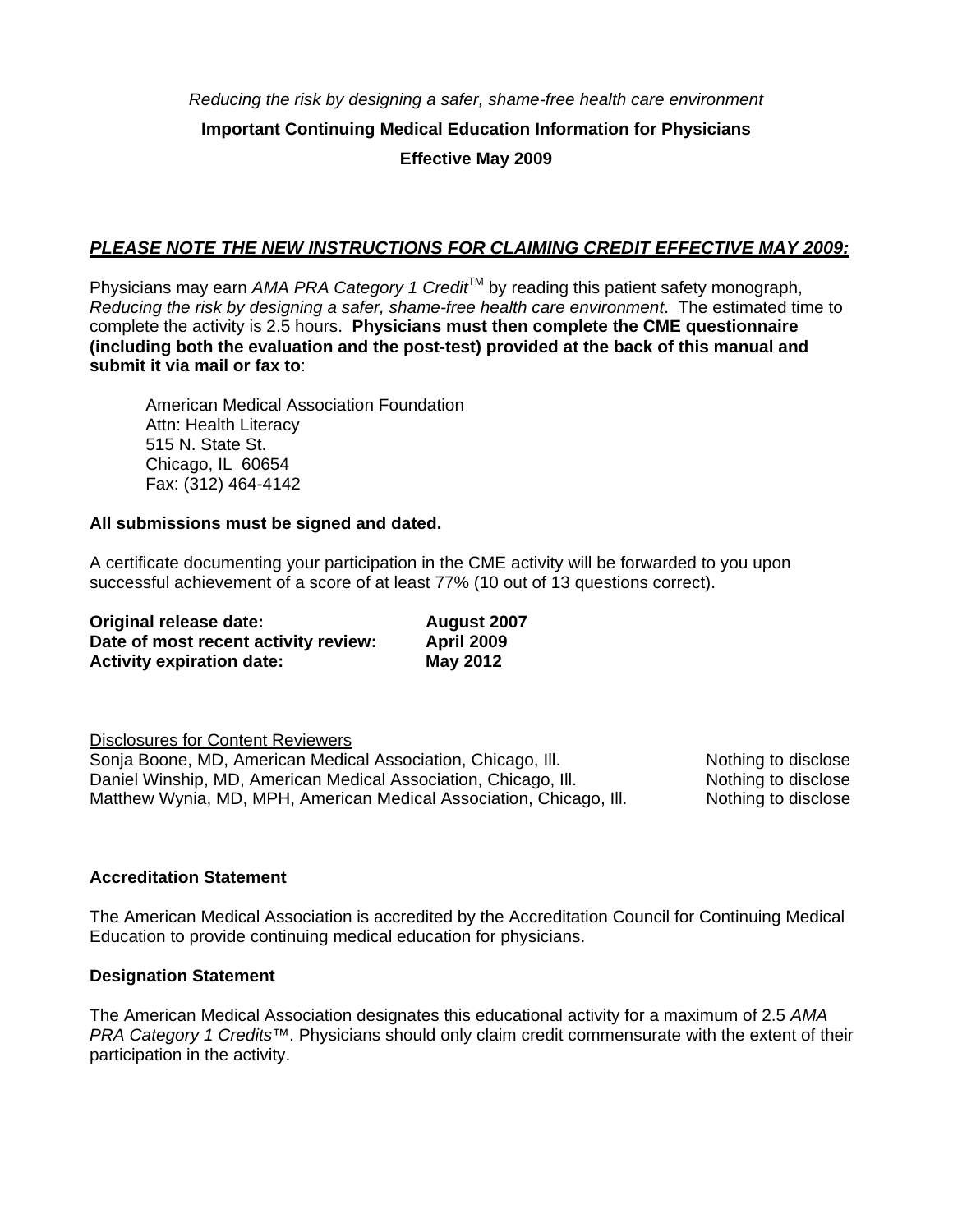*Reducing the risk by designing a safer, shame-free health care environment* **Important Continuing Medical Education Information for Physicians Effective May 2009** 

# *PLEASE NOTE THE NEW INSTRUCTIONS FOR CLAIMING CREDIT EFFECTIVE MAY 2009:*

Physicians may earn *AMA PRA Category 1 Credit*™ by reading this patient safety monograph, *Reducing the risk by designing a safer, shame-free health care environment*. The estimated time to complete the activity is 2.5 hours. **Physicians must then complete the CME questionnaire (including both the evaluation and the post-test) provided at the back of this manual and submit it via mail or fax to**:

American Medical Association Foundation Attn: Health Literacy 515 N. State St. Chicago, IL 60654 Fax: (312) 464-4142

#### **All submissions must be signed and dated.**

A certificate documenting your participation in the CME activity will be forwarded to you upon successful achievement of a score of at least 77% (10 out of 13 questions correct).

| Original release date:               | August 2007       |
|--------------------------------------|-------------------|
| Date of most recent activity review: | <b>April 2009</b> |
| <b>Activity expiration date:</b>     | <b>May 2012</b>   |

Disclosures for Content Reviewers Sonja Boone, MD, American Medical Association, Chicago, III. Nothing to disclose Daniel Winship, MD, American Medical Association, Chicago, III. Nothing to disclose Matthew Wynia, MD, MPH, American Medical Association, Chicago, III. Nothing to disclose

#### **Accreditation Statement**

The American Medical Association is accredited by the Accreditation Council for Continuing Medical Education to provide continuing medical education for physicians.

#### **Designation Statement**

The American Medical Association designates this educational activity for a maximum of 2.5 *AMA PRA Category 1 Credits™*. Physicians should only claim credit commensurate with the extent of their participation in the activity.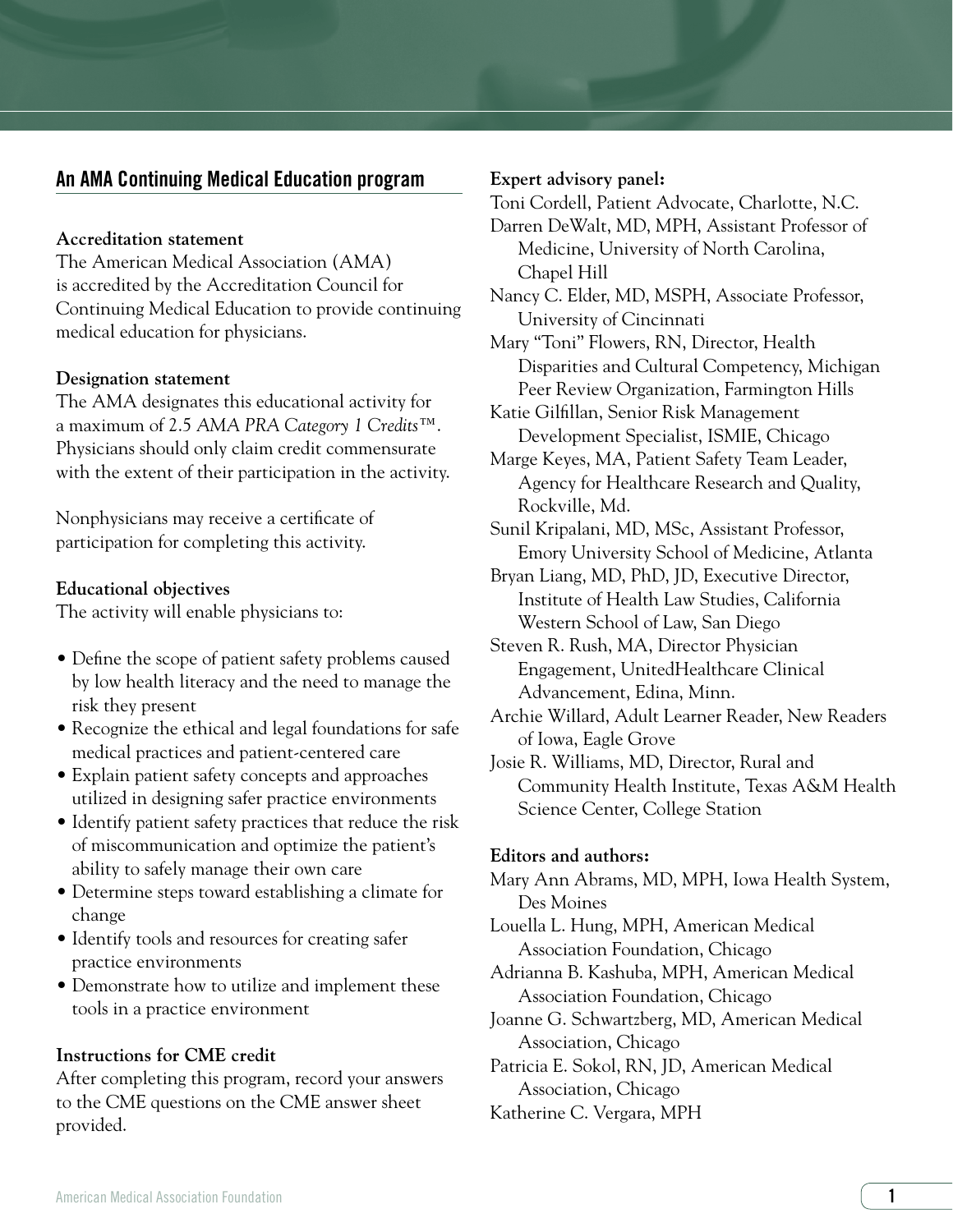# An AMA Continuing Medical Education program

#### **Accreditation statement**

The American Medical Association (AMA) is accredited by the Accreditation Council for Continuing Medical Education to provide continuing medical education for physicians.

#### **Designation statement**

The AMA designates this educational activity for a maximum of 2.5 *AMA PRA Category 1 Credits*™. Physicians should only claim credit commensurate with the extent of their participation in the activity.

Nonphysicians may receive a certificate of participation for completing this activity.

#### **Educational objectives**

The activity will enable physicians to:

- Define the scope of patient safety problems caused by low health literacy and the need to manage the risk they present
- Recognize the ethical and legal foundations for safe medical practices and patient-centered care
- Explain patient safety concepts and approaches utilized in designing safer practice environments
- Identify patient safety practices that reduce the risk of miscommunication and optimize the patient's ability to safely manage their own care
- Determine steps toward establishing a climate for change
- Identify tools and resources for creating safer practice environments
- Demonstrate how to utilize and implement these tools in a practice environment

#### **Instructions for CME credit**

After completing this program, record your answers to the CME questions on the CME answer sheet provided.

#### **Expert advisory panel:**

Toni Cordell, Patient Advocate, Charlotte, N.C. Darren DeWalt, MD, MPH, Assistant Professor of Medicine, University of North Carolina, Chapel Hill

Nancy C. Elder, MD, MSPH, Associate Professor, University of Cincinnati

- Mary "Toni" Flowers, RN, Director, Health Disparities and Cultural Competency, Michigan Peer Review Organization, Farmington Hills
- Katie Gilfillan, Senior Risk Management Development Specialist, ISMIE, Chicago

Marge Keyes, MA, Patient Safety Team Leader, Agency for Healthcare Research and Quality, Rockville, Md.

Sunil Kripalani, MD, MSc, Assistant Professor, Emory University School of Medicine, Atlanta

Bryan Liang, MD, PhD, JD, Executive Director, Institute of Health Law Studies, California Western School of Law, San Diego

Steven R. Rush, MA, Director Physician Engagement, UnitedHealthcare Clinical Advancement, Edina, Minn.

Archie Willard, Adult Learner Reader, New Readers of Iowa, Eagle Grove

Josie R. Williams, MD, Director, Rural and Community Health Institute, Texas A&M Health Science Center, College Station

#### **Editors and authors:**

Mary Ann Abrams, MD, MPH, Iowa Health System, Des Moines

Louella L. Hung, MPH, American Medical Association Foundation, Chicago

Adrianna B. Kashuba, MPH, American Medical Association Foundation, Chicago

Joanne G. Schwartzberg, MD, American Medical Association, Chicago

Patricia E. Sokol, RN, JD, American Medical Association, Chicago Katherine C. Vergara, MPH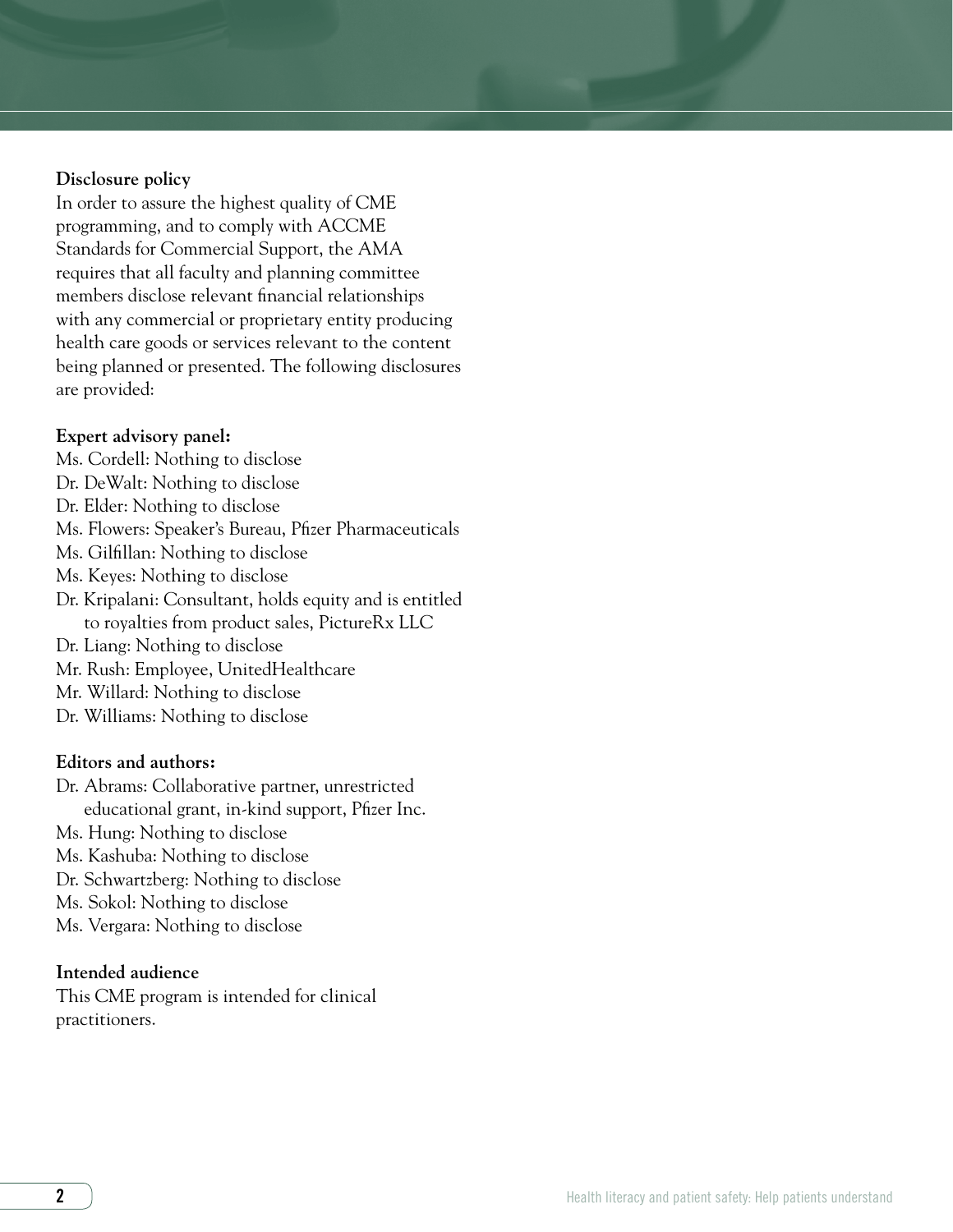#### **Disclosure policy**

In order to assure the highest quality of CME programming, and to comply with ACCME Standards for Commercial Support, the AMA requires that all faculty and planning committee members disclose relevant financial relationships with any commercial or proprietary entity producing health care goods or services relevant to the content being planned or presented. The following disclosures are provided:

#### **Expert advisory panel:**

- Ms. Cordell: Nothing to disclose
- Dr. DeWalt: Nothing to disclose
- Dr. Elder: Nothing to disclose
- Ms. Flowers: Speaker's Bureau, Pfizer Pharmaceuticals
- Ms. Gilfillan: Nothing to disclose
- Ms. Keyes: Nothing to disclose
- Dr. Kripalani: Consultant, holds equity and is entitled to royalties from product sales, PictureRx LLC
- Dr. Liang: Nothing to disclose
- Mr. Rush: Employee, UnitedHealthcare
- Mr. Willard: Nothing to disclose
- Dr. Williams: Nothing to disclose

#### **Editors and authors:**

- Dr. Abrams: Collaborative partner, unrestricted educational grant, in-kind support, Pfizer Inc. Ms. Hung: Nothing to disclose Ms. Kashuba: Nothing to disclose
- 
- Dr. Schwartzberg: Nothing to disclose
- Ms. Sokol: Nothing to disclose
- Ms. Vergara: Nothing to disclose

#### **Intended audience**

This CME program is intended for clinical practitioners.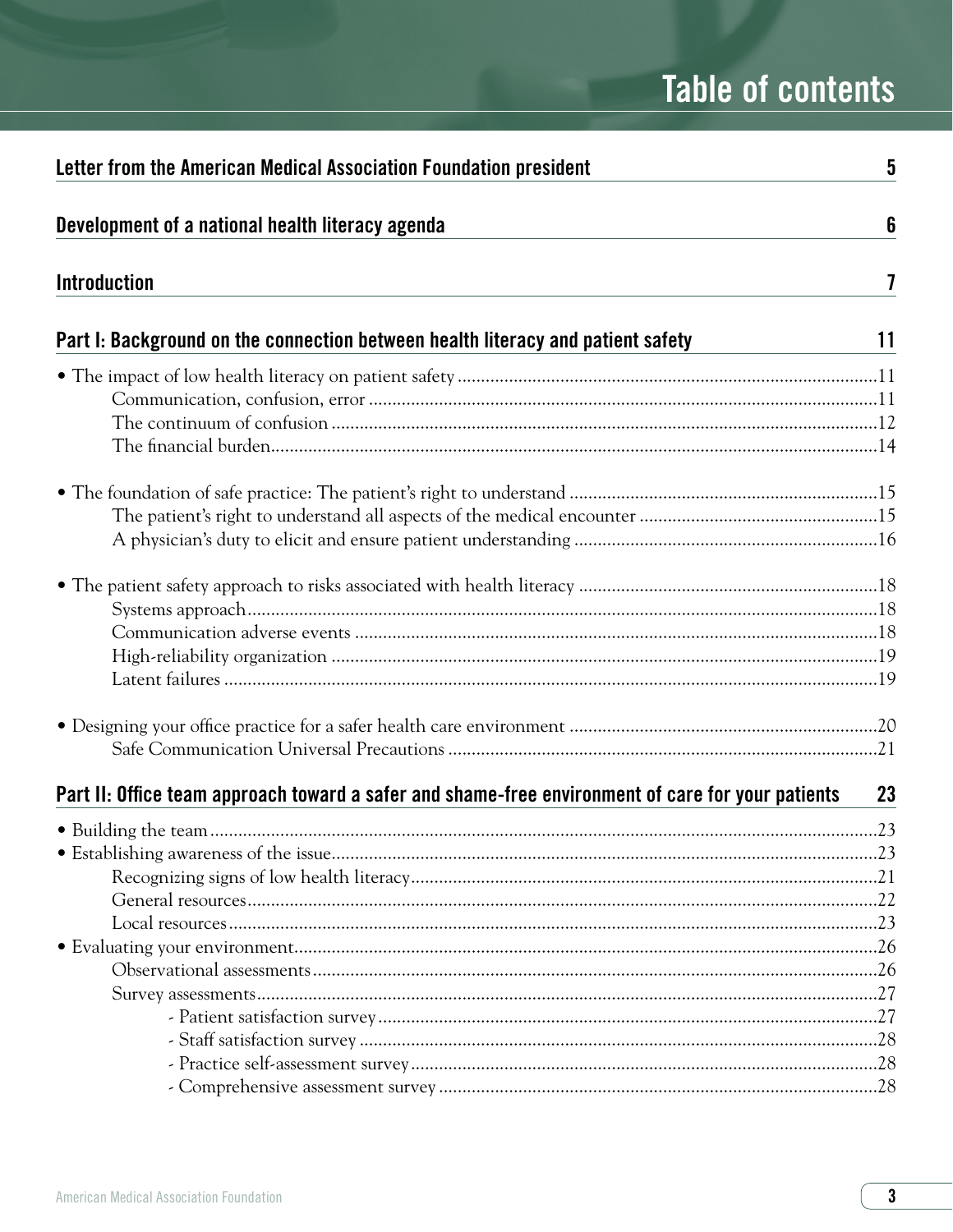# **Table of contents**

| Letter from the American Medical Association Foundation president                                 | 5  |
|---------------------------------------------------------------------------------------------------|----|
| Development of a national health literacy agenda                                                  | 6  |
| <b>Introduction</b>                                                                               | 7  |
| Part I: Background on the connection between health literacy and patient safety                   | 11 |
|                                                                                                   |    |
|                                                                                                   |    |
|                                                                                                   |    |
|                                                                                                   |    |
|                                                                                                   |    |
|                                                                                                   |    |
|                                                                                                   |    |
|                                                                                                   |    |
| Part II: Office team approach toward a safer and shame-free environment of care for your patients | 23 |
|                                                                                                   |    |
|                                                                                                   |    |
|                                                                                                   |    |
|                                                                                                   |    |
|                                                                                                   |    |
|                                                                                                   |    |
|                                                                                                   |    |
|                                                                                                   |    |
|                                                                                                   |    |
|                                                                                                   |    |
|                                                                                                   |    |
|                                                                                                   |    |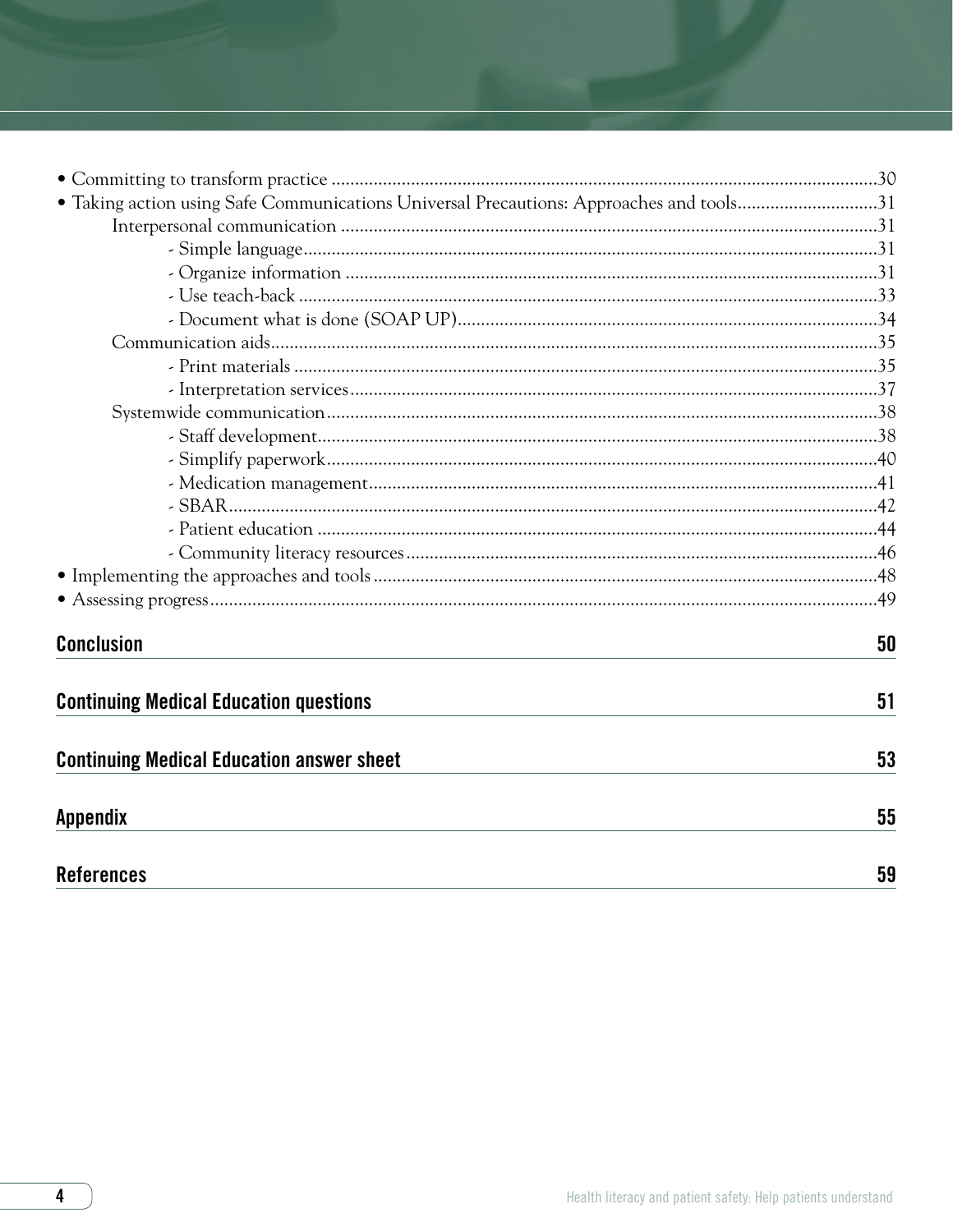| • Taking action using Safe Communications Universal Precautions: Approaches and tools31 |    |
|-----------------------------------------------------------------------------------------|----|
|                                                                                         |    |
|                                                                                         |    |
|                                                                                         |    |
|                                                                                         |    |
|                                                                                         |    |
|                                                                                         |    |
|                                                                                         |    |
|                                                                                         |    |
|                                                                                         |    |
|                                                                                         |    |
|                                                                                         |    |
|                                                                                         |    |
|                                                                                         |    |
|                                                                                         |    |
|                                                                                         |    |
|                                                                                         |    |
|                                                                                         |    |
| <b>Conclusion</b>                                                                       | 50 |
| <b>Continuing Medical Education questions</b>                                           | 51 |
| <b>Continuing Medical Education answer sheet</b>                                        | 53 |
| <b>Appendix</b>                                                                         | 55 |
| <b>References</b>                                                                       | 59 |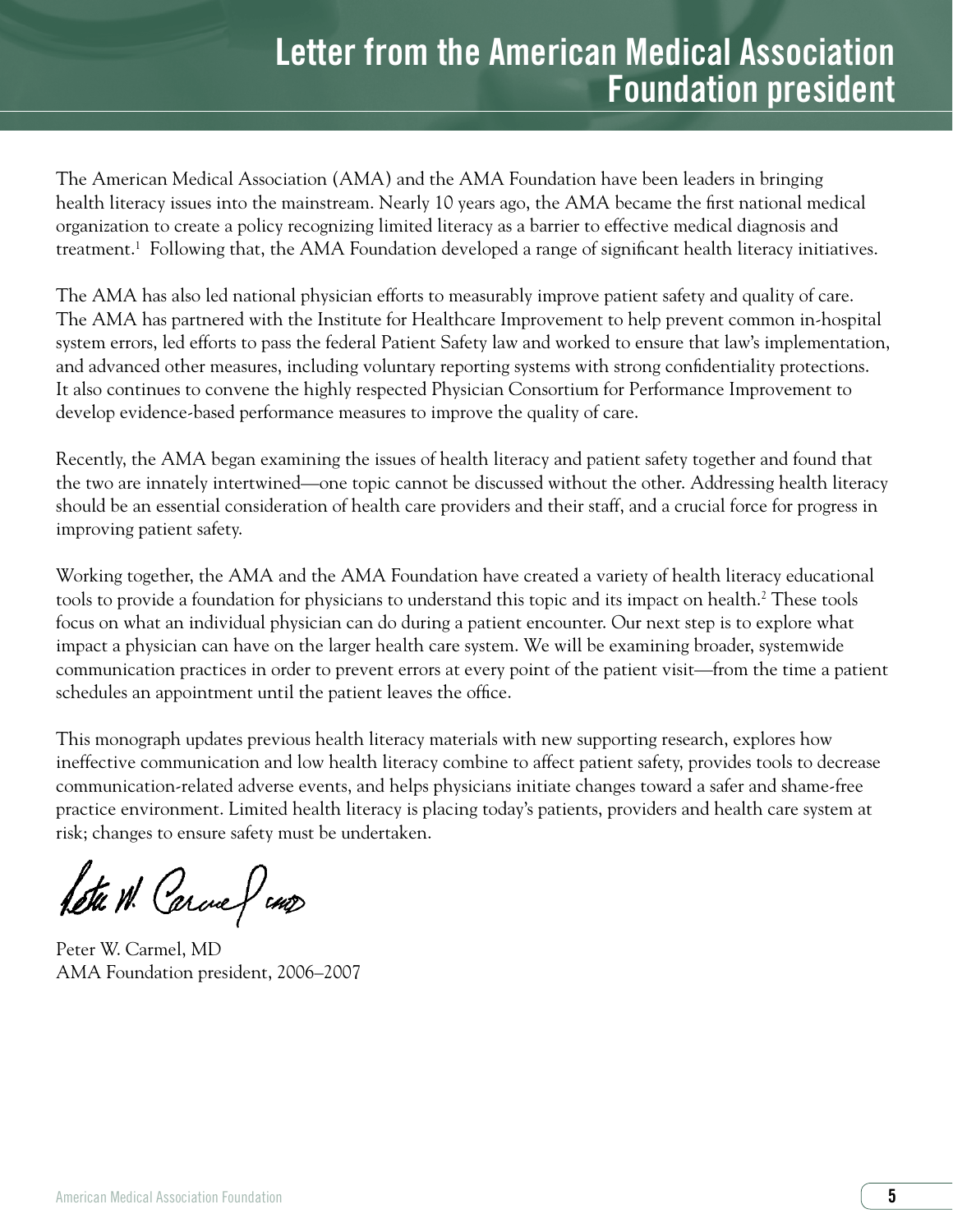# **Letter from the American Medical Association Foundation president**

The American Medical Association (AMA) and the AMA Foundation have been leaders in bringing health literacy issues into the mainstream. Nearly 10 years ago, the AMA became the first national medical organization to create a policy recognizing limited literacy as a barrier to effective medical diagnosis and treatment.1 Following that, the AMA Foundation developed a range of significant health literacy initiatives.

The AMA has also led national physician efforts to measurably improve patient safety and quality of care. The AMA has partnered with the Institute for Healthcare Improvement to help prevent common in-hospital system errors, led efforts to pass the federal Patient Safety law and worked to ensure that law's implementation, and advanced other measures, including voluntary reporting systems with strong confidentiality protections. It also continues to convene the highly respected Physician Consortium for Performance Improvement to develop evidence-based performance measures to improve the quality of care.

Recently, the AMA began examining the issues of health literacy and patient safety together and found that the two are innately intertwined—one topic cannot be discussed without the other. Addressing health literacy should be an essential consideration of health care providers and their staff, and a crucial force for progress in improving patient safety.

Working together, the AMA and the AMA Foundation have created a variety of health literacy educational tools to provide a foundation for physicians to understand this topic and its impact on health.2 These tools focus on what an individual physician can do during a patient encounter. Our next step is to explore what impact a physician can have on the larger health care system. We will be examining broader, systemwide communication practices in order to prevent errors at every point of the patient visit—from the time a patient schedules an appointment until the patient leaves the office.

This monograph updates previous health literacy materials with new supporting research, explores how ineffective communication and low health literacy combine to affect patient safety, provides tools to decrease communication-related adverse events, and helps physicians initiate changes toward a safer and shame-free practice environment. Limited health literacy is placing today's patients, providers and health care system at risk; changes to ensure safety must be undertaken.

Retu W. Carcue & case

Peter W. Carmel, MD AMA Foundation president, 2006–2007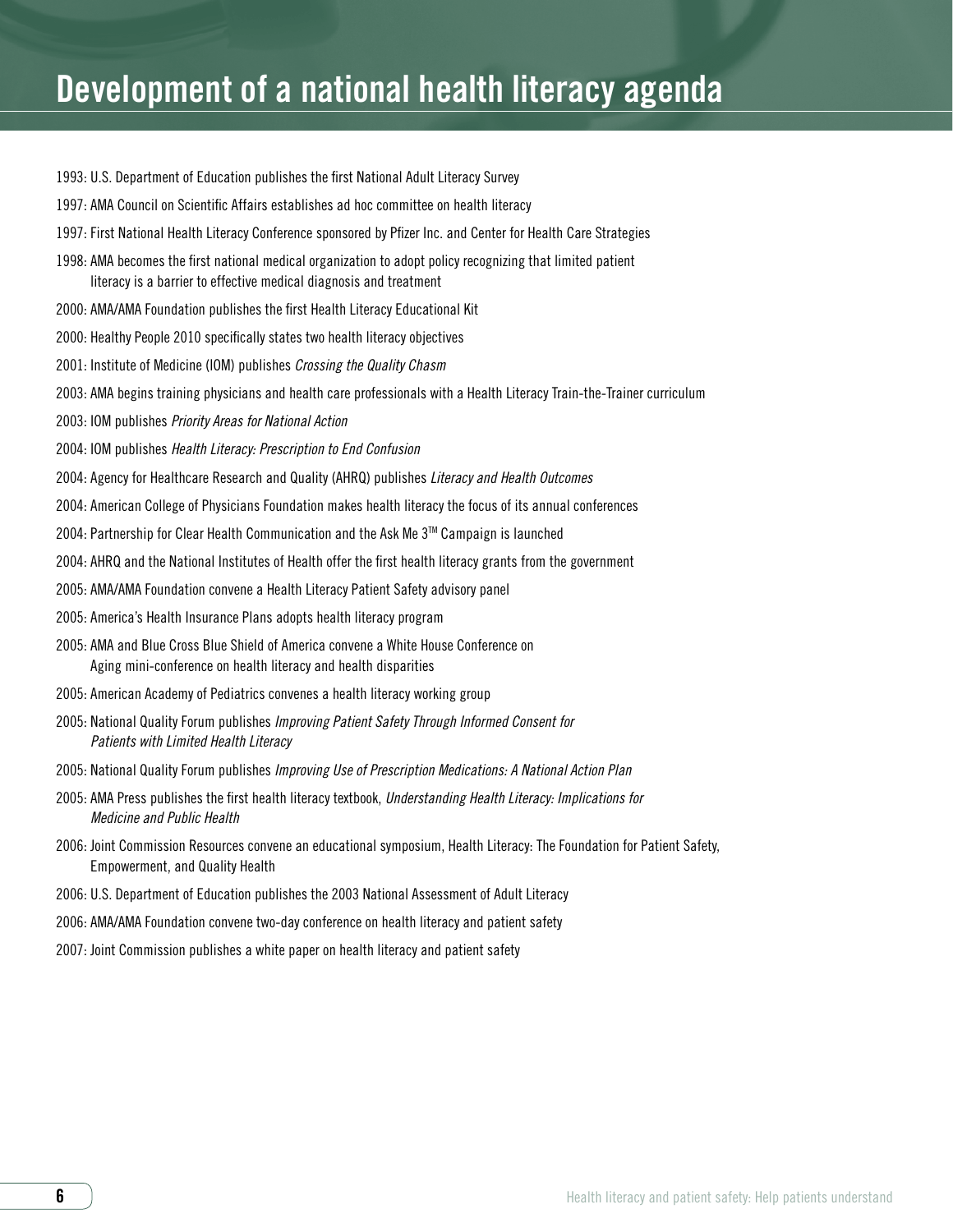- 1993: U.S. Department of Education publishes the first National Adult Literacy Survey
- 1997: AMA Council on Scientific Affairs establishes ad hoc committee on health literacy
- 1997: First National Health Literacy Conference sponsored by Pfizer Inc. and Center for Health Care Strategies
- 1998: AMA becomes the first national medical organization to adopt policy recognizing that limited patient literacy is a barrier to effective medical diagnosis and treatment
- 2000: AMA/AMA Foundation publishes the first Health Literacy Educational Kit
- 2000: Healthy People 2010 specifically states two health literacy objectives
- 2001: Institute of Medicine (IOM) publishes *Crossing the Quality Chasm*
- 2003: AMA begins training physicians and health care professionals with a Health Literacy Train-the-Trainer curriculum
- 2003: IOM publishes *Priority Areas for National Action*
- 2004: IOM publishes *Health Literacy: Prescription to End Confusion*
- 2004: Agency for Healthcare Research and Quality (AHRQ) publishes *Literacy and Health Outcomes*
- 2004: American College of Physicians Foundation makes health literacy the focus of its annual conferences
- 2004: Partnership for Clear Health Communication and the Ask Me 3™ Campaign is launched
- 2004: AHRQ and the National Institutes of Health offer the first health literacy grants from the government
- 2005: AMA/AMA Foundation convene a Health Literacy Patient Safety advisory panel
- 2005: America's Health Insurance Plans adopts health literacy program
- 2005: AMA and Blue Cross Blue Shield of America convene a White House Conference on Aging mini-conference on health literacy and health disparities
- 2005: American Academy of Pediatrics convenes a health literacy working group
- 2005: National Quality Forum publishes *Improving Patient Safety Through Informed Consent for Patients with Limited Health Literacy*
- 2005: National Quality Forum publishes *Improving Use of Prescription Medications: A National Action Plan*
- 2005: AMA Press publishes the first health literacy textbook, *Understanding Health Literacy: Implications for Medicine and Public Health*
- 2006: Joint Commission Resources convene an educational symposium, Health Literacy: The Foundation for Patient Safety, Empowerment, and Quality Health
- 2006: U.S. Department of Education publishes the 2003 National Assessment of Adult Literacy
- 2006: AMA/AMA Foundation convene two-day conference on health literacy and patient safety
- 2007: Joint Commission publishes a white paper on health literacy and patient safety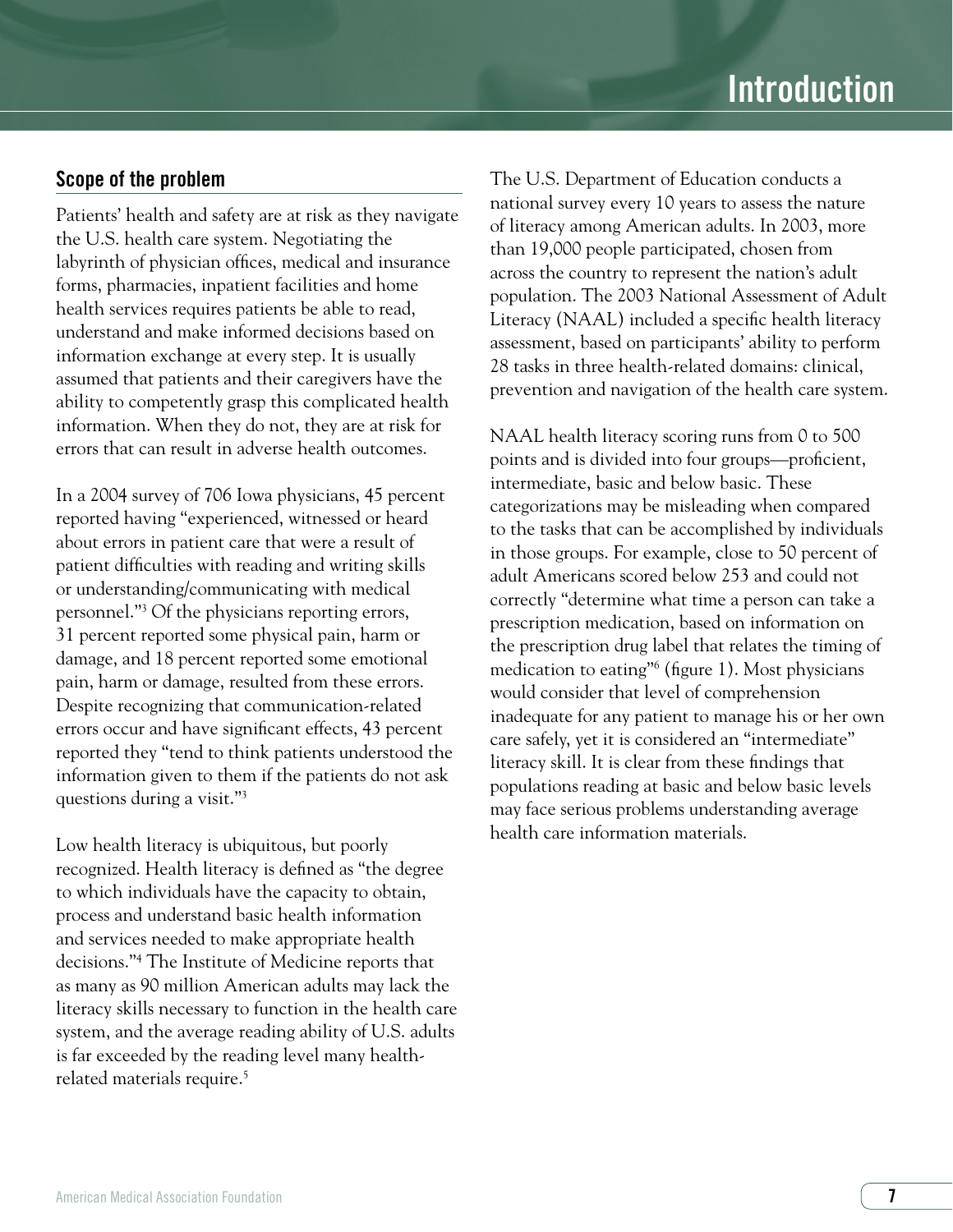# Scope of the problem

Patients' health and safety are at risk as they navigate the U.S. health care system. Negotiating the labyrinth of physician offices, medical and insurance forms, pharmacies, inpatient facilities and home health services requires patients be able to read, understand and make informed decisions based on information exchange at every step. It is usually assumed that patients and their caregivers have the ability to competently grasp this complicated health information. When they do not, they are at risk for errors that can result in adverse health outcomes.

In a 2004 survey of 706 Iowa physicians, 45 percent reported having "experienced, witnessed or heard about errors in patient care that were a result of patient difficulties with reading and writing skills or understanding/communicating with medical personnel."3 Of the physicians reporting errors, 31 percent reported some physical pain, harm or damage, and 18 percent reported some emotional pain, harm or damage, resulted from these errors. Despite recognizing that communication-related errors occur and have significant effects, 43 percent reported they "tend to think patients understood the information given to them if the patients do not ask questions during a visit."3

Low health literacy is ubiquitous, but poorly recognized. Health literacy is defined as "the degree to which individuals have the capacity to obtain, process and understand basic health information and services needed to make appropriate health decisions."4 The Institute of Medicine reports that as many as 90 million American adults may lack the literacy skills necessary to function in the health care system, and the average reading ability of U.S. adults is far exceeded by the reading level many healthrelated materials require.<sup>5</sup>

The U.S. Department of Education conducts a national survey every 10 years to assess the nature of literacy among American adults. In 2003, more than 19,000 people participated, chosen from across the country to represent the nation's adult population. The 2003 National Assessment of Adult Literacy (NAAL) included a specific health literacy assessment, based on participants' ability to perform 28 tasks in three health-related domains: clinical, prevention and navigation of the health care system.

NAAL health literacy scoring runs from 0 to 500 points and is divided into four groups—proficient, intermediate, basic and below basic. These categorizations may be misleading when compared to the tasks that can be accomplished by individuals in those groups. For example, close to 50 percent of adult Americans scored below 253 and could not correctly "determine what time a person can take a prescription medication, based on information on the prescription drug label that relates the timing of medication to eating"6 (figure 1). Most physicians would consider that level of comprehension inadequate for any patient to manage his or her own care safely, yet it is considered an "intermediate" literacy skill. It is clear from these findings that populations reading at basic and below basic levels may face serious problems understanding average health care information materials.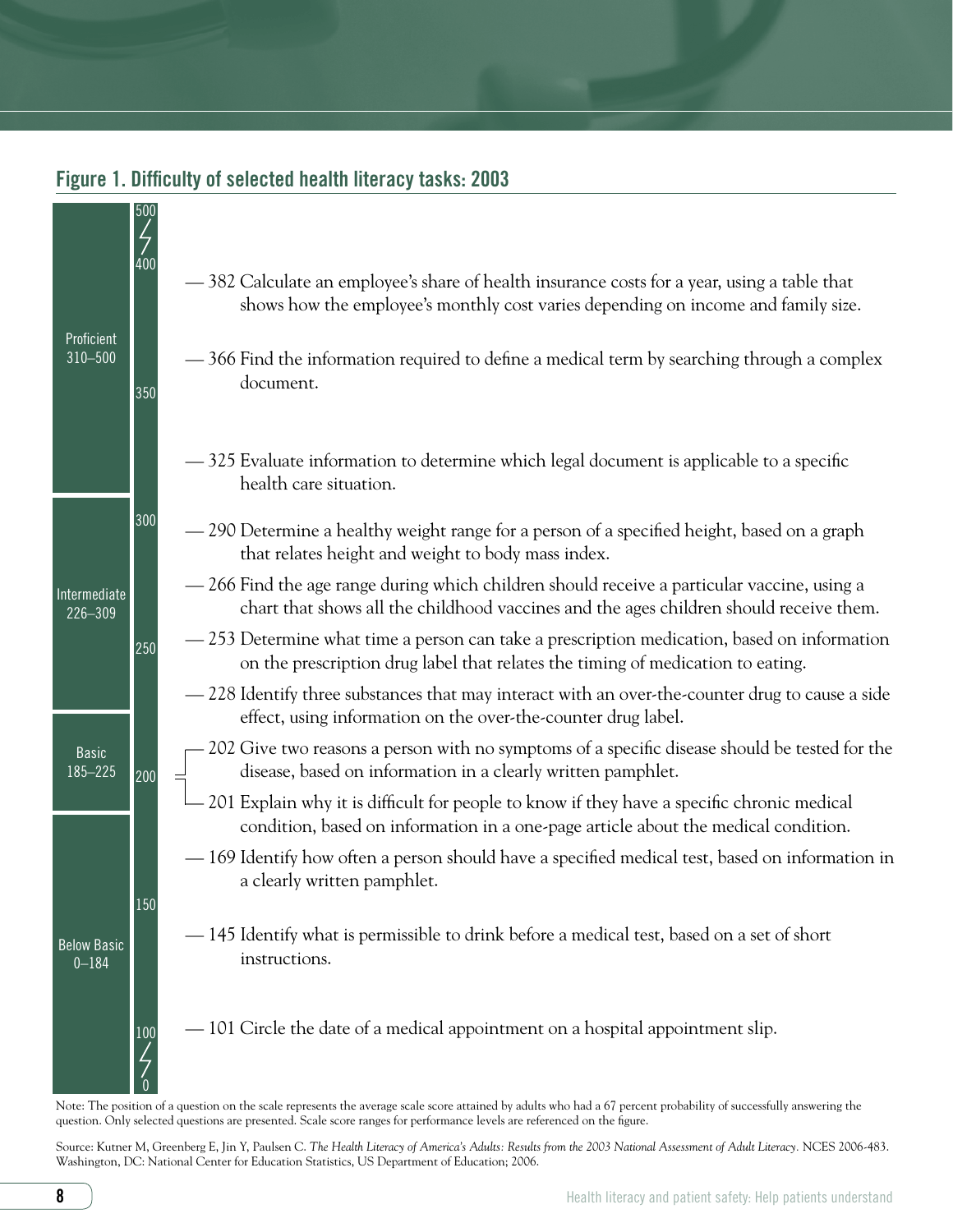

# Figure 1. Difficulty of selected health literacy tasks: 2003

Note: The position of a question on the scale represents the average scale score attained by adults who had a 67 percent probability of successfully answering the question. Only selected questions are presented. Scale score ranges for performance levels are referenced on the figure.

Source: Kutner M, Greenberg E, Jin Y, Paulsen C. The Health Literacy of America's Adults: Results from the 2003 National Assessment of Adult Literacy. NCES 2006-483. Washington, DC: National Center for Education Statistics, US Department of Education; 2006.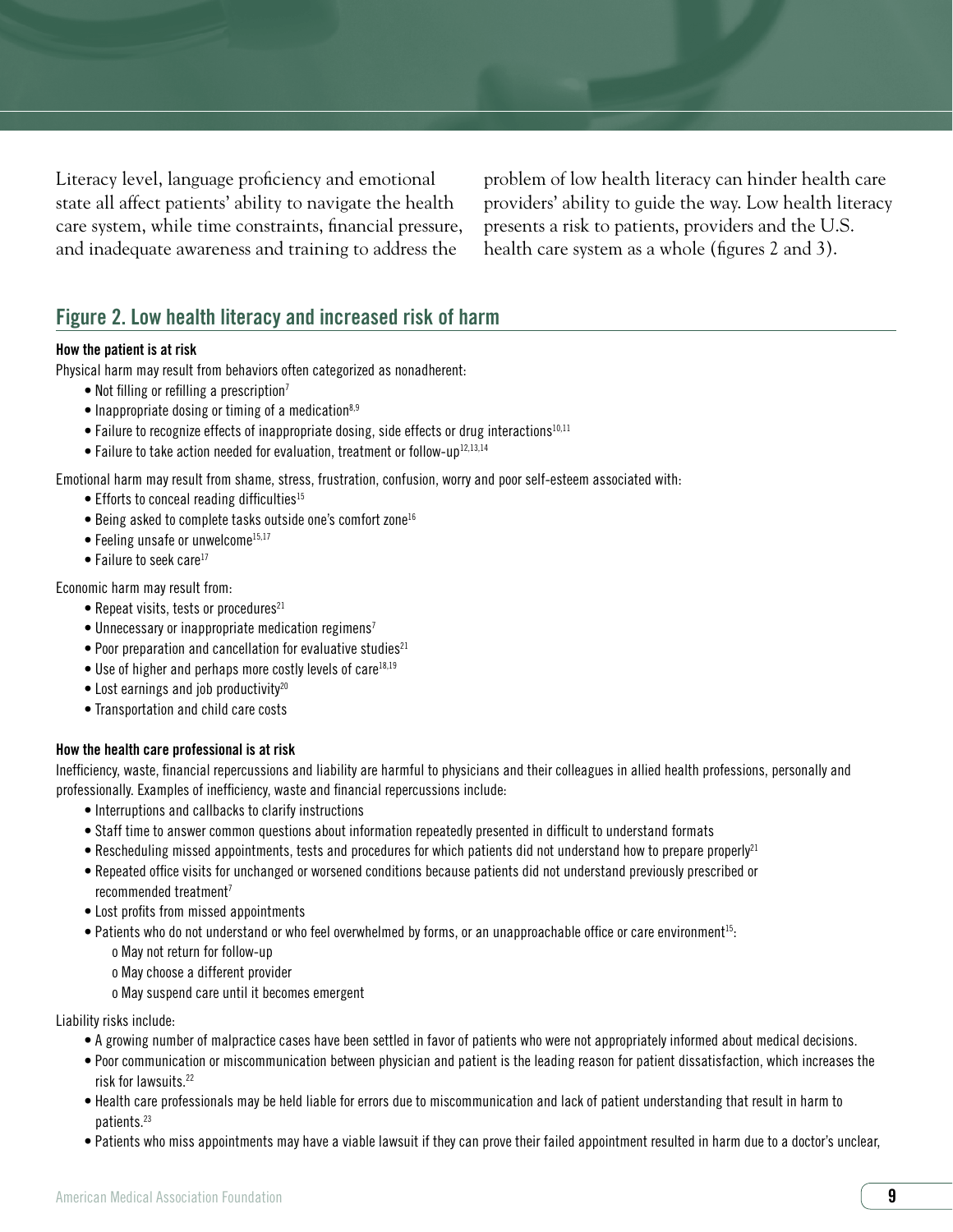Literacy level, language proficiency and emotional state all affect patients' ability to navigate the health care system, while time constraints, financial pressure, and inadequate awareness and training to address the

problem of low health literacy can hinder health care providers' ability to guide the way. Low health literacy presents a risk to patients, providers and the U.S. health care system as a whole (figures 2 and 3).

# Figure 2. Low health literacy and increased risk of harm

#### How the patient is at risk

Physical harm may result from behaviors often categorized as nonadherent:

- Not filling or refilling a prescription<sup>7</sup>
- Inappropriate dosing or timing of a medication<sup>8,9</sup>
- Failure to recognize effects of inappropriate dosing, side effects or drug interactions<sup>10,11</sup>
- Failure to take action needed for evaluation, treatment or follow-up<sup>12,13,14</sup>

Emotional harm may result from shame, stress, frustration, confusion, worry and poor self-esteem associated with:

- $\bullet$  Efforts to conceal reading difficulties<sup>15</sup>
- Being asked to complete tasks outside one's comfort zone<sup>16</sup>
- $\bullet$  Feeling unsafe or unwelcome<sup>15,17</sup>
- $\bullet$  Failure to seek care<sup>17</sup>

Economic harm may result from:

- Repeat visits, tests or procedures $^{21}$
- Unnecessary or inappropriate medication regimens<sup>7</sup>
- $\bullet$  Poor preparation and cancellation for evaluative studies<sup>21</sup>
- $\bullet$  Use of higher and perhaps more costly levels of care<sup>18,19</sup>
- Lost earnings and job productivity<sup>20</sup>
- Transportation and child care costs

#### How the health care professional is at risk

Inefficiency, waste, financial repercussions and liability are harmful to physicians and their colleagues in allied health professions, personally and professionally. Examples of inefficiency, waste and financial repercussions include:

- Interruptions and callbacks to clarify instructions
- Staff time to answer common questions about information repeatedly presented in difficult to understand formats
- Rescheduling missed appointments, tests and procedures for which patients did not understand how to prepare properly<sup>21</sup>
- Repeated office visits for unchanged or worsened conditions because patients did not understand previously prescribed or recommended treatment7
- Lost profits from missed appointments
- Patients who do not understand or who feel overwhelmed by forms, or an unapproachable office or care environment<sup>15</sup>:
	- o May not return for follow-up

o May choose a different provider

o May suspend care until it becomes emergent

Liability risks include:

- A growing number of malpractice cases have been settled in favor of patients who were not appropriately informed about medical decisions.
- Poor communication or miscommunication between physician and patient is the leading reason for patient dissatisfaction, which increases the risk for lawsuits.22
- Health care professionals may be held liable for errors due to miscommunication and lack of patient understanding that result in harm to patients.23
- Patients who miss appointments may have a viable lawsuit if they can prove their failed appointment resulted in harm due to a doctor's unclear,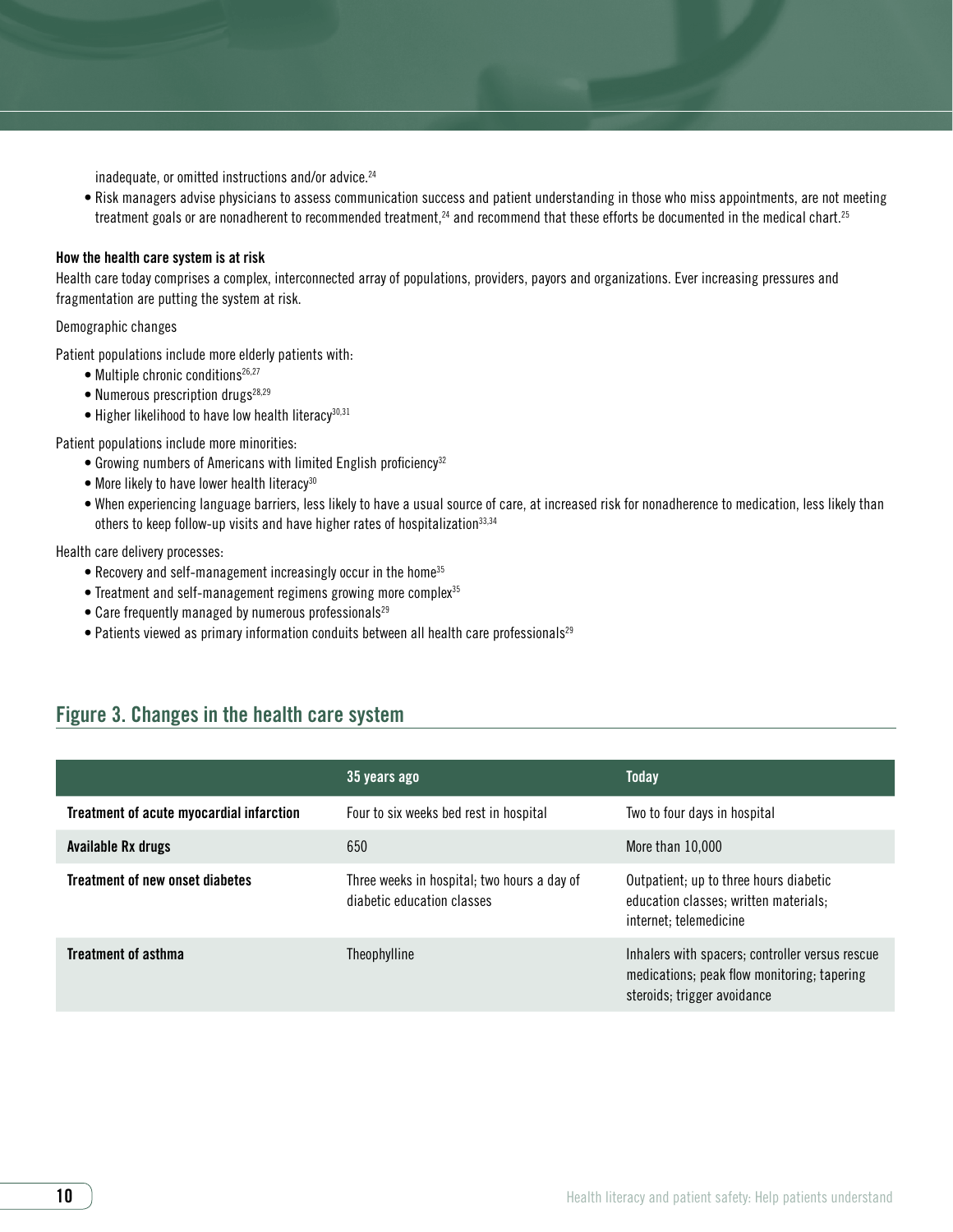inadequate, or omitted instructions and/or advice.<sup>24</sup>

• Risk managers advise physicians to assess communication success and patient understanding in those who miss appointments, are not meeting treatment goals or are nonadherent to recommended treatment,<sup>24</sup> and recommend that these efforts be documented in the medical chart.<sup>25</sup>

#### How the health care system is at risk

Health care today comprises a complex, interconnected array of populations, providers, payors and organizations. Ever increasing pressures and fragmentation are putting the system at risk.

#### Demographic changes

Patient populations include more elderly patients with:

- Multiple chronic conditions<sup>26,27</sup>
- Numerous prescription drugs $28,29$
- $\bullet$  Higher likelihood to have low health literacy<sup>30,31</sup>

Patient populations include more minorities:

- Growing numbers of Americans with limited English proficiency<sup>32</sup>
- More likely to have lower health literacy<sup>30</sup>
- When experiencing language barriers, less likely to have a usual source of care, at increased risk for nonadherence to medication, less likely than others to keep follow-up visits and have higher rates of hospitalization<sup>33,34</sup>

#### Health care delivery processes:

- Recovery and self-management increasingly occur in the home<sup>35</sup>
- Treatment and self-management regimens growing more complex<sup>35</sup>
- Care frequently managed by numerous professionals<sup>29</sup>
- $\bullet$  Patients viewed as primary information conduits between all health care professionals<sup>29</sup>

# Figure 3. Changes in the health care system

|                                          | 35 years ago                                                              | <b>Today</b>                                                                                                                  |
|------------------------------------------|---------------------------------------------------------------------------|-------------------------------------------------------------------------------------------------------------------------------|
| Treatment of acute myocardial infarction | Four to six weeks bed rest in hospital                                    | Two to four days in hospital                                                                                                  |
| Available Rx drugs                       | 650                                                                       | More than 10,000                                                                                                              |
| Treatment of new onset diabetes          | Three weeks in hospital; two hours a day of<br>diabetic education classes | Outpatient; up to three hours diabetic<br>education classes; written materials;<br>internet; telemedicine                     |
| <b>Treatment of asthma</b>               | Theophylline                                                              | Inhalers with spacers; controller versus rescue<br>medications; peak flow monitoring; tapering<br>steroids; trigger avoidance |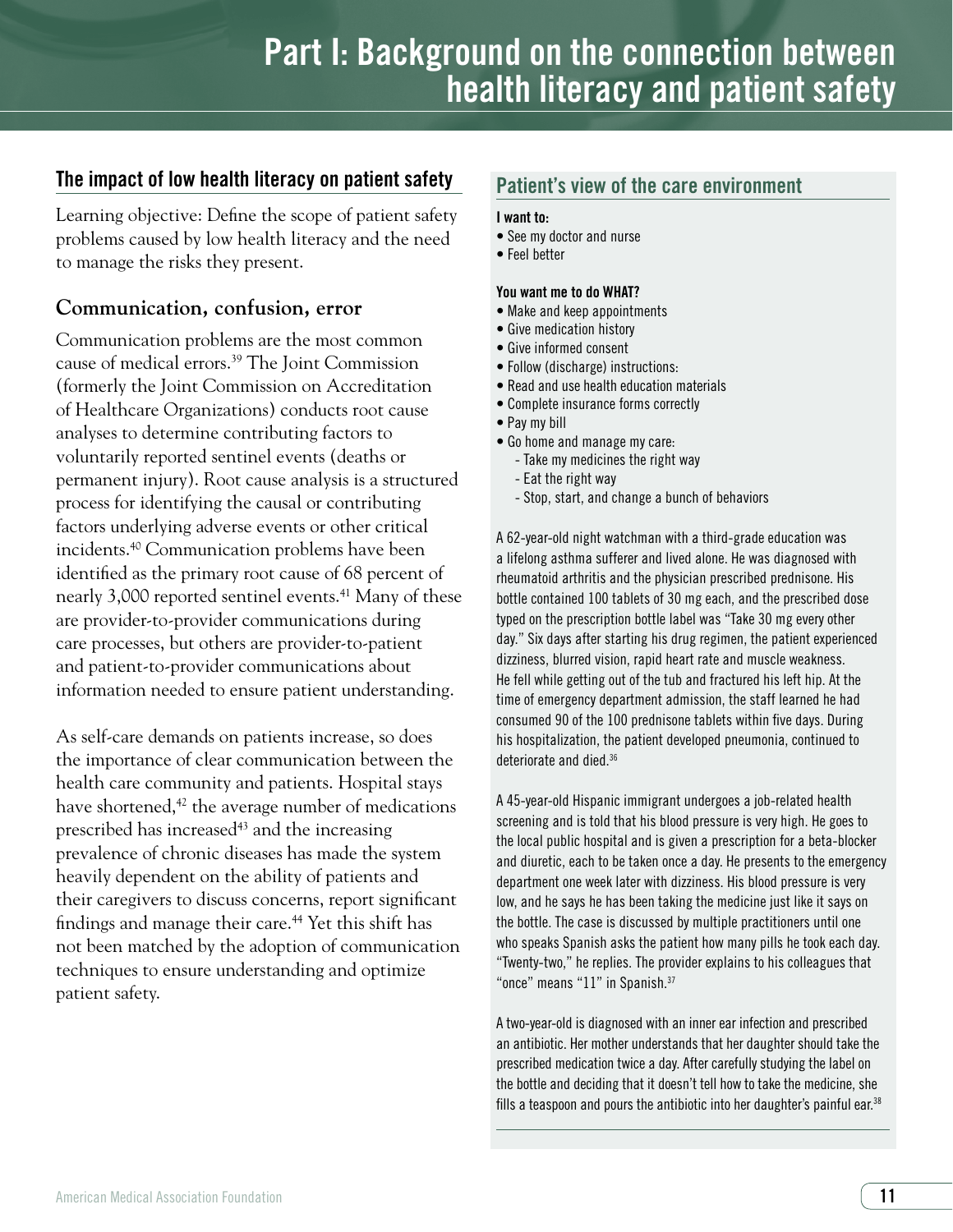# The impact of low health literacy on patient safety

Learning objective: Define the scope of patient safety problems caused by low health literacy and the need to manage the risks they present.

# **Communication, confusion, error**

Communication problems are the most common cause of medical errors.39 The Joint Commission (formerly the Joint Commission on Accreditation of Healthcare Organizations) conducts root cause analyses to determine contributing factors to voluntarily reported sentinel events (deaths or permanent injury). Root cause analysis is a structured process for identifying the causal or contributing factors underlying adverse events or other critical incidents.40 Communication problems have been identified as the primary root cause of 68 percent of nearly 3,000 reported sentinel events.<sup>41</sup> Many of these are provider-to-provider communications during care processes, but others are provider-to-patient and patient-to-provider communications about information needed to ensure patient understanding.

As self-care demands on patients increase, so does the importance of clear communication between the health care community and patients. Hospital stays have shortened, $42$  the average number of medications prescribed has increased<sup>43</sup> and the increasing prevalence of chronic diseases has made the system heavily dependent on the ability of patients and their caregivers to discuss concerns, report significant findings and manage their care.<sup>44</sup> Yet this shift has not been matched by the adoption of communication techniques to ensure understanding and optimize patient safety.

# Patient's view of the care environment

#### I want to:

- See my doctor and nurse
- Feel better

#### You want me to do WHAT?

- Make and keep appointments
- Give medication history
- Give informed consent
- Follow (discharge) instructions:
- Read and use health education materials
- Complete insurance forms correctly
- Pay my bill
- Go home and manage my care:
	- Take my medicines the right way
	- Eat the right way
	- Stop, start, and change a bunch of behaviors

A 62-year-old night watchman with a third-grade education was a lifelong asthma sufferer and lived alone. He was diagnosed with rheumatoid arthritis and the physician prescribed prednisone. His bottle contained 100 tablets of 30 mg each, and the prescribed dose typed on the prescription bottle label was "Take 30 mg every other day." Six days after starting his drug regimen, the patient experienced dizziness, blurred vision, rapid heart rate and muscle weakness. He fell while getting out of the tub and fractured his left hip. At the time of emergency department admission, the staff learned he had consumed 90 of the 100 prednisone tablets within five days. During his hospitalization, the patient developed pneumonia, continued to deteriorate and died.<sup>36</sup>

A 45-year-old Hispanic immigrant undergoes a job-related health screening and is told that his blood pressure is very high. He goes to the local public hospital and is given a prescription for a beta-blocker and diuretic, each to be taken once a day. He presents to the emergency department one week later with dizziness. His blood pressure is very low, and he says he has been taking the medicine just like it says on the bottle. The case is discussed by multiple practitioners until one who speaks Spanish asks the patient how many pills he took each day. "Twenty-two," he replies. The provider explains to his colleagues that "once" means "11" in Spanish.<sup>37</sup>

A two-year-old is diagnosed with an inner ear infection and prescribed an antibiotic. Her mother understands that her daughter should take the prescribed medication twice a day. After carefully studying the label on the bottle and deciding that it doesn't tell how to take the medicine, she fills a teaspoon and pours the antibiotic into her daughter's painful ear.<sup>38</sup>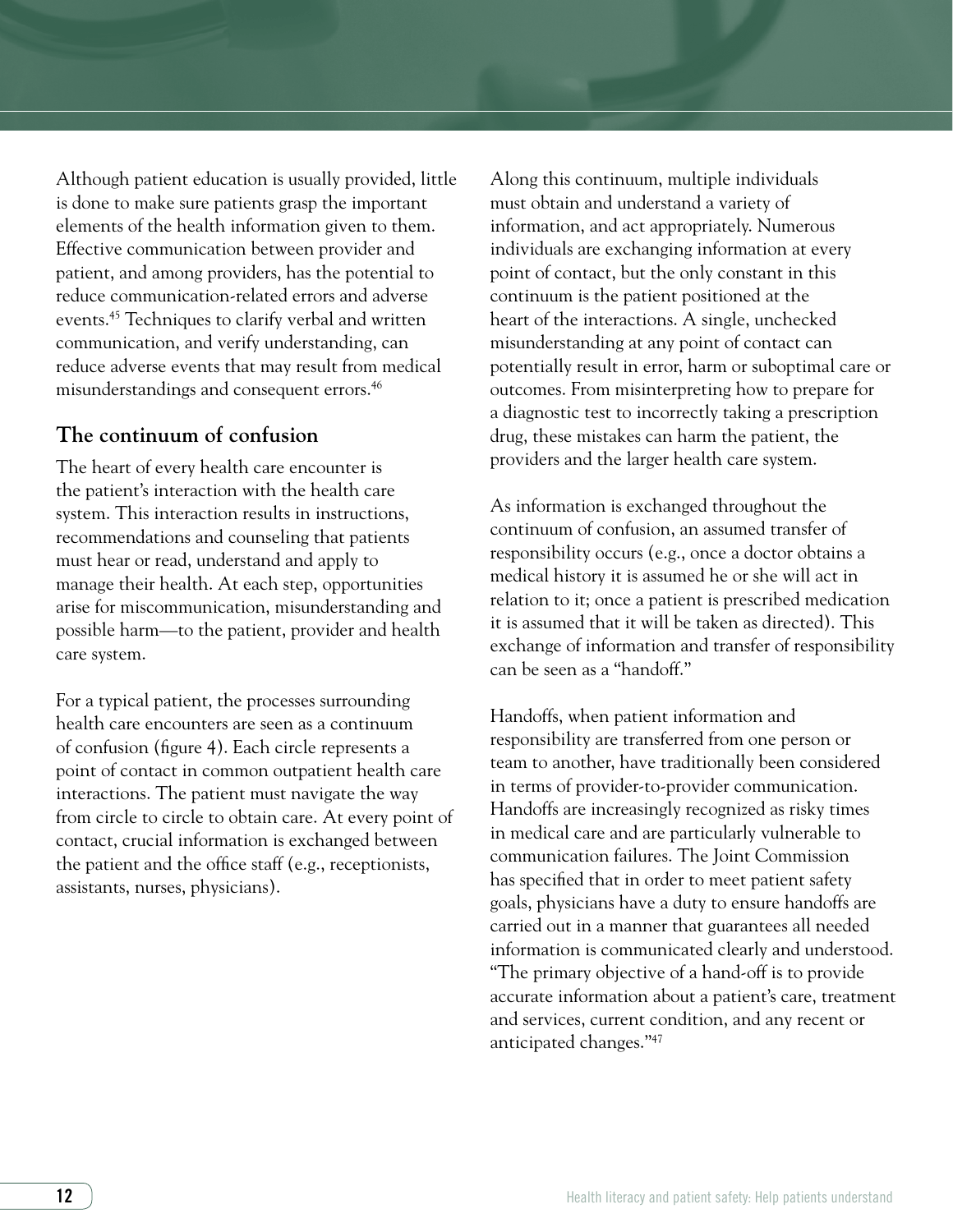Although patient education is usually provided, little is done to make sure patients grasp the important elements of the health information given to them. Effective communication between provider and patient, and among providers, has the potential to reduce communication-related errors and adverse events.45 Techniques to clarify verbal and written communication, and verify understanding, can reduce adverse events that may result from medical misunderstandings and consequent errors.46

# **The continuum of confusion**

The heart of every health care encounter is the patient's interaction with the health care system. This interaction results in instructions, recommendations and counseling that patients must hear or read, understand and apply to manage their health. At each step, opportunities arise for miscommunication, misunderstanding and possible harm—to the patient, provider and health care system.

For a typical patient, the processes surrounding health care encounters are seen as a continuum of confusion (figure 4). Each circle represents a point of contact in common outpatient health care interactions. The patient must navigate the way from circle to circle to obtain care. At every point of contact, crucial information is exchanged between the patient and the office staff (e.g., receptionists, assistants, nurses, physicians).

Along this continuum, multiple individuals must obtain and understand a variety of information, and act appropriately. Numerous individuals are exchanging information at every point of contact, but the only constant in this continuum is the patient positioned at the heart of the interactions. A single, unchecked misunderstanding at any point of contact can potentially result in error, harm or suboptimal care or outcomes. From misinterpreting how to prepare for a diagnostic test to incorrectly taking a prescription drug, these mistakes can harm the patient, the providers and the larger health care system.

As information is exchanged throughout the continuum of confusion, an assumed transfer of responsibility occurs (e.g., once a doctor obtains a medical history it is assumed he or she will act in relation to it; once a patient is prescribed medication it is assumed that it will be taken as directed). This exchange of information and transfer of responsibility can be seen as a "handoff."

Handoffs, when patient information and responsibility are transferred from one person or team to another, have traditionally been considered in terms of provider-to-provider communication. Handoffs are increasingly recognized as risky times in medical care and are particularly vulnerable to communication failures. The Joint Commission has specified that in order to meet patient safety goals, physicians have a duty to ensure handoffs are carried out in a manner that guarantees all needed information is communicated clearly and understood. "The primary objective of a hand-off is to provide accurate information about a patient's care, treatment and services, current condition, and any recent or anticipated changes."47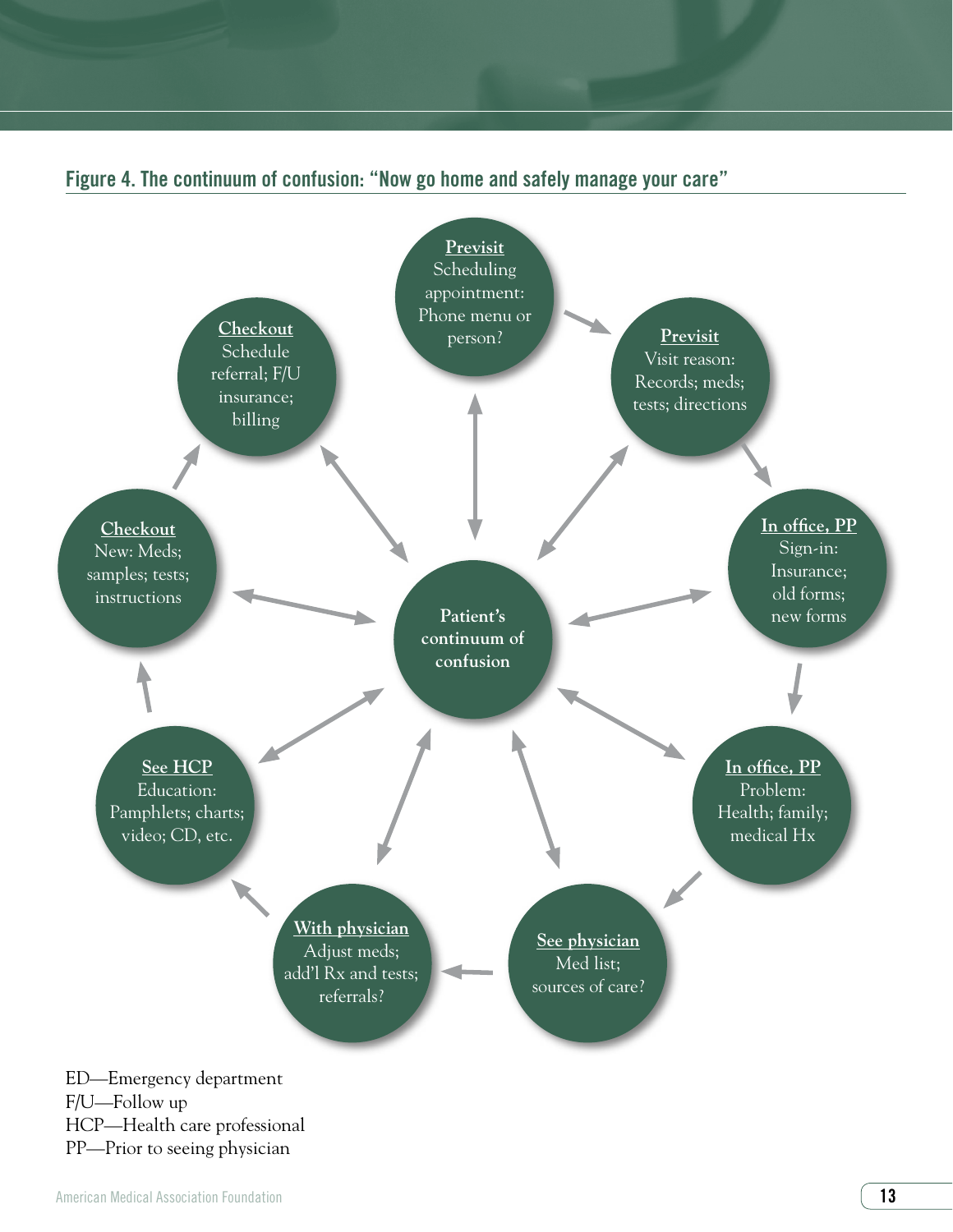

# Figure 4. The continuum of confusion: "Now go home and safely manage your care"

F/U—Follow up HCP—Health care professional PP—Prior to seeing physician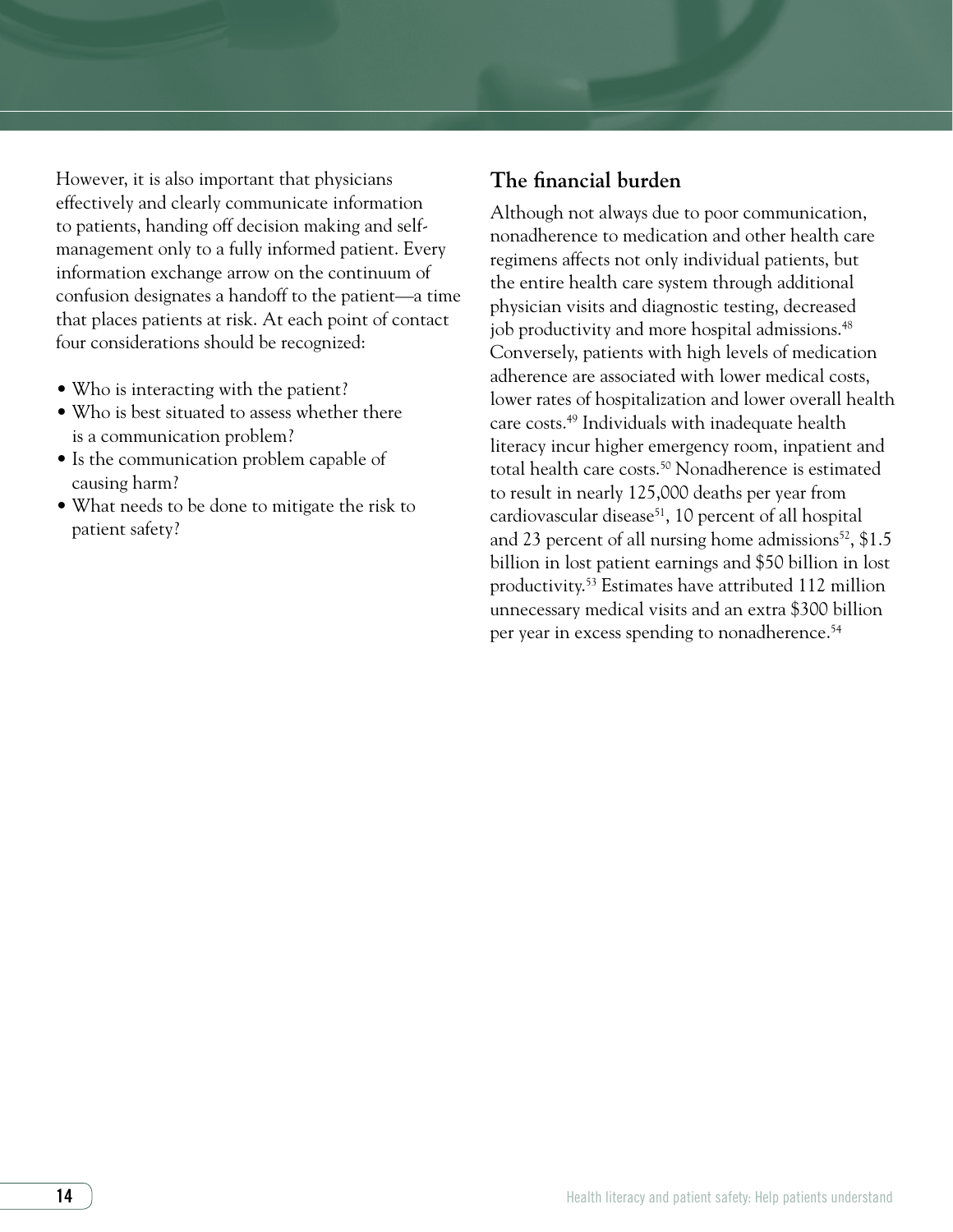However, it is also important that physicians effectively and clearly communicate information to patients, handing off decision making and selfmanagement only to a fully informed patient. Every information exchange arrow on the continuum of confusion designates a handoff to the patient—a time that places patients at risk. At each point of contact four considerations should be recognized:

- Who is interacting with the patient?
- Who is best situated to assess whether there is a communication problem?
- Is the communication problem capable of causing harm?
- What needs to be done to mitigate the risk to patient safety?

# **The financial burden**

Although not always due to poor communication, nonadherence to medication and other health care regimens affects not only individual patients, but the entire health care system through additional physician visits and diagnostic testing, decreased job productivity and more hospital admissions.<sup>48</sup> Conversely, patients with high levels of medication adherence are associated with lower medical costs, lower rates of hospitalization and lower overall health care costs.49 Individuals with inadequate health literacy incur higher emergency room, inpatient and total health care costs.<sup>50</sup> Nonadherence is estimated to result in nearly 125,000 deaths per year from cardiovascular disease<sup>51</sup>, 10 percent of all hospital and 23 percent of all nursing home admissions<sup>52</sup>, \$1.5 billion in lost patient earnings and \$50 billion in lost productivity.53 Estimates have attributed 112 million unnecessary medical visits and an extra \$300 billion per year in excess spending to nonadherence.<sup>54</sup>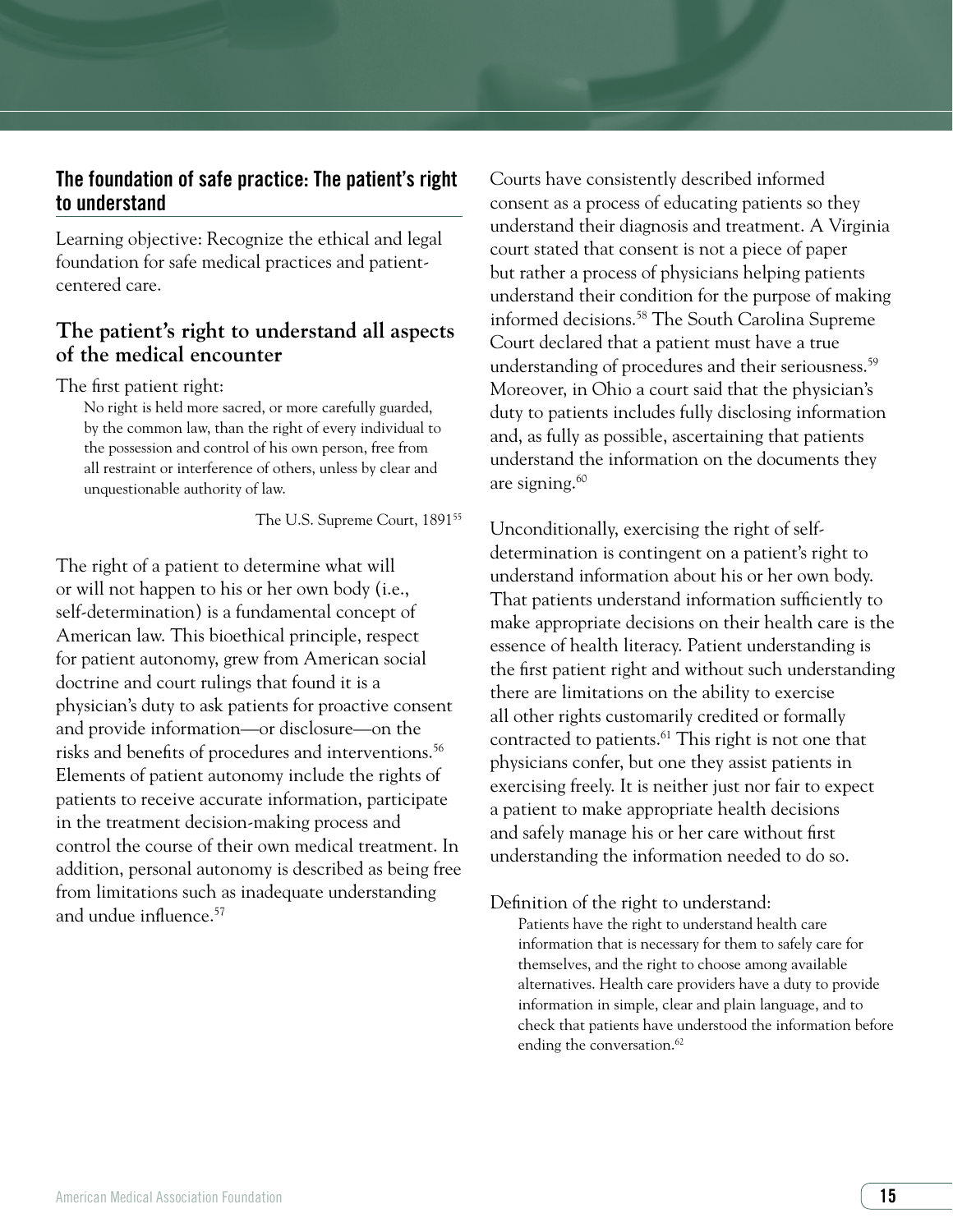# The foundation of safe practice: The patient's right to understand

Learning objective: Recognize the ethical and legal foundation for safe medical practices and patientcentered care.

# **The patient's right to understand all aspects of the medical encounter**

#### The first patient right:

No right is held more sacred, or more carefully guarded, by the common law, than the right of every individual to the possession and control of his own person, free from all restraint or interference of others, unless by clear and unquestionable authority of law.

The U.S. Supreme Court, 1891<sup>55</sup>

The right of a patient to determine what will or will not happen to his or her own body (i.e., self-determination) is a fundamental concept of American law. This bioethical principle, respect for patient autonomy, grew from American social doctrine and court rulings that found it is a physician's duty to ask patients for proactive consent and provide information—or disclosure—on the risks and benefits of procedures and interventions.<sup>56</sup> Elements of patient autonomy include the rights of patients to receive accurate information, participate in the treatment decision-making process and control the course of their own medical treatment. In addition, personal autonomy is described as being free from limitations such as inadequate understanding and undue influence.<sup>57</sup>

Courts have consistently described informed consent as a process of educating patients so they understand their diagnosis and treatment. A Virginia court stated that consent is not a piece of paper but rather a process of physicians helping patients understand their condition for the purpose of making informed decisions.58 The South Carolina Supreme Court declared that a patient must have a true understanding of procedures and their seriousness.<sup>59</sup> Moreover, in Ohio a court said that the physician's duty to patients includes fully disclosing information and, as fully as possible, ascertaining that patients understand the information on the documents they are signing.60

Unconditionally, exercising the right of selfdetermination is contingent on a patient's right to understand information about his or her own body. That patients understand information sufficiently to make appropriate decisions on their health care is the essence of health literacy. Patient understanding is the first patient right and without such understanding there are limitations on the ability to exercise all other rights customarily credited or formally contracted to patients.<sup>61</sup> This right is not one that physicians confer, but one they assist patients in exercising freely. It is neither just nor fair to expect a patient to make appropriate health decisions and safely manage his or her care without first understanding the information needed to do so.

Definition of the right to understand:

Patients have the right to understand health care information that is necessary for them to safely care for themselves, and the right to choose among available alternatives. Health care providers have a duty to provide information in simple, clear and plain language, and to check that patients have understood the information before ending the conversation.<sup>62</sup>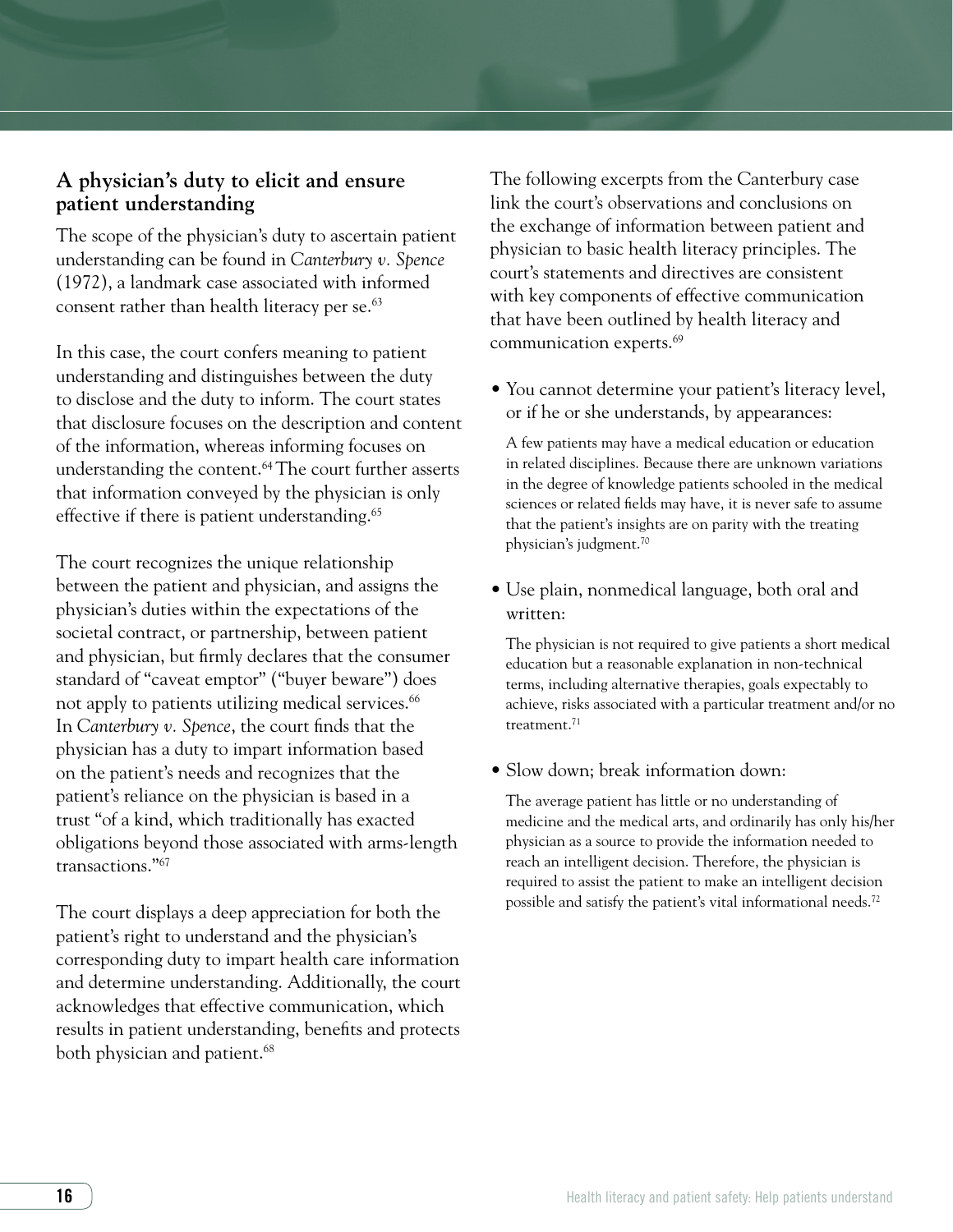# **A physician's duty to elicit and ensure patient understanding**

The scope of the physician's duty to ascertain patient understanding can be found in *Canterbury v. Spence* (1972), a landmark case associated with informed consent rather than health literacy per se.<sup>63</sup>

In this case, the court confers meaning to patient understanding and distinguishes between the duty to disclose and the duty to inform. The court states that disclosure focuses on the description and content of the information, whereas informing focuses on understanding the content.<sup>64</sup> The court further asserts that information conveyed by the physician is only effective if there is patient understanding.<sup>65</sup>

The court recognizes the unique relationship between the patient and physician, and assigns the physician's duties within the expectations of the societal contract, or partnership, between patient and physician, but firmly declares that the consumer standard of "caveat emptor" ("buyer beware") does not apply to patients utilizing medical services.<sup>66</sup> In *Canterbury v. Spence*, the court finds that the physician has a duty to impart information based on the patient's needs and recognizes that the patient's reliance on the physician is based in a trust "of a kind, which traditionally has exacted obligations beyond those associated with arms-length transactions."67

The court displays a deep appreciation for both the patient's right to understand and the physician's corresponding duty to impart health care information and determine understanding. Additionally, the court acknowledges that effective communication, which results in patient understanding, benefits and protects both physician and patient.<sup>68</sup>

The following excerpts from the Canterbury case link the court's observations and conclusions on the exchange of information between patient and physician to basic health literacy principles. The court's statements and directives are consistent with key components of effective communication that have been outlined by health literacy and communication experts.69

• You cannot determine your patient's literacy level, or if he or she understands, by appearances:

A few patients may have a medical education or education in related disciplines. Because there are unknown variations in the degree of knowledge patients schooled in the medical sciences or related fields may have, it is never safe to assume that the patient's insights are on parity with the treating physician's judgment.70

• Use plain, nonmedical language, both oral and written:

The physician is not required to give patients a short medical education but a reasonable explanation in non-technical terms, including alternative therapies, goals expectably to achieve, risks associated with a particular treatment and/or no treatment.<sup>71</sup>

• Slow down; break information down:

The average patient has little or no understanding of medicine and the medical arts, and ordinarily has only his/her physician as a source to provide the information needed to reach an intelligent decision. Therefore, the physician is required to assist the patient to make an intelligent decision possible and satisfy the patient's vital informational needs.72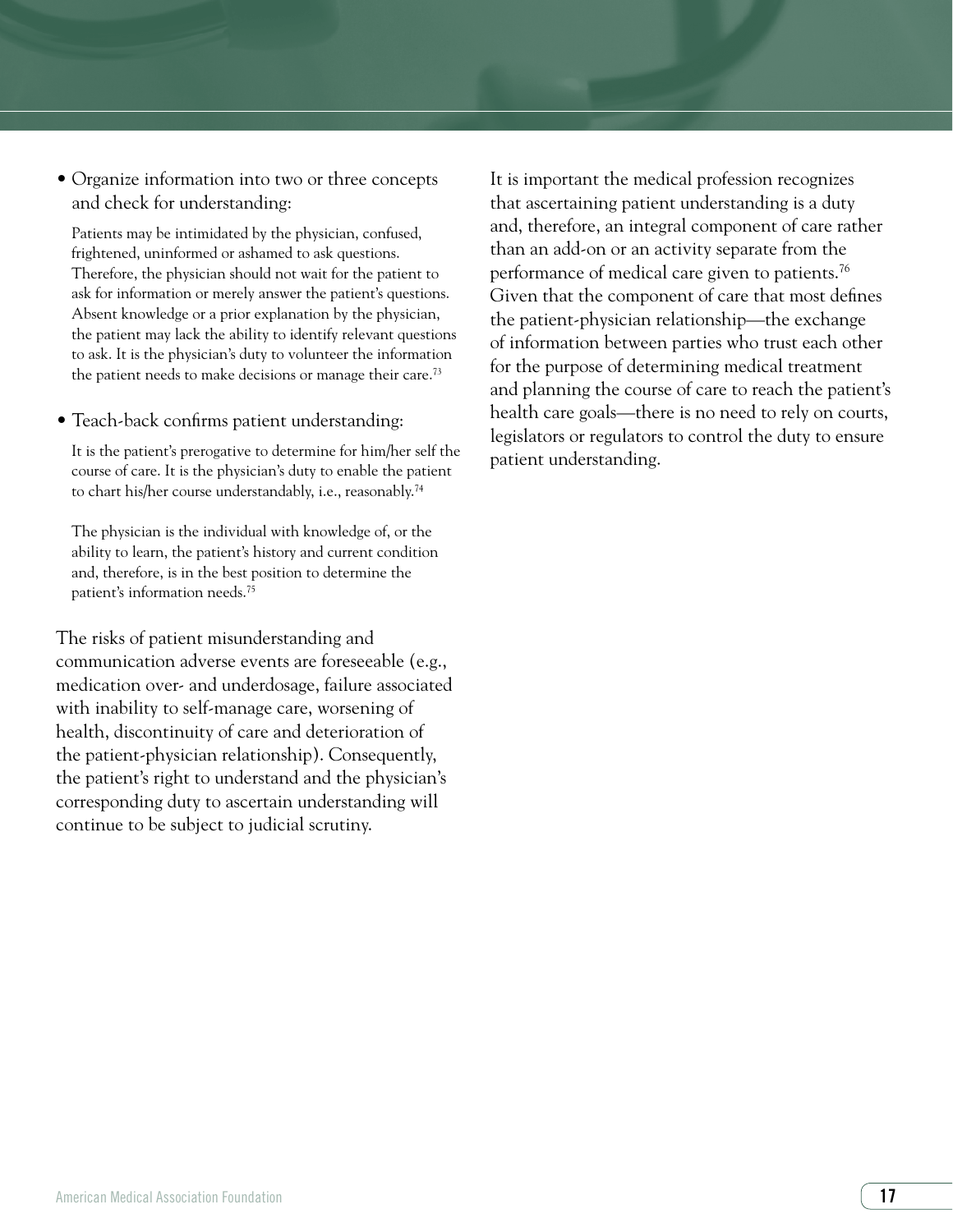• Organize information into two or three concepts and check for understanding:

Patients may be intimidated by the physician, confused, frightened, uninformed or ashamed to ask questions. Therefore, the physician should not wait for the patient to ask for information or merely answer the patient's questions. Absent knowledge or a prior explanation by the physician, the patient may lack the ability to identify relevant questions to ask. It is the physician's duty to volunteer the information the patient needs to make decisions or manage their care.<sup>73</sup>

• Teach-back confirms patient understanding:

It is the patient's prerogative to determine for him/her self the course of care. It is the physician's duty to enable the patient to chart his/her course understandably, i.e., reasonably.74

The physician is the individual with knowledge of, or the ability to learn, the patient's history and current condition and, therefore, is in the best position to determine the patient's information needs.75

The risks of patient misunderstanding and communication adverse events are foreseeable (e.g., medication over- and underdosage, failure associated with inability to self-manage care, worsening of health, discontinuity of care and deterioration of the patient-physician relationship). Consequently, the patient's right to understand and the physician's corresponding duty to ascertain understanding will continue to be subject to judicial scrutiny.

It is important the medical profession recognizes that ascertaining patient understanding is a duty and, therefore, an integral component of care rather than an add-on or an activity separate from the performance of medical care given to patients.76 Given that the component of care that most defines the patient-physician relationship—the exchange of information between parties who trust each other for the purpose of determining medical treatment and planning the course of care to reach the patient's health care goals—there is no need to rely on courts, legislators or regulators to control the duty to ensure patient understanding.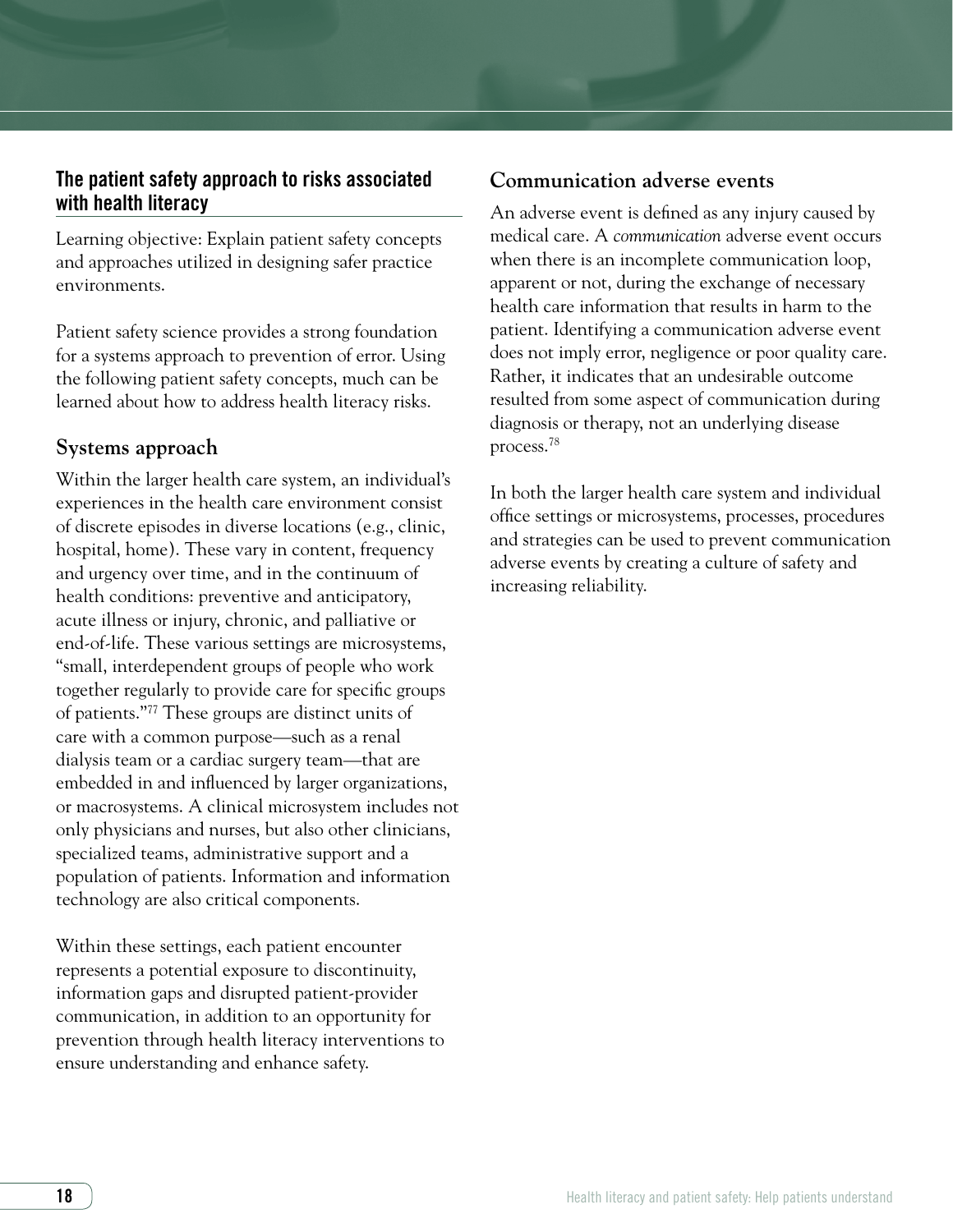# The patient safety approach to risks associated with health literacy

Learning objective: Explain patient safety concepts and approaches utilized in designing safer practice environments.

Patient safety science provides a strong foundation for a systems approach to prevention of error. Using the following patient safety concepts, much can be learned about how to address health literacy risks.

# **Systems approach**

Within the larger health care system, an individual's experiences in the health care environment consist of discrete episodes in diverse locations (e.g., clinic, hospital, home). These vary in content, frequency and urgency over time, and in the continuum of health conditions: preventive and anticipatory, acute illness or injury, chronic, and palliative or end-of-life. These various settings are microsystems, "small, interdependent groups of people who work together regularly to provide care for specific groups of patients."77 These groups are distinct units of care with a common purpose—such as a renal dialysis team or a cardiac surgery team—that are embedded in and influenced by larger organizations, or macrosystems. A clinical microsystem includes not only physicians and nurses, but also other clinicians, specialized teams, administrative support and a population of patients. Information and information technology are also critical components.

Within these settings, each patient encounter represents a potential exposure to discontinuity, information gaps and disrupted patient-provider communication, in addition to an opportunity for prevention through health literacy interventions to ensure understanding and enhance safety.

# **Communication adverse events**

An adverse event is defined as any injury caused by medical care. A *communication* adverse event occurs when there is an incomplete communication loop, apparent or not, during the exchange of necessary health care information that results in harm to the patient. Identifying a communication adverse event does not imply error, negligence or poor quality care. Rather, it indicates that an undesirable outcome resulted from some aspect of communication during diagnosis or therapy, not an underlying disease process.78

In both the larger health care system and individual office settings or microsystems, processes, procedures and strategies can be used to prevent communication adverse events by creating a culture of safety and increasing reliability.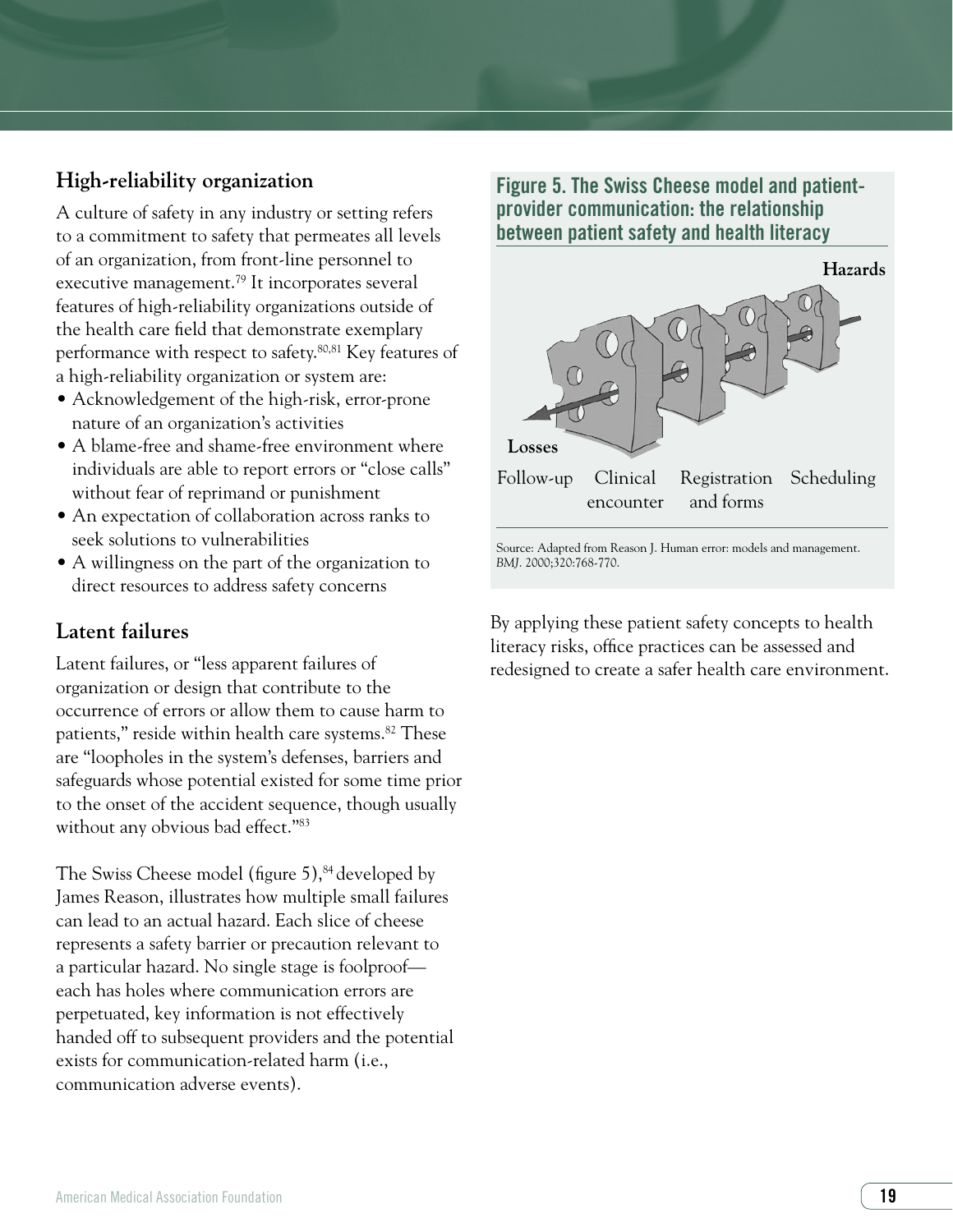# **High-reliability organization**

A culture of safety in any industry or setting refers to a commitment to safety that permeates all levels of an organization, from front-line personnel to executive management.79 It incorporates several features of high-reliability organizations outside of the health care field that demonstrate exemplary performance with respect to safety.80,81 Key features of a high-reliability organization or system are:

- Acknowledgement of the high-risk, error-prone nature of an organization's activities
- A blame-free and shame-free environment where individuals are able to report errors or "close calls" without fear of reprimand or punishment
- An expectation of collaboration across ranks to seek solutions to vulnerabilities
- A willingness on the part of the organization to direct resources to address safety concerns

# **Latent failures**

Latent failures, or "less apparent failures of organization or design that contribute to the occurrence of errors or allow them to cause harm to patients," reside within health care systems.<sup>82</sup> These are "loopholes in the system's defenses, barriers and safeguards whose potential existed for some time prior to the onset of the accident sequence, though usually without any obvious bad effect."<sup>83</sup>

The Swiss Cheese model (figure  $5$ ),  $84$  developed by James Reason, illustrates how multiple small failures can lead to an actual hazard. Each slice of cheese represents a safety barrier or precaution relevant to a particular hazard. No single stage is foolproof each has holes where communication errors are perpetuated, key information is not effectively handed off to subsequent providers and the potential exists for communication-related harm (i.e., communication adverse events).

Figure 5. The Swiss Cheese model and patientprovider communication: the relationship between patient safety and health literacy



Source: Adapted from Reason J. Human error: models and management. *BMJ*. 2000;320:768-770.

By applying these patient safety concepts to health literacy risks, office practices can be assessed and redesigned to create a safer health care environment.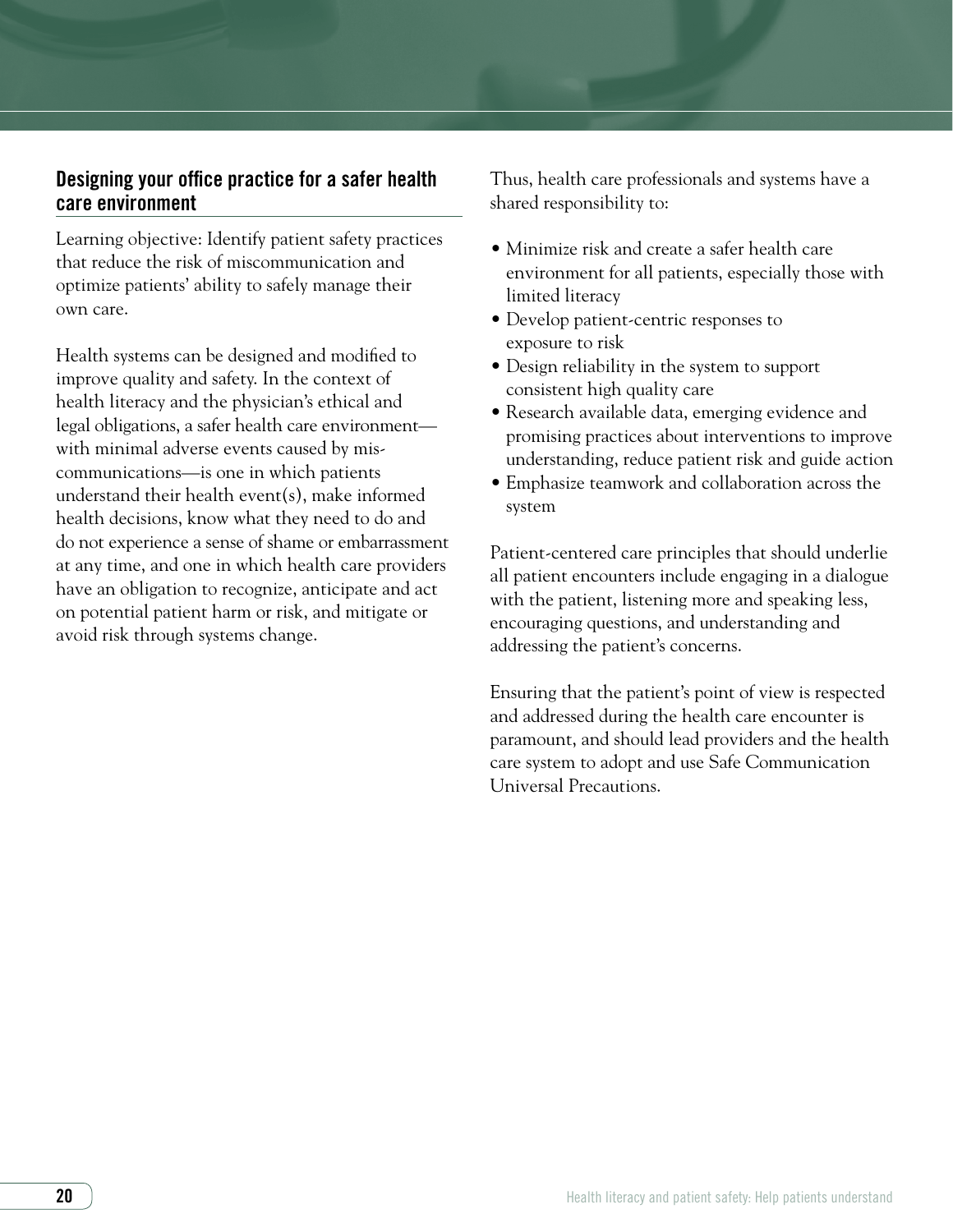# Designing your office practice for a safer health care environment

Learning objective: Identify patient safety practices that reduce the risk of miscommunication and optimize patients' ability to safely manage their own care.

Health systems can be designed and modified to improve quality and safety. In the context of health literacy and the physician's ethical and legal obligations, a safer health care environment with minimal adverse events caused by miscommunications—is one in which patients understand their health event(s), make informed health decisions, know what they need to do and do not experience a sense of shame or embarrassment at any time, and one in which health care providers have an obligation to recognize, anticipate and act on potential patient harm or risk, and mitigate or avoid risk through systems change.

Thus, health care professionals and systems have a shared responsibility to:

- Minimize risk and create a safer health care environment for all patients, especially those with limited literacy
- Develop patient-centric responses to exposure to risk
- Design reliability in the system to support consistent high quality care
- Research available data, emerging evidence and promising practices about interventions to improve understanding, reduce patient risk and guide action
- Emphasize teamwork and collaboration across the system

Patient-centered care principles that should underlie all patient encounters include engaging in a dialogue with the patient, listening more and speaking less, encouraging questions, and understanding and addressing the patient's concerns.

Ensuring that the patient's point of view is respected and addressed during the health care encounter is paramount, and should lead providers and the health care system to adopt and use Safe Communication Universal Precautions.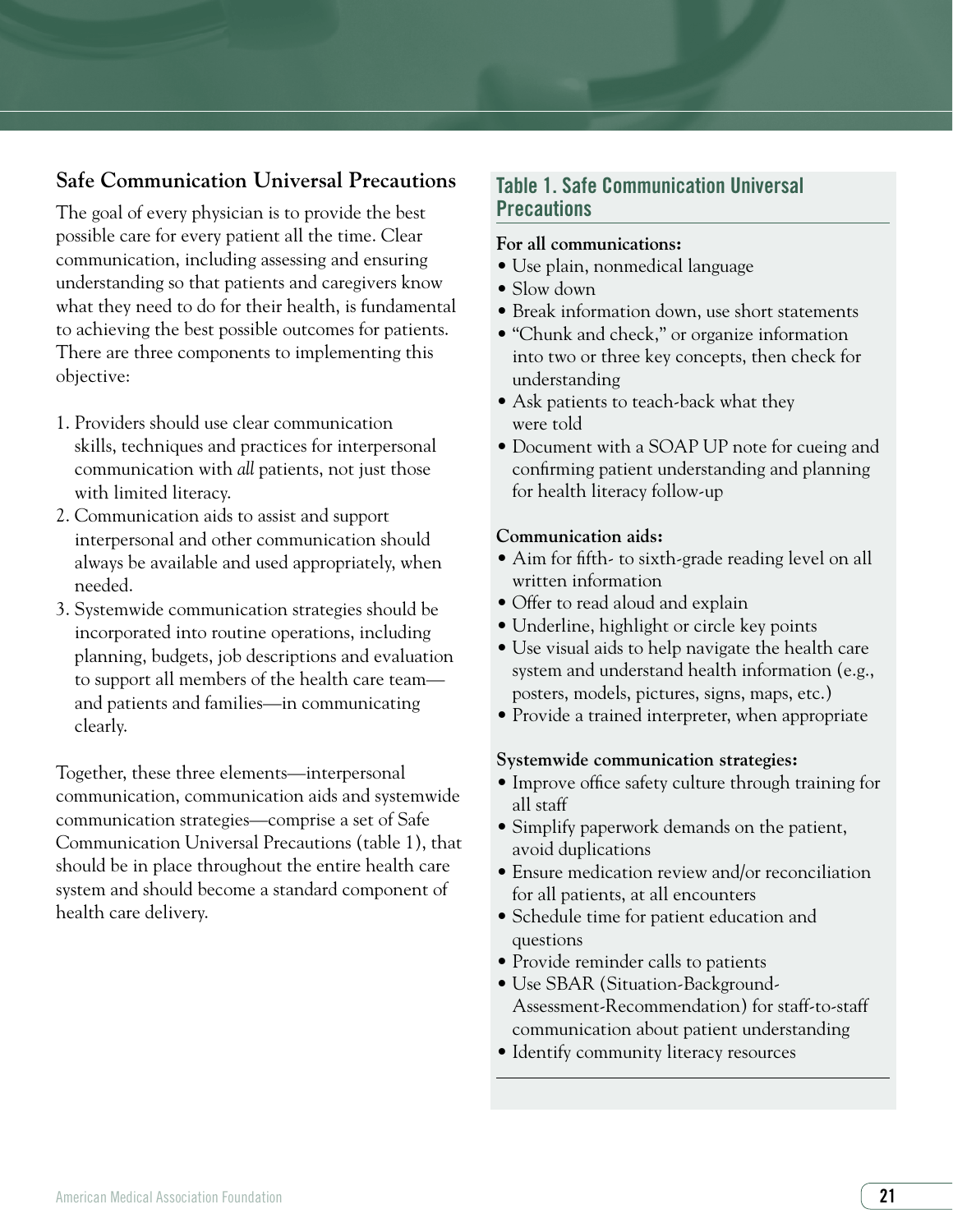# **Safe Communication Universal Precautions**

The goal of every physician is to provide the best possible care for every patient all the time. Clear communication, including assessing and ensuring understanding so that patients and caregivers know what they need to do for their health, is fundamental to achieving the best possible outcomes for patients. There are three components to implementing this objective:

- 1. Providers should use clear communication skills, techniques and practices for interpersonal communication with *all* patients, not just those with limited literacy.
- 2. Communication aids to assist and support interpersonal and other communication should always be available and used appropriately, when needed.
- 3. Systemwide communication strategies should be incorporated into routine operations, including planning, budgets, job descriptions and evaluation to support all members of the health care team and patients and families—in communicating clearly.

Together, these three elements—interpersonal communication, communication aids and systemwide communication strategies—comprise a set of Safe Communication Universal Precautions (table 1), that should be in place throughout the entire health care system and should become a standard component of health care delivery.

# Table 1. Safe Communication Universal **Precautions**

#### **For all communications:**

- Use plain, nonmedical language
- Slow down
- Break information down, use short statements
- "Chunk and check," or organize information into two or three key concepts, then check for understanding
- Ask patients to teach-back what they were told
- Document with a SOAP UP note for cueing and confirming patient understanding and planning for health literacy follow-up

#### **Communication aids:**

- Aim for fifth- to sixth-grade reading level on all written information
- Offer to read aloud and explain
- Underline, highlight or circle key points
- Use visual aids to help navigate the health care system and understand health information (e.g., posters, models, pictures, signs, maps, etc.)
- Provide a trained interpreter, when appropriate

#### **Systemwide communication strategies:**

- Improve office safety culture through training for all staff
- Simplify paperwork demands on the patient, avoid duplications
- Ensure medication review and/or reconciliation for all patients, at all encounters
- Schedule time for patient education and questions
- Provide reminder calls to patients
- Use SBAR (Situation-Background-Assessment-Recommendation) for staff-to-staff communication about patient understanding
- Identify community literacy resources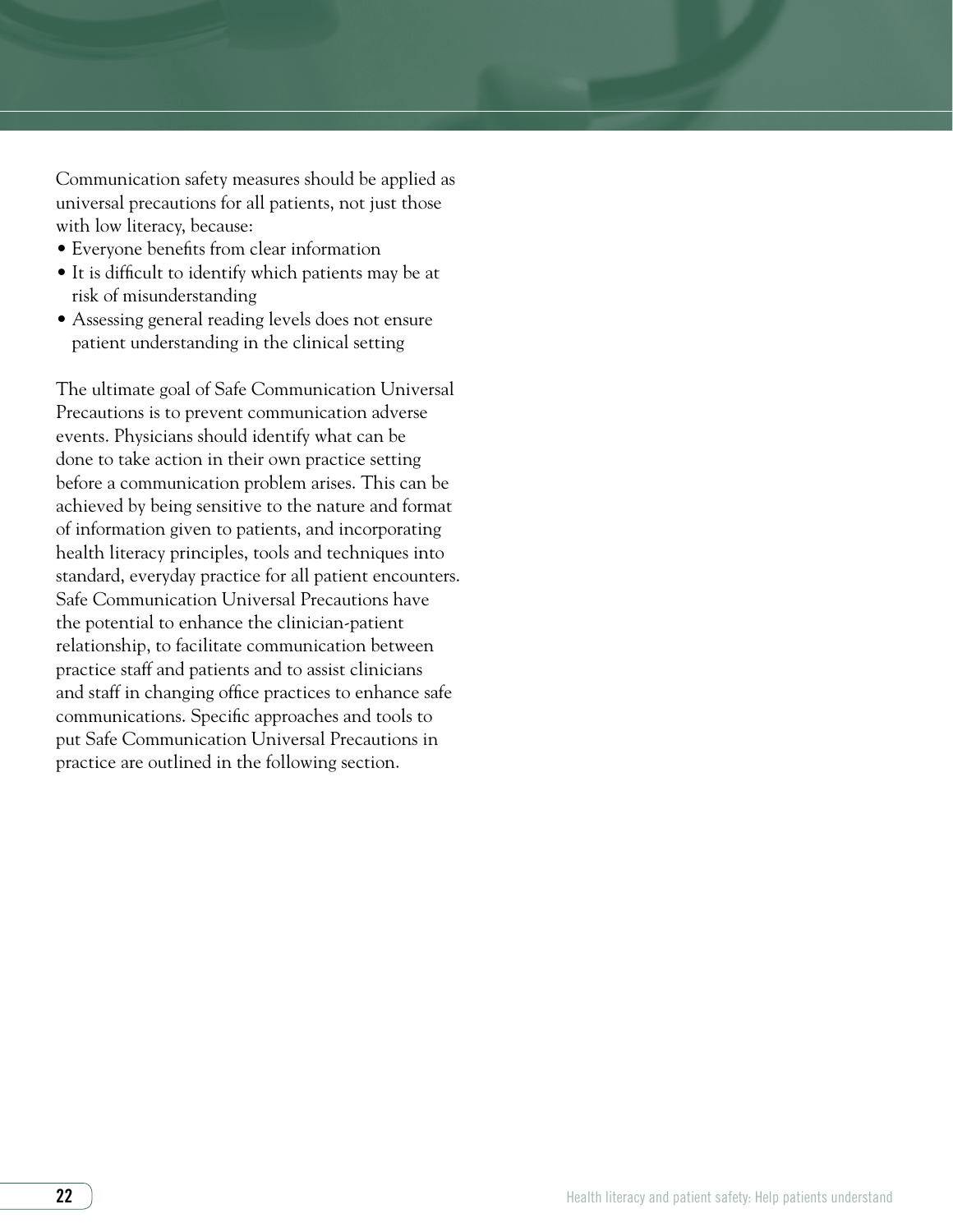Communication safety measures should be applied as universal precautions for all patients, not just those with low literacy, because:

- Everyone benefits from clear information
- It is difficult to identify which patients may be at risk of misunderstanding
- Assessing general reading levels does not ensure patient understanding in the clinical setting

The ultimate goal of Safe Communication Universal Precautions is to prevent communication adverse events. Physicians should identify what can be done to take action in their own practice setting before a communication problem arises. This can be achieved by being sensitive to the nature and format of information given to patients, and incorporating health literacy principles, tools and techniques into standard, everyday practice for all patient encounters. Safe Communication Universal Precautions have the potential to enhance the clinician-patient relationship, to facilitate communication between practice staff and patients and to assist clinicians and staff in changing office practices to enhance safe communications. Specific approaches and tools to put Safe Communication Universal Precautions in practice are outlined in the following section.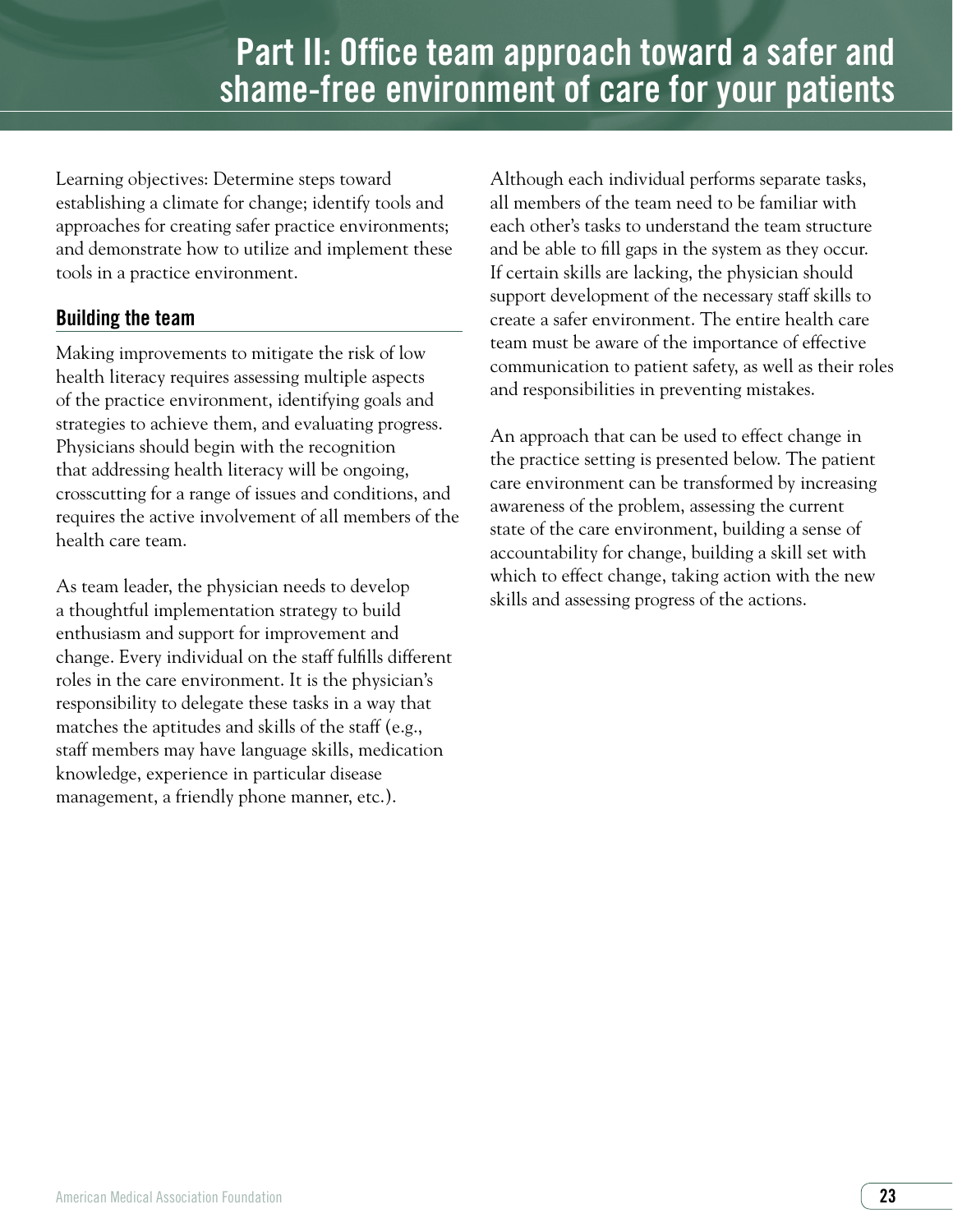Learning objectives: Determine steps toward establishing a climate for change; identify tools and approaches for creating safer practice environments; and demonstrate how to utilize and implement these tools in a practice environment.

# Building the team

Making improvements to mitigate the risk of low health literacy requires assessing multiple aspects of the practice environment, identifying goals and strategies to achieve them, and evaluating progress. Physicians should begin with the recognition that addressing health literacy will be ongoing, crosscutting for a range of issues and conditions, and requires the active involvement of all members of the health care team.

As team leader, the physician needs to develop a thoughtful implementation strategy to build enthusiasm and support for improvement and change. Every individual on the staff fulfills different roles in the care environment. It is the physician's responsibility to delegate these tasks in a way that matches the aptitudes and skills of the staff (e.g., staff members may have language skills, medication knowledge, experience in particular disease management, a friendly phone manner, etc.).

Although each individual performs separate tasks, all members of the team need to be familiar with each other's tasks to understand the team structure and be able to fill gaps in the system as they occur. If certain skills are lacking, the physician should support development of the necessary staff skills to create a safer environment. The entire health care team must be aware of the importance of effective communication to patient safety, as well as their roles and responsibilities in preventing mistakes.

An approach that can be used to effect change in the practice setting is presented below. The patient care environment can be transformed by increasing awareness of the problem, assessing the current state of the care environment, building a sense of accountability for change, building a skill set with which to effect change, taking action with the new skills and assessing progress of the actions.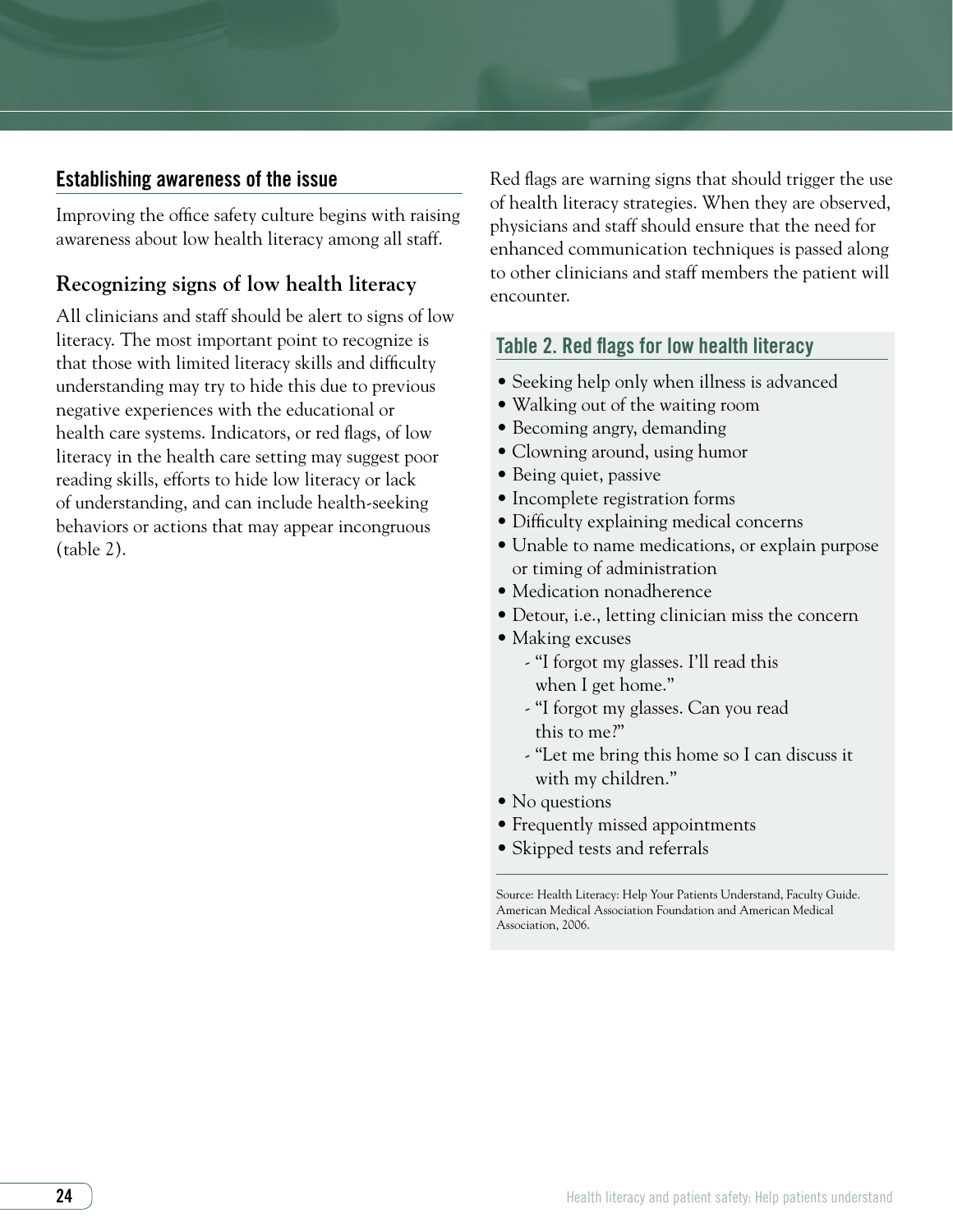# Establishing awareness of the issue

Improving the office safety culture begins with raising awareness about low health literacy among all staff.

# **Recognizing signs of low health literacy**

All clinicians and staff should be alert to signs of low literacy. The most important point to recognize is that those with limited literacy skills and difficulty understanding may try to hide this due to previous negative experiences with the educational or health care systems. Indicators, or red flags, of low literacy in the health care setting may suggest poor reading skills, efforts to hide low literacy or lack of understanding, and can include health-seeking behaviors or actions that may appear incongruous (table 2).

Red flags are warning signs that should trigger the use of health literacy strategies. When they are observed, physicians and staff should ensure that the need for enhanced communication techniques is passed along to other clinicians and staff members the patient will encounter.

# Table 2. Red flags for low health literacy

- Seeking help only when illness is advanced
- Walking out of the waiting room
- Becoming angry, demanding
- Clowning around, using humor
- Being quiet, passive
- Incomplete registration forms
- Difficulty explaining medical concerns
- Unable to name medications, or explain purpose or timing of administration
- Medication nonadherence
- Detour, i.e., letting clinician miss the concern
- Making excuses
	- "I forgot my glasses. I'll read this when I get home."
	- "I forgot my glasses. Can you read this to me?"
	- "Let me bring this home so I can discuss it with my children."
- No questions
- Frequently missed appointments
- Skipped tests and referrals

Source: Health Literacy: Help Your Patients Understand, Faculty Guide. American Medical Association Foundation and American Medical Association, 2006.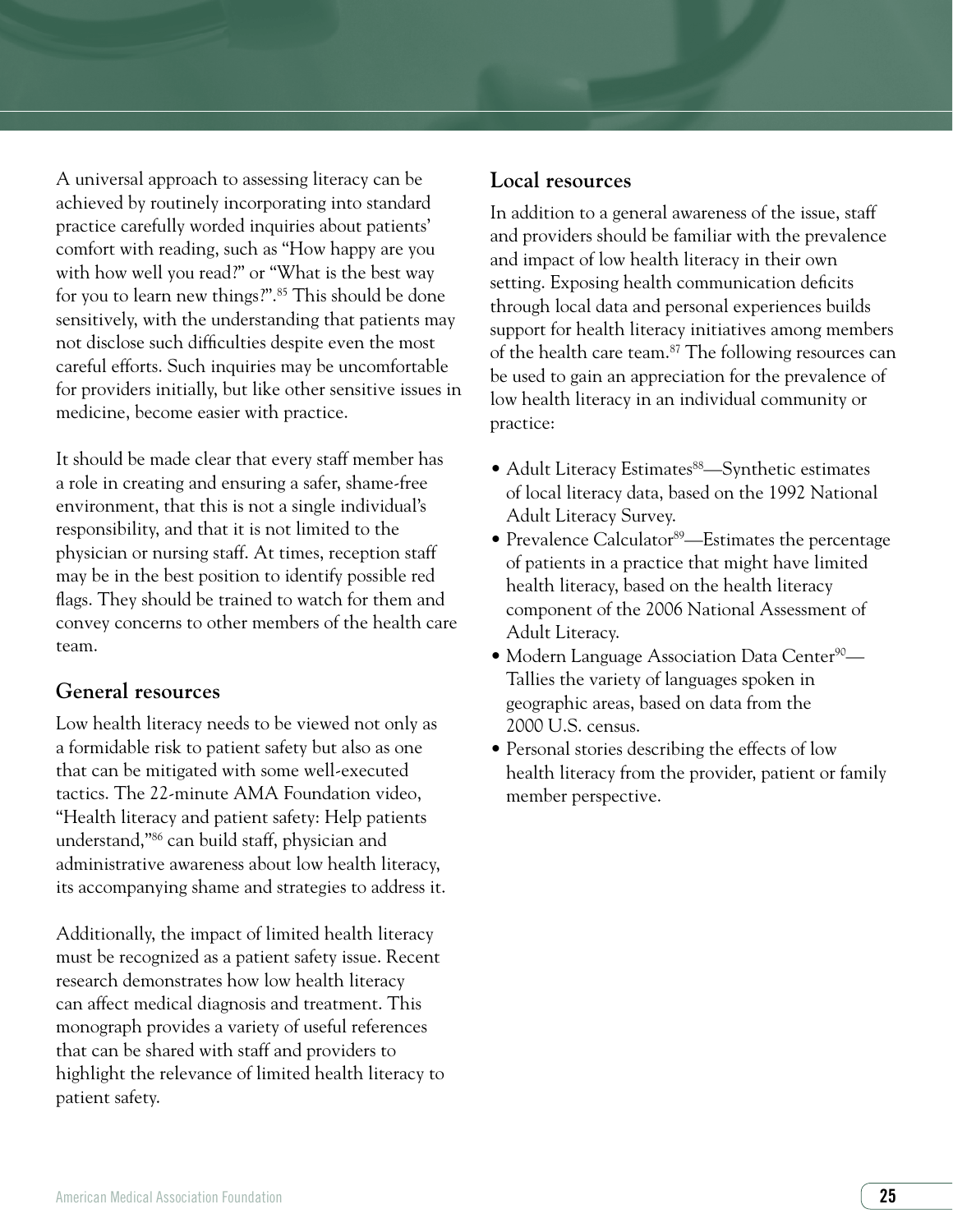A universal approach to assessing literacy can be achieved by routinely incorporating into standard practice carefully worded inquiries about patients' comfort with reading, such as "How happy are you with how well you read?" or "What is the best way for you to learn new things?".85 This should be done sensitively, with the understanding that patients may not disclose such difficulties despite even the most careful efforts. Such inquiries may be uncomfortable for providers initially, but like other sensitive issues in medicine, become easier with practice.

It should be made clear that every staff member has a role in creating and ensuring a safer, shame-free environment, that this is not a single individual's responsibility, and that it is not limited to the physician or nursing staff. At times, reception staff may be in the best position to identify possible red flags. They should be trained to watch for them and convey concerns to other members of the health care team.

# **General resources**

Low health literacy needs to be viewed not only as a formidable risk to patient safety but also as one that can be mitigated with some well-executed tactics. The 22-minute AMA Foundation video, "Health literacy and patient safety: Help patients understand,"86 can build staff, physician and administrative awareness about low health literacy, its accompanying shame and strategies to address it.

Additionally, the impact of limited health literacy must be recognized as a patient safety issue. Recent research demonstrates how low health literacy can affect medical diagnosis and treatment. This monograph provides a variety of useful references that can be shared with staff and providers to highlight the relevance of limited health literacy to patient safety.

#### **Local resources**

In addition to a general awareness of the issue, staff and providers should be familiar with the prevalence and impact of low health literacy in their own setting. Exposing health communication deficits through local data and personal experiences builds support for health literacy initiatives among members of the health care team.<sup>87</sup> The following resources can be used to gain an appreciation for the prevalence of low health literacy in an individual community or practice:

- Adult Literacy Estimates<sup>88</sup>—Synthetic estimates of local literacy data, based on the 1992 National Adult Literacy Survey.
- Prevalence Calculator<sup>89</sup>—Estimates the percentage of patients in a practice that might have limited health literacy, based on the health literacy component of the 2006 National Assessment of Adult Literacy.
- Modern Language Association Data Center<sup>90</sup>— Tallies the variety of languages spoken in geographic areas, based on data from the 2000 U.S. census.
- Personal stories describing the effects of low health literacy from the provider, patient or family member perspective.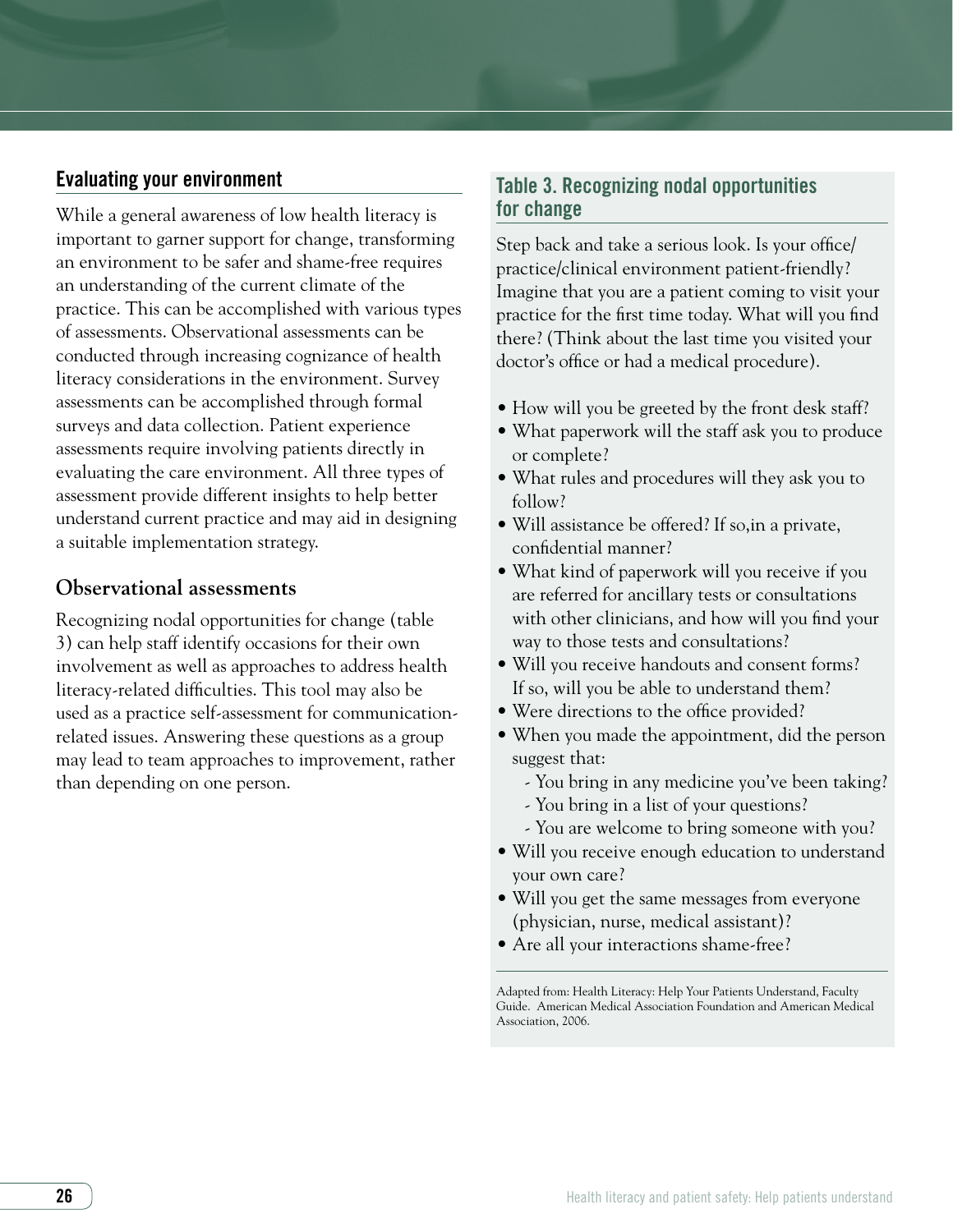# Evaluating your environment

While a general awareness of low health literacy is important to garner support for change, transforming an environment to be safer and shame-free requires an understanding of the current climate of the practice. This can be accomplished with various types of assessments. Observational assessments can be conducted through increasing cognizance of health literacy considerations in the environment. Survey assessments can be accomplished through formal surveys and data collection. Patient experience assessments require involving patients directly in evaluating the care environment. All three types of assessment provide different insights to help better understand current practice and may aid in designing a suitable implementation strategy.

# **Observational assessments**

Recognizing nodal opportunities for change (table 3) can help staff identify occasions for their own involvement as well as approaches to address health literacy-related difficulties. This tool may also be used as a practice self-assessment for communicationrelated issues. Answering these questions as a group may lead to team approaches to improvement, rather than depending on one person.

# Table 3. Recognizing nodal opportunities for change

Step back and take a serious look. Is your office/ practice/clinical environment patient-friendly? Imagine that you are a patient coming to visit your practice for the first time today. What will you find there? (Think about the last time you visited your doctor's office or had a medical procedure).

- How will you be greeted by the front desk staff?
- What paperwork will the staff ask you to produce or complete?
- What rules and procedures will they ask you to follow?
- Will assistance be offered? If so,in a private, confidential manner?
- What kind of paperwork will you receive if you are referred for ancillary tests or consultations with other clinicians, and how will you find your way to those tests and consultations?
- Will you receive handouts and consent forms? If so, will you be able to understand them?
- Were directions to the office provided?
- When you made the appointment, did the person suggest that:
	- You bring in any medicine you've been taking?
	- You bring in a list of your questions?
	- You are welcome to bring someone with you?
- Will you receive enough education to understand your own care?
- Will you get the same messages from everyone (physician, nurse, medical assistant)?
- Are all your interactions shame-free?

Adapted from: Health Literacy: Help Your Patients Understand, Faculty Guide. American Medical Association Foundation and American Medical Association, 2006.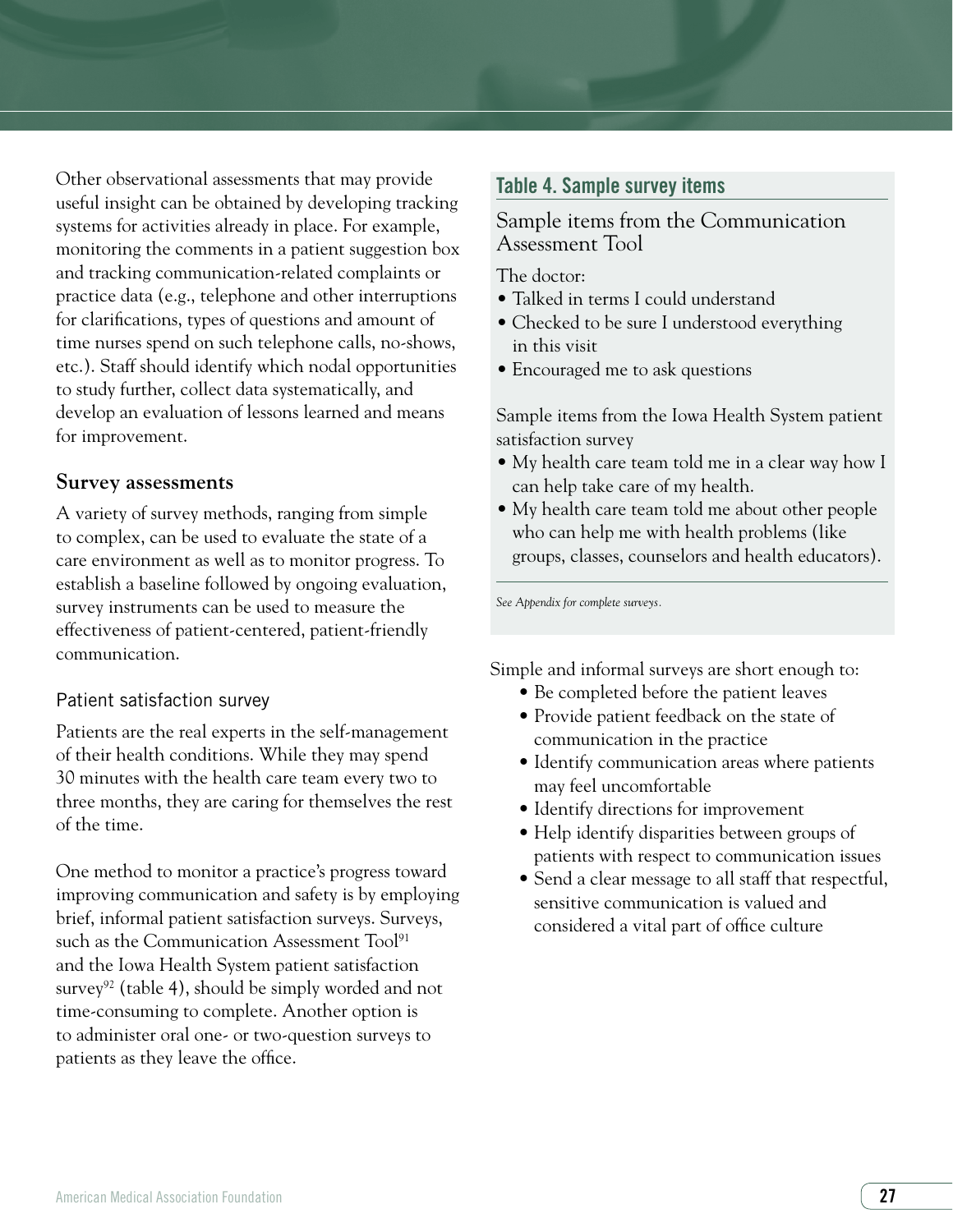Other observational assessments that may provide useful insight can be obtained by developing tracking systems for activities already in place. For example, monitoring the comments in a patient suggestion box and tracking communication-related complaints or practice data (e.g., telephone and other interruptions for clarifications, types of questions and amount of time nurses spend on such telephone calls, no-shows, etc.). Staff should identify which nodal opportunities to study further, collect data systematically, and develop an evaluation of lessons learned and means for improvement.

#### **Survey assessments**

A variety of survey methods, ranging from simple to complex, can be used to evaluate the state of a care environment as well as to monitor progress. To establish a baseline followed by ongoing evaluation, survey instruments can be used to measure the effectiveness of patient-centered, patient-friendly communication.

# Patient satisfaction survey

Patients are the real experts in the self-management of their health conditions. While they may spend 30 minutes with the health care team every two to three months, they are caring for themselves the rest of the time.

One method to monitor a practice's progress toward improving communication and safety is by employing brief, informal patient satisfaction surveys. Surveys, such as the Communication Assessment Tool<sup>91</sup> and the Iowa Health System patient satisfaction survey<sup>92</sup> (table 4), should be simply worded and not time-consuming to complete. Another option is to administer oral one- or two-question surveys to patients as they leave the office.

# Table 4. Sample survey items

# Sample items from the Communication Assessment Tool

The doctor:

- Talked in terms I could understand
- Checked to be sure I understood everything in this visit
- Encouraged me to ask questions

Sample items from the Iowa Health System patient satisfaction survey

- My health care team told me in a clear way how I can help take care of my health.
- My health care team told me about other people who can help me with health problems (like groups, classes, counselors and health educators).

*See Appendix for complete surveys.*

Simple and informal surveys are short enough to:

- Be completed before the patient leaves
- Provide patient feedback on the state of communication in the practice
- Identify communication areas where patients may feel uncomfortable
- Identify directions for improvement
- Help identify disparities between groups of patients with respect to communication issues
- Send a clear message to all staff that respectful, sensitive communication is valued and considered a vital part of office culture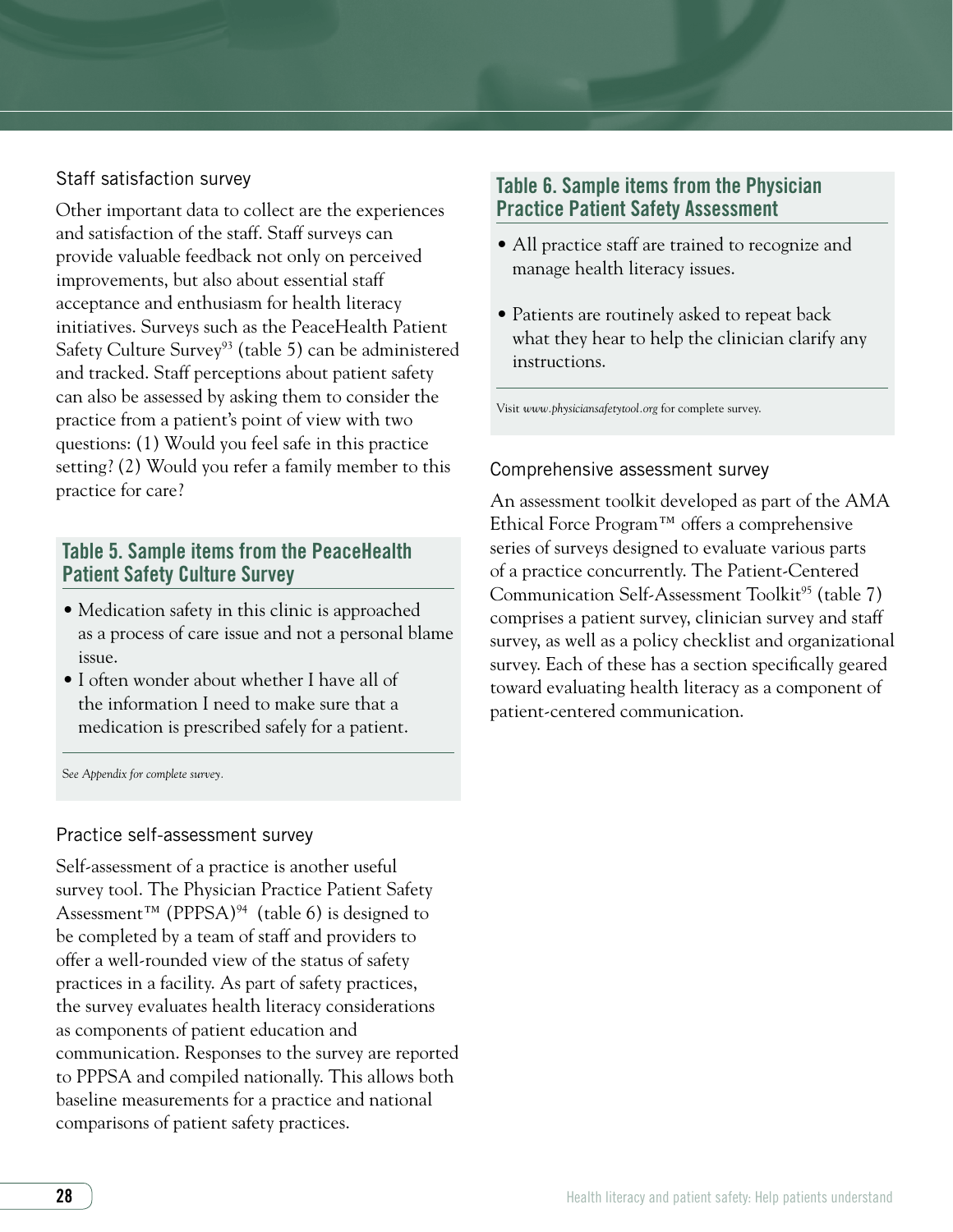# Staff satisfaction survey

Other important data to collect are the experiences and satisfaction of the staff. Staff surveys can provide valuable feedback not only on perceived improvements, but also about essential staff acceptance and enthusiasm for health literacy initiatives. Surveys such as the PeaceHealth Patient Safety Culture Survey<sup>93</sup> (table 5) can be administered and tracked. Staff perceptions about patient safety can also be assessed by asking them to consider the practice from a patient's point of view with two questions: (1) Would you feel safe in this practice setting? (2) Would you refer a family member to this practice for care?

# Table 5. Sample items from the PeaceHealth Patient Safety Culture Survey

- Medication safety in this clinic is approached as a process of care issue and not a personal blame issue.
- I often wonder about whether I have all of the information I need to make sure that a medication is prescribed safely for a patient.

S*ee Appendix for complete survey.*

#### Practice self-assessment survey

Self-assessment of a practice is another useful survey tool. The Physician Practice Patient Safety Assessment<sup>™</sup> (PPPSA)<sup>94</sup> (table 6) is designed to be completed by a team of staff and providers to offer a well-rounded view of the status of safety practices in a facility. As part of safety practices, the survey evaluates health literacy considerations as components of patient education and communication. Responses to the survey are reported to PPPSA and compiled nationally. This allows both baseline measurements for a practice and national comparisons of patient safety practices.

# Table 6. Sample items from the Physician Practice Patient Safety Assessment

- All practice staff are trained to recognize and manage health literacy issues.
- Patients are routinely asked to repeat back what they hear to help the clinician clarify any instructions.

Visit *www.physiciansafetytool.org* for complete survey.

#### Comprehensive assessment survey

An assessment toolkit developed as part of the AMA Ethical Force Program™ offers a comprehensive series of surveys designed to evaluate various parts of a practice concurrently. The Patient-Centered Communication Self-Assessment Toolkit<sup>95</sup> (table 7) comprises a patient survey, clinician survey and staff survey, as well as a policy checklist and organizational survey. Each of these has a section specifically geared toward evaluating health literacy as a component of patient-centered communication.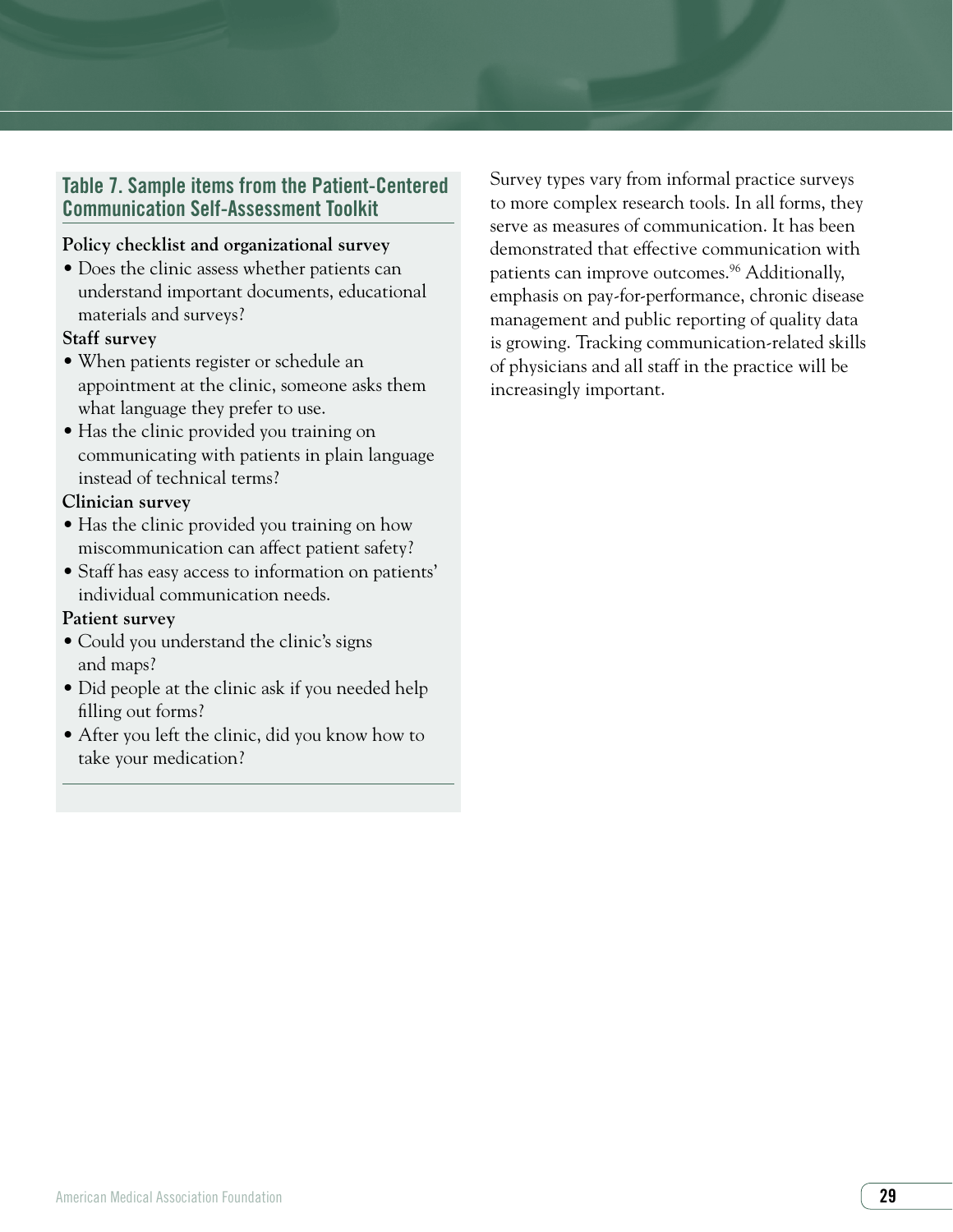# Table 7. Sample items from the Patient-Centered Communication Self-Assessment Toolkit

#### **Policy checklist and organizational survey**

• Does the clinic assess whether patients can understand important documents, educational materials and surveys?

#### **Staff survey**

- When patients register or schedule an appointment at the clinic, someone asks them what language they prefer to use.
- Has the clinic provided you training on communicating with patients in plain language instead of technical terms?

#### **Clinician survey**

- Has the clinic provided you training on how miscommunication can affect patient safety?
- Staff has easy access to information on patients' individual communication needs.

#### **Patient survey**

- Could you understand the clinic's signs and maps?
- Did people at the clinic ask if you needed help filling out forms?
- After you left the clinic, did you know how to take your medication?

Survey types vary from informal practice surveys to more complex research tools. In all forms, they serve as measures of communication. It has been demonstrated that effective communication with patients can improve outcomes.<sup>96</sup> Additionally, emphasis on pay-for-performance, chronic disease management and public reporting of quality data is growing. Tracking communication-related skills of physicians and all staff in the practice will be increasingly important.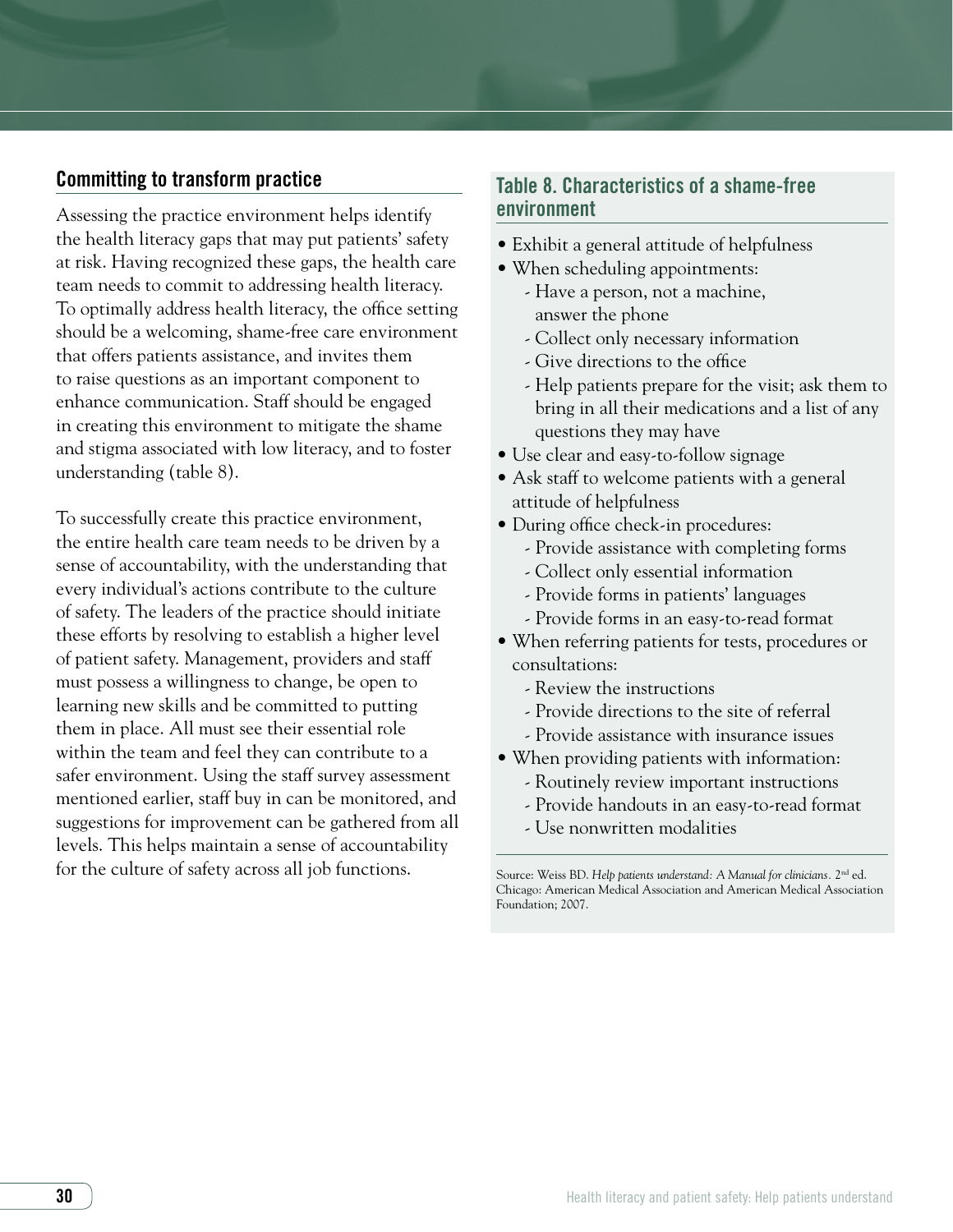# Committing to transform practice

Assessing the practice environment helps identify the health literacy gaps that may put patients' safety at risk. Having recognized these gaps, the health care team needs to commit to addressing health literacy. To optimally address health literacy, the office setting should be a welcoming, shame-free care environment that offers patients assistance, and invites them to raise questions as an important component to enhance communication. Staff should be engaged in creating this environment to mitigate the shame and stigma associated with low literacy, and to foster understanding (table 8).

To successfully create this practice environment, the entire health care team needs to be driven by a sense of accountability, with the understanding that every individual's actions contribute to the culture of safety. The leaders of the practice should initiate these efforts by resolving to establish a higher level of patient safety. Management, providers and staff must possess a willingness to change, be open to learning new skills and be committed to putting them in place. All must see their essential role within the team and feel they can contribute to a safer environment. Using the staff survey assessment mentioned earlier, staff buy in can be monitored, and suggestions for improvement can be gathered from all levels. This helps maintain a sense of accountability for the culture of safety across all job functions.

# Table 8. Characteristics of a shame-free environment

- Exhibit a general attitude of helpfulness
- When scheduling appointments:
	- Have a person, not a machine, answer the phone
	- Collect only necessary information
	- Give directions to the office
	- Help patients prepare for the visit; ask them to bring in all their medications and a list of any questions they may have
- Use clear and easy-to-follow signage
- Ask staff to welcome patients with a general attitude of helpfulness
- During office check-in procedures:
	- Provide assistance with completing forms
	- Collect only essential information
	- Provide forms in patients' languages
	- Provide forms in an easy-to-read format
- When referring patients for tests, procedures or consultations:
	- Review the instructions
	- Provide directions to the site of referral
	- Provide assistance with insurance issues
- When providing patients with information:
	- Routinely review important instructions
	- Provide handouts in an easy-to-read format
	- Use nonwritten modalities

Source: Weiss BD. *Help patients understand: A Manual for clinicians.* 2nd ed. Chicago: American Medical Association and American Medical Association Foundation; 2007.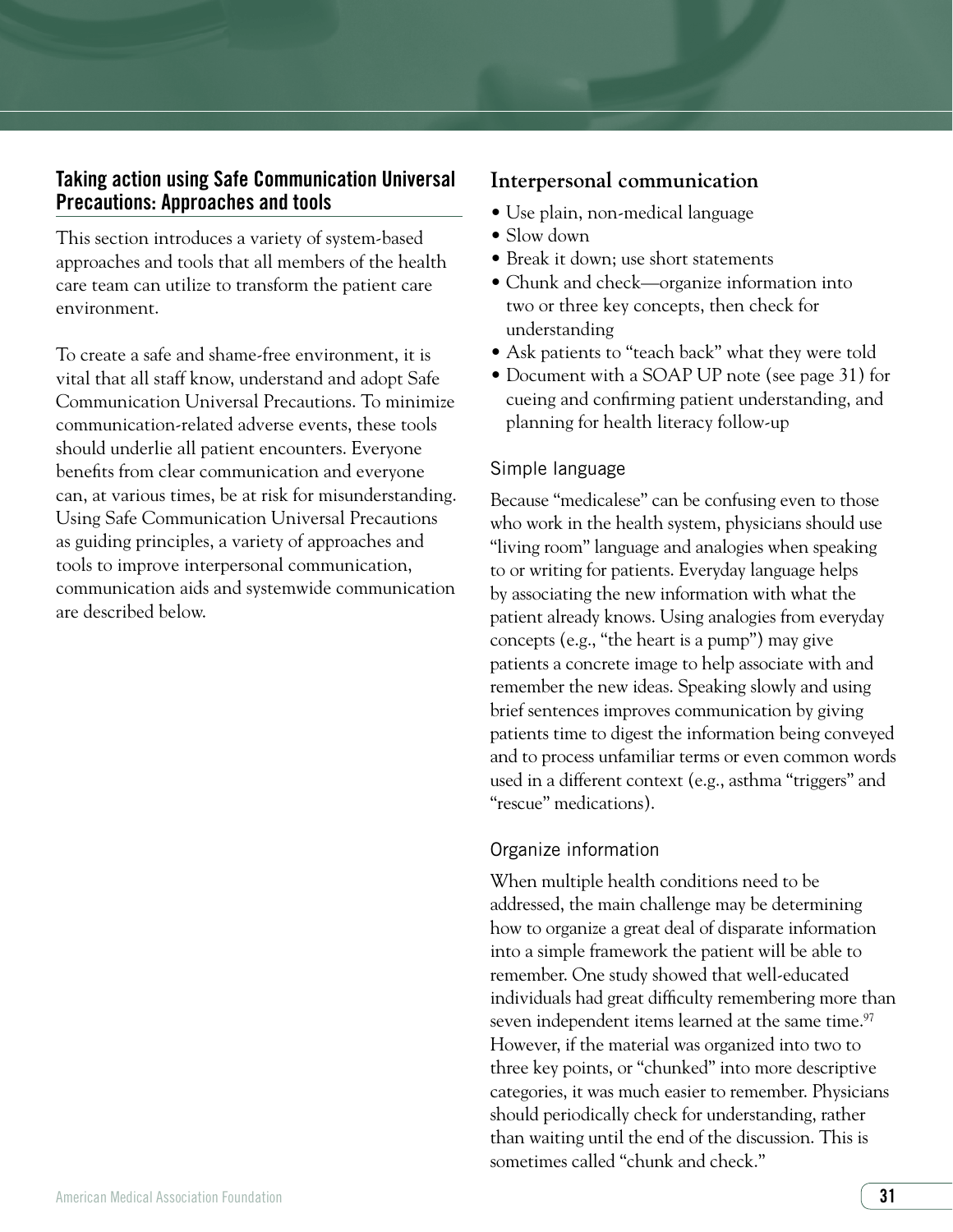# Taking action using Safe Communication Universal Precautions: Approaches and tools

This section introduces a variety of system-based approaches and tools that all members of the health care team can utilize to transform the patient care environment.

To create a safe and shame-free environment, it is vital that all staff know, understand and adopt Safe Communication Universal Precautions. To minimize communication-related adverse events, these tools should underlie all patient encounters. Everyone benefits from clear communication and everyone can, at various times, be at risk for misunderstanding. Using Safe Communication Universal Precautions as guiding principles, a variety of approaches and tools to improve interpersonal communication, communication aids and systemwide communication are described below.

# **Interpersonal communication**

- Use plain, non-medical language
- $\bullet$  Slow down
- Break it down: use short statements
- Chunk and check—organize information into two or three key concepts, then check for understanding
- Ask patients to "teach back" what they were told
- Document with a SOAP UP note (see page 31) for cueing and confirming patient understanding, and planning for health literacy follow-up

# Simple language

Because "medicalese" can be confusing even to those who work in the health system, physicians should use "living room" language and analogies when speaking to or writing for patients. Everyday language helps by associating the new information with what the patient already knows. Using analogies from everyday concepts (e.g., "the heart is a pump") may give patients a concrete image to help associate with and remember the new ideas. Speaking slowly and using brief sentences improves communication by giving patients time to digest the information being conveyed and to process unfamiliar terms or even common words used in a different context (e.g., asthma "triggers" and "rescue" medications).

# Organize information

When multiple health conditions need to be addressed, the main challenge may be determining how to organize a great deal of disparate information into a simple framework the patient will be able to remember. One study showed that well-educated individuals had great difficulty remembering more than seven independent items learned at the same time.<sup>97</sup> However, if the material was organized into two to three key points, or "chunked" into more descriptive categories, it was much easier to remember. Physicians should periodically check for understanding, rather than waiting until the end of the discussion. This is sometimes called "chunk and check."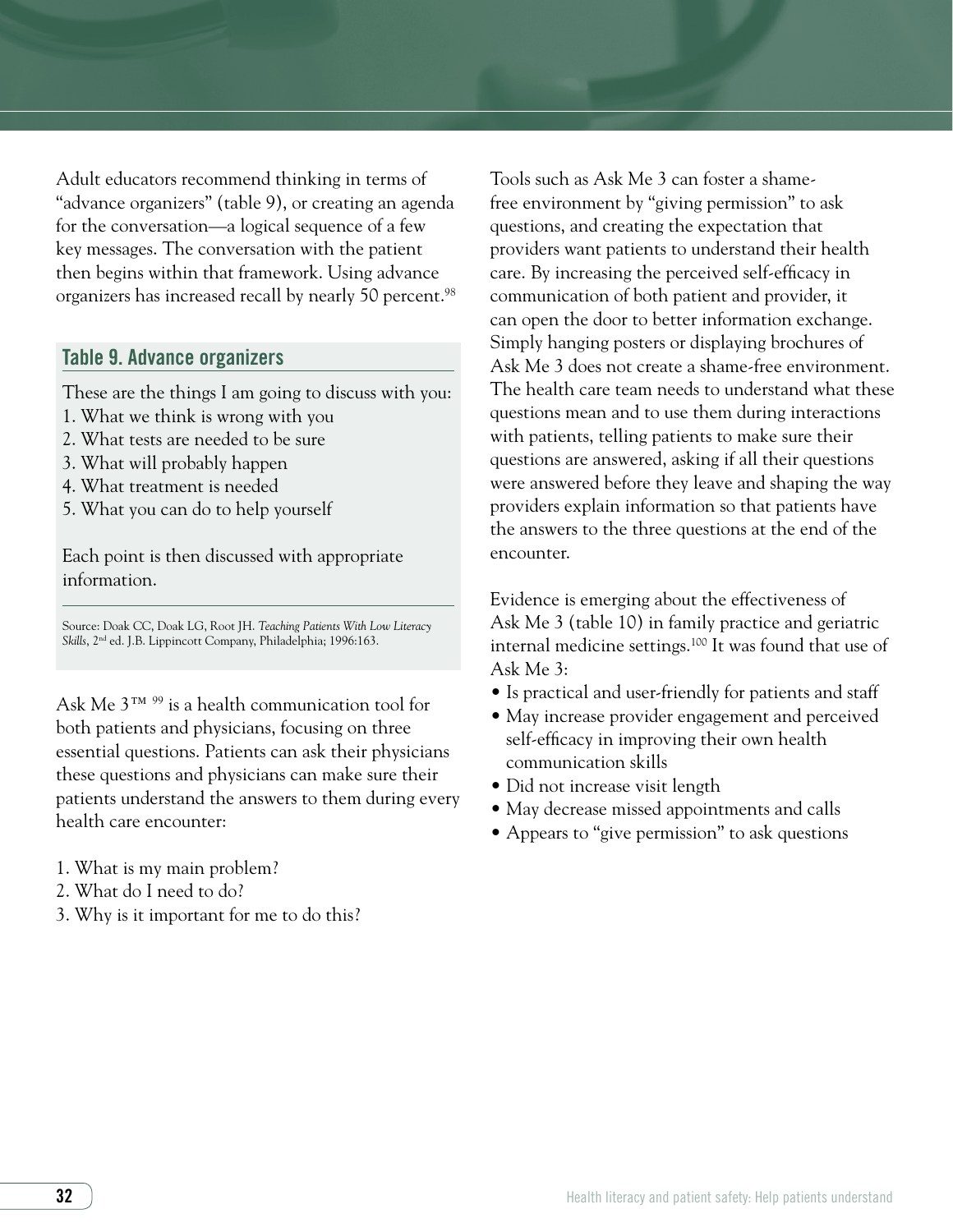Adult educators recommend thinking in terms of "advance organizers" (table 9), or creating an agenda for the conversation—a logical sequence of a few key messages. The conversation with the patient then begins within that framework. Using advance organizers has increased recall by nearly 50 percent.<sup>98</sup>

#### Table 9. Advance organizers

These are the things I am going to discuss with you:

- 1. What we think is wrong with you
- 2. What tests are needed to be sure
- 3. What will probably happen
- 4. What treatment is needed
- 5. What you can do to help yourself

Each point is then discussed with appropriate information.

Source: Doak CC, Doak LG, Root JH. *Teaching Patients With Low Literacy Skills*, 2nd ed. J.B. Lippincott Company, Philadelphia; 1996:163.

Ask Me 3™ 99 is a health communication tool for both patients and physicians, focusing on three essential questions. Patients can ask their physicians these questions and physicians can make sure their patients understand the answers to them during every health care encounter:

- 1. What is my main problem?
- 2. What do I need to do?
- 3. Why is it important for me to do this?

Tools such as Ask Me 3 can foster a shamefree environment by "giving permission" to ask questions, and creating the expectation that providers want patients to understand their health care. By increasing the perceived self-efficacy in communication of both patient and provider, it can open the door to better information exchange. Simply hanging posters or displaying brochures of Ask Me 3 does not create a shame-free environment. The health care team needs to understand what these questions mean and to use them during interactions with patients, telling patients to make sure their questions are answered, asking if all their questions were answered before they leave and shaping the way providers explain information so that patients have the answers to the three questions at the end of the encounter.

Evidence is emerging about the effectiveness of Ask Me 3 (table 10) in family practice and geriatric internal medicine settings.100 It was found that use of Ask Me 3:

- Is practical and user-friendly for patients and staff
- May increase provider engagement and perceived self-efficacy in improving their own health communication skills
- Did not increase visit length
- May decrease missed appointments and calls
- Appears to "give permission" to ask questions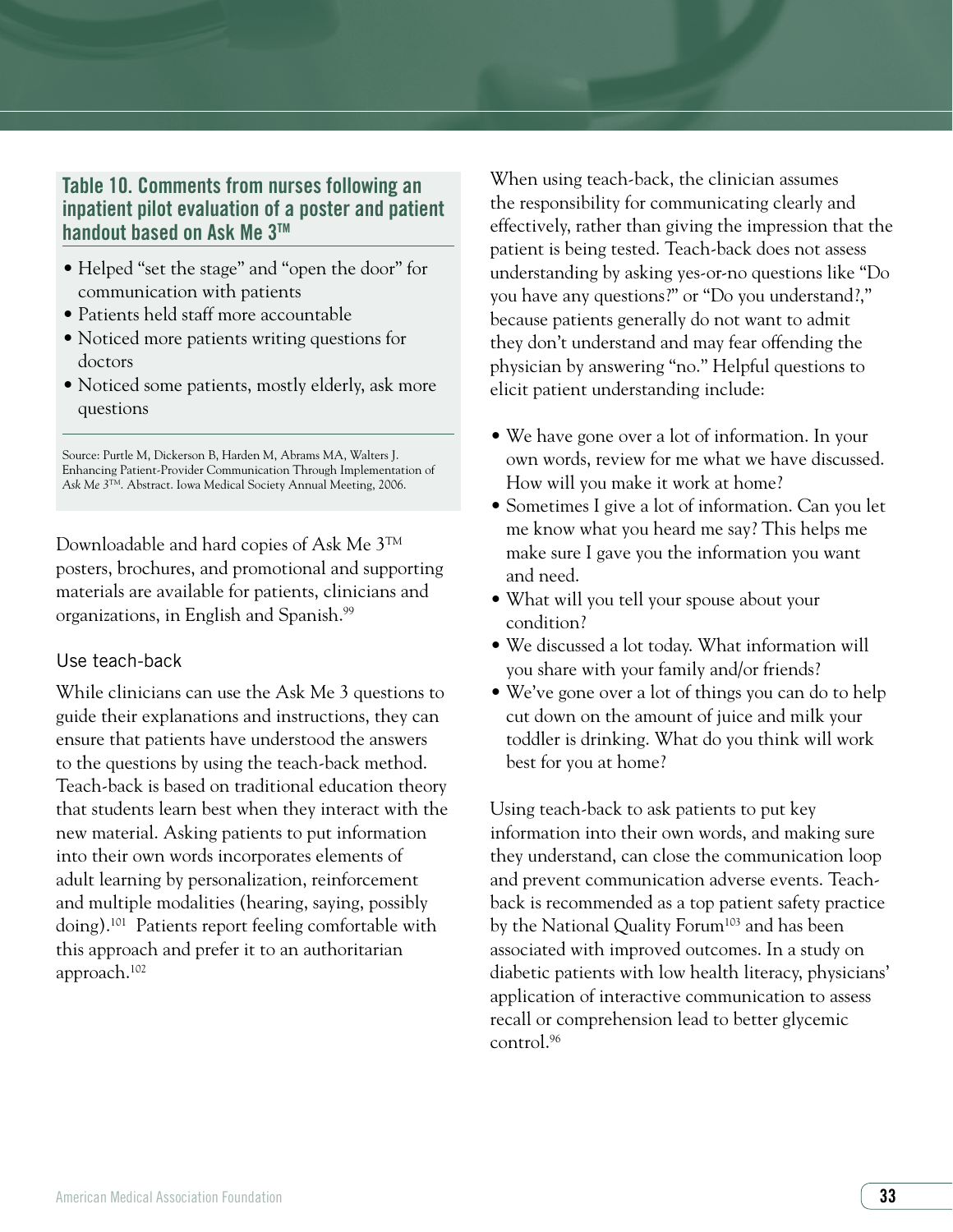# Table 10. Comments from nurses following an inpatient pilot evaluation of a poster and patient handout based on Ask Me 3™

- Helped "set the stage" and "open the door" for communication with patients
- Patients held staff more accountable
- Noticed more patients writing questions for doctors
- Noticed some patients, mostly elderly, ask more questions

Source: Purtle M, Dickerson B, Harden M, Abrams MA, Walters J. Enhancing Patient-Provider Communication Through Implementation of *Ask Me 3*TM. Abstract. Iowa Medical Society Annual Meeting, 2006.

Downloadable and hard copies of Ask Me 3TM posters, brochures, and promotional and supporting materials are available for patients, clinicians and organizations, in English and Spanish.99

#### Use teach-back

While clinicians can use the Ask Me 3 questions to guide their explanations and instructions, they can ensure that patients have understood the answers to the questions by using the teach-back method. Teach-back is based on traditional education theory that students learn best when they interact with the new material. Asking patients to put information into their own words incorporates elements of adult learning by personalization, reinforcement and multiple modalities (hearing, saying, possibly doing).101 Patients report feeling comfortable with this approach and prefer it to an authoritarian approach.102

When using teach-back, the clinician assumes the responsibility for communicating clearly and effectively, rather than giving the impression that the patient is being tested. Teach-back does not assess understanding by asking yes-or-no questions like "Do you have any questions?" or "Do you understand?," because patients generally do not want to admit they don't understand and may fear offending the physician by answering "no." Helpful questions to elicit patient understanding include:

- We have gone over a lot of information. In your own words, review for me what we have discussed. How will you make it work at home?
- Sometimes I give a lot of information. Can you let me know what you heard me say? This helps me make sure I gave you the information you want and need.
- What will you tell your spouse about your condition?
- We discussed a lot today. What information will you share with your family and/or friends?
- We've gone over a lot of things you can do to help cut down on the amount of juice and milk your toddler is drinking. What do you think will work best for you at home?

Using teach-back to ask patients to put key information into their own words, and making sure they understand, can close the communication loop and prevent communication adverse events. Teachback is recommended as a top patient safety practice by the National Quality Forum<sup>103</sup> and has been associated with improved outcomes. In a study on diabetic patients with low health literacy, physicians' application of interactive communication to assess recall or comprehension lead to better glycemic control.96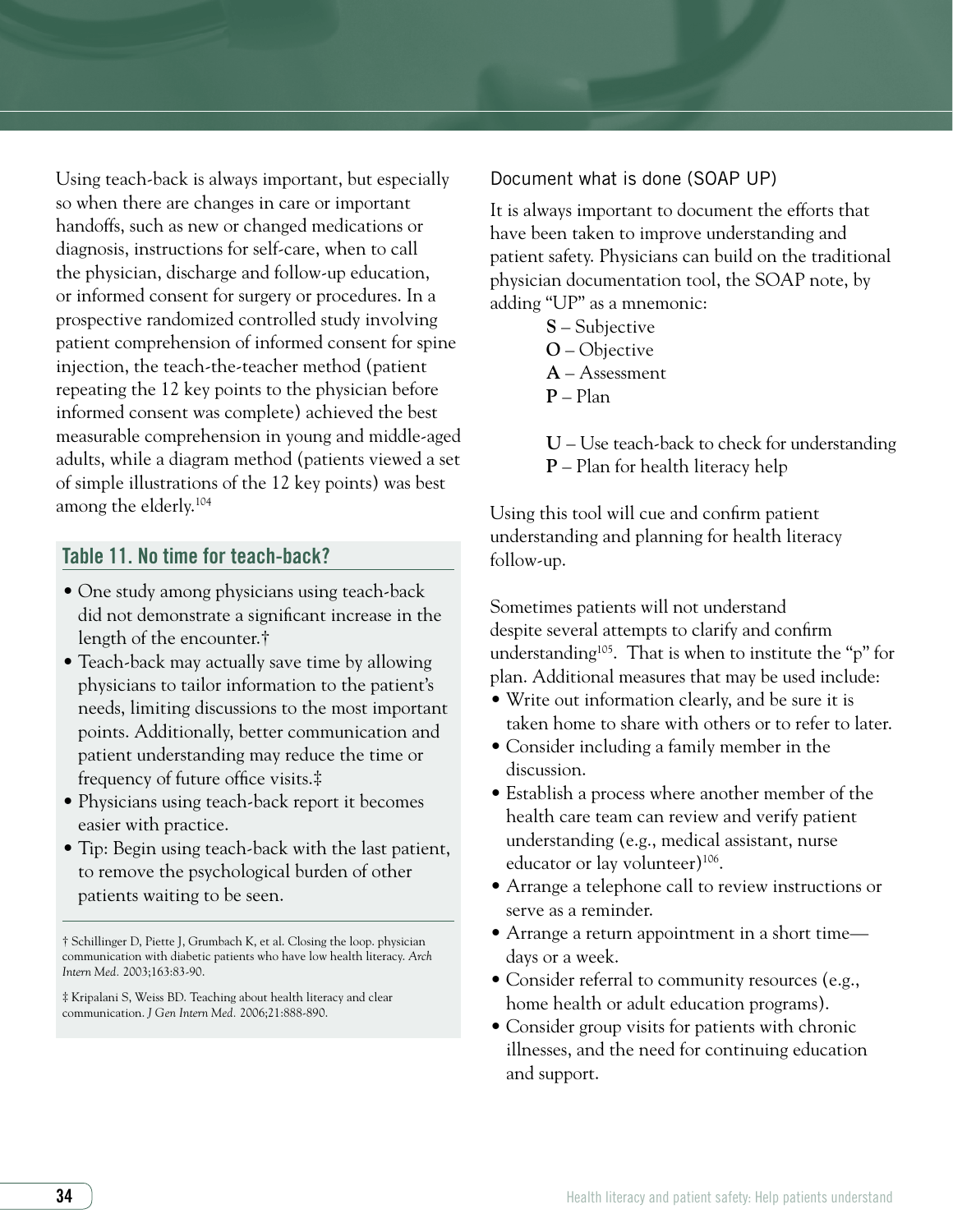Using teach-back is always important, but especially so when there are changes in care or important handoffs, such as new or changed medications or diagnosis, instructions for self-care, when to call the physician, discharge and follow-up education, or informed consent for surgery or procedures. In a prospective randomized controlled study involving patient comprehension of informed consent for spine injection, the teach-the-teacher method (patient repeating the 12 key points to the physician before informed consent was complete) achieved the best measurable comprehension in young and middle-aged adults, while a diagram method (patients viewed a set of simple illustrations of the 12 key points) was best among the elderly.104

#### Table 11. No time for teach-back?

- One study among physicians using teach-back did not demonstrate a significant increase in the length of the encounter.†
- Teach-back may actually save time by allowing physicians to tailor information to the patient's needs, limiting discussions to the most important points. Additionally, better communication and patient understanding may reduce the time or frequency of future office visits.‡
- Physicians using teach-back report it becomes easier with practice.
- Tip: Begin using teach-back with the last patient, to remove the psychological burden of other patients waiting to be seen.

† Schillinger D, Piette J, Grumbach K, et al. Closing the loop. physician communication with diabetic patients who have low health literacy. *Arch Intern Med.* 2003;163:83-90.

‡ Kripalani S, Weiss BD. Teaching about health literacy and clear communication. *J Gen Intern Med.* 2006;21:888-890.

#### Document what is done (SOAP UP)

It is always important to document the efforts that have been taken to improve understanding and patient safety. Physicians can build on the traditional physician documentation tool, the SOAP note, by adding "UP" as a mnemonic:

- **S** Subjective
- **O** Objective
- **A** Assessment
- **P** Plan

**U** – Use teach-back to check for understanding

**P** – Plan for health literacy help

Using this tool will cue and confirm patient understanding and planning for health literacy follow-up.

Sometimes patients will not understand despite several attempts to clarify and confirm understanding105. That is when to institute the "p" for plan. Additional measures that may be used include:

- Write out information clearly, and be sure it is taken home to share with others or to refer to later.
- Consider including a family member in the discussion.
- Establish a process where another member of the health care team can review and verify patient understanding (e.g., medical assistant, nurse educator or lay volunteer)<sup>106</sup>.
- Arrange a telephone call to review instructions or serve as a reminder.
- Arrange a return appointment in a short time days or a week.
- Consider referral to community resources (e.g., home health or adult education programs).
- Consider group visits for patients with chronic illnesses, and the need for continuing education and support.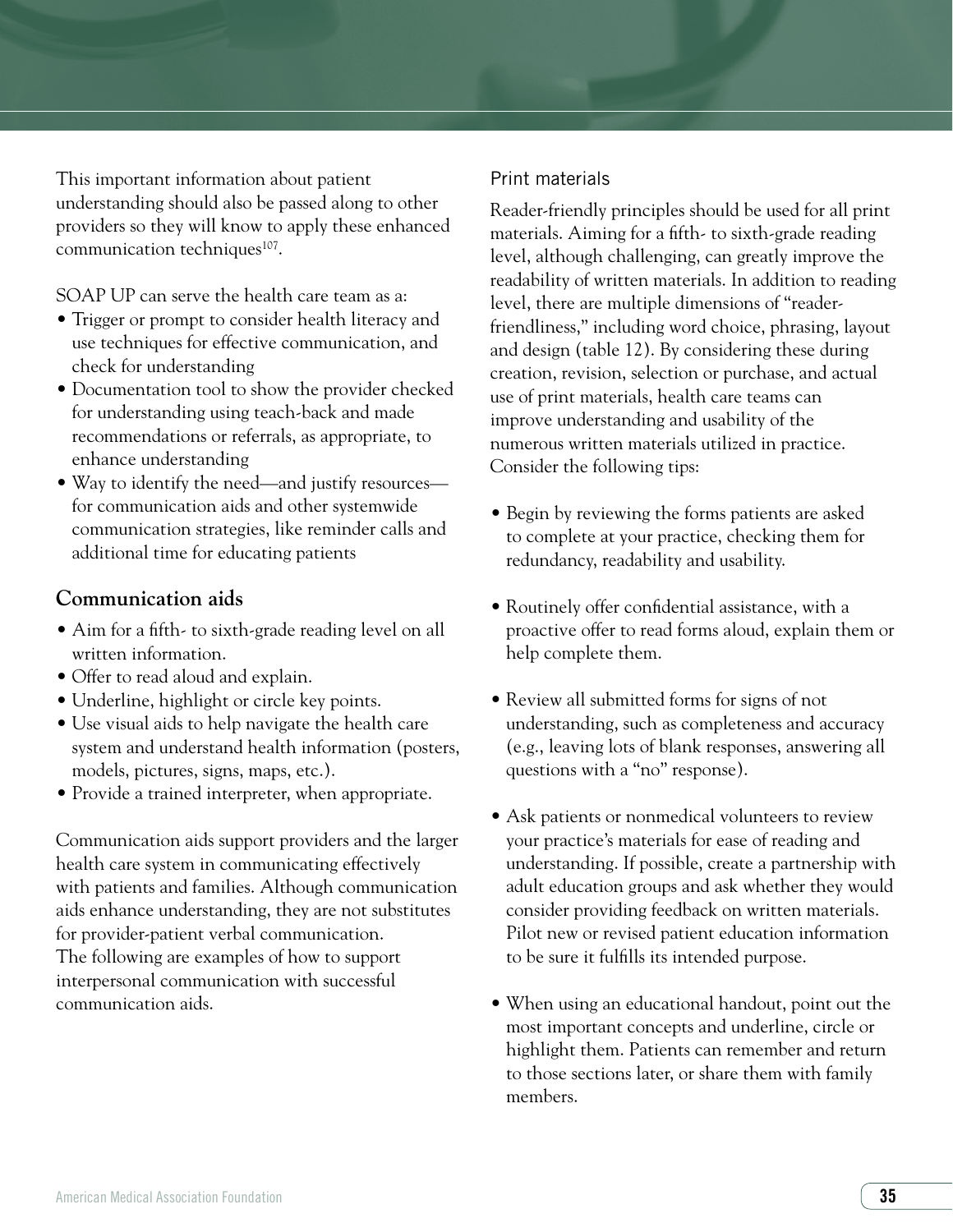This important information about patient understanding should also be passed along to other providers so they will know to apply these enhanced communication techniques<sup>107</sup>.

SOAP UP can serve the health care team as a:

- Trigger or prompt to consider health literacy and use techniques for effective communication, and check for understanding
- Documentation tool to show the provider checked for understanding using teach-back and made recommendations or referrals, as appropriate, to enhance understanding
- Way to identify the need—and justify resources for communication aids and other systemwide communication strategies, like reminder calls and additional time for educating patients

# **Communication aids**

- Aim for a fifth- to sixth-grade reading level on all written information.
- Offer to read aloud and explain.
- Underline, highlight or circle key points.
- Use visual aids to help navigate the health care system and understand health information (posters, models, pictures, signs, maps, etc.).
- Provide a trained interpreter, when appropriate.

Communication aids support providers and the larger health care system in communicating effectively with patients and families. Although communication aids enhance understanding, they are not substitutes for provider-patient verbal communication. The following are examples of how to support interpersonal communication with successful communication aids.

# Print materials

Reader-friendly principles should be used for all print materials. Aiming for a fifth- to sixth-grade reading level, although challenging, can greatly improve the readability of written materials. In addition to reading level, there are multiple dimensions of "readerfriendliness," including word choice, phrasing, layout and design (table 12). By considering these during creation, revision, selection or purchase, and actual use of print materials, health care teams can improve understanding and usability of the numerous written materials utilized in practice. Consider the following tips:

- Begin by reviewing the forms patients are asked to complete at your practice, checking them for redundancy, readability and usability.
- Routinely offer confidential assistance, with a proactive offer to read forms aloud, explain them or help complete them.
- Review all submitted forms for signs of not understanding, such as completeness and accuracy (e.g., leaving lots of blank responses, answering all questions with a "no" response).
- Ask patients or nonmedical volunteers to review your practice's materials for ease of reading and understanding. If possible, create a partnership with adult education groups and ask whether they would consider providing feedback on written materials. Pilot new or revised patient education information to be sure it fulfills its intended purpose.
- When using an educational handout, point out the most important concepts and underline, circle or highlight them. Patients can remember and return to those sections later, or share them with family members.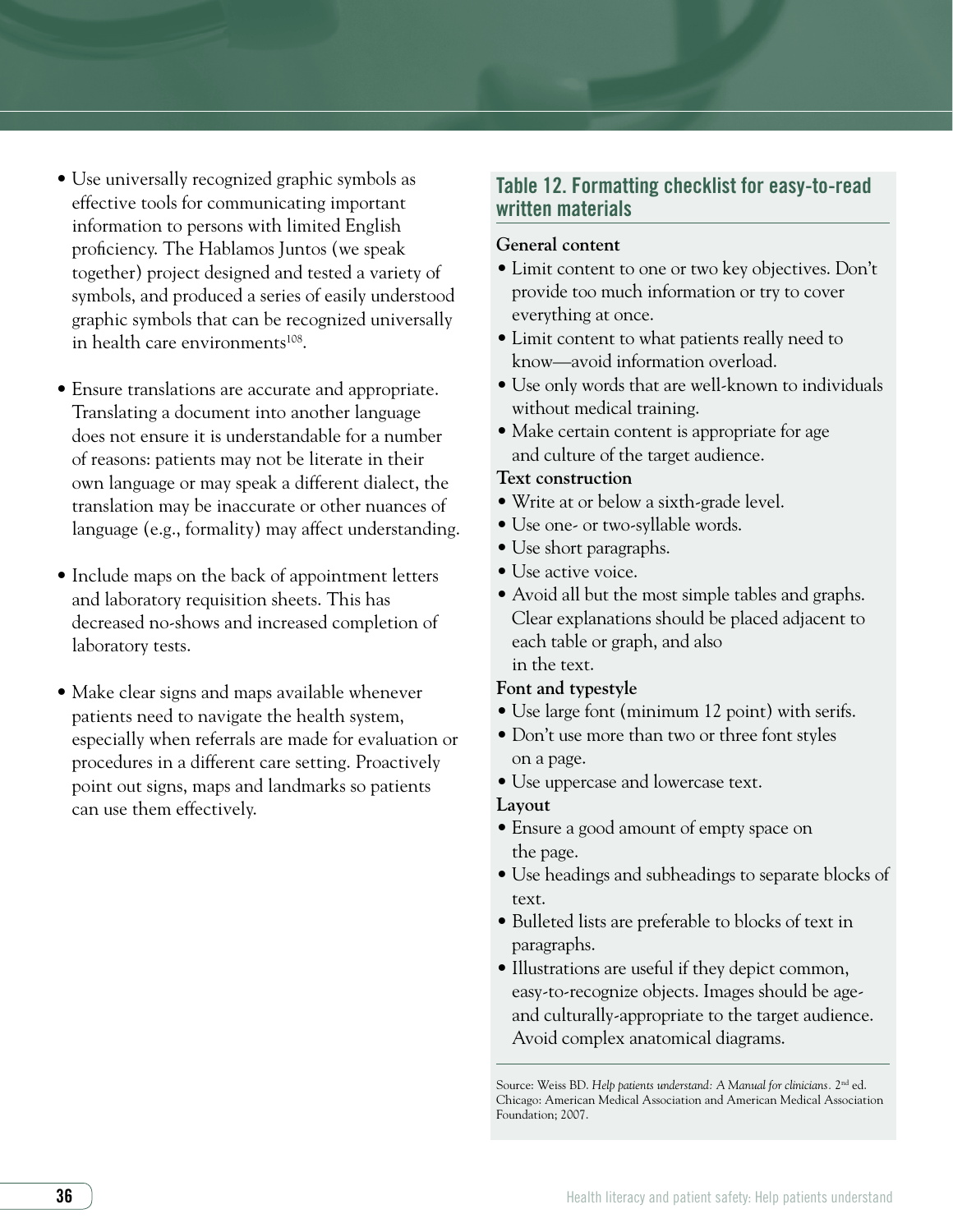- Use universally recognized graphic symbols as effective tools for communicating important information to persons with limited English proficiency. The Hablamos Juntos (we speak together) project designed and tested a variety of symbols, and produced a series of easily understood graphic symbols that can be recognized universally in health care environments<sup>108</sup>.
- Ensure translations are accurate and appropriate. Translating a document into another language does not ensure it is understandable for a number of reasons: patients may not be literate in their own language or may speak a different dialect, the translation may be inaccurate or other nuances of language (e.g., formality) may affect understanding.
- Include maps on the back of appointment letters and laboratory requisition sheets. This has decreased no-shows and increased completion of laboratory tests.
- Make clear signs and maps available whenever patients need to navigate the health system, especially when referrals are made for evaluation or procedures in a different care setting. Proactively point out signs, maps and landmarks so patients can use them effectively.

# Table 12. Formatting checklist for easy-to-read written materials

#### **General content**

- Limit content to one or two key objectives. Don't provide too much information or try to cover everything at once.
- Limit content to what patients really need to know—avoid information overload.
- Use only words that are well-known to individuals without medical training.
- Make certain content is appropriate for age and culture of the target audience.

#### **Text construction**

- Write at or below a sixth-grade level.
- Use one- or two-syllable words.
- Use short paragraphs.
- Use active voice.
- Avoid all but the most simple tables and graphs. Clear explanations should be placed adjacent to each table or graph, and also in the text.

#### **Font and typestyle**

- Use large font (minimum 12 point) with serifs.
- Don't use more than two or three font styles on a page.
- Use uppercase and lowercase text.

#### **Layout**

- Ensure a good amount of empty space on the page.
- Use headings and subheadings to separate blocks of text.
- Bulleted lists are preferable to blocks of text in paragraphs.
- Illustrations are useful if they depict common, easy-to-recognize objects. Images should be ageand culturally-appropriate to the target audience. Avoid complex anatomical diagrams.

Source: Weiss BD. *Help patients understand: A Manual for clinicians.* 2nd ed. Chicago: American Medical Association and American Medical Association Foundation; 2007.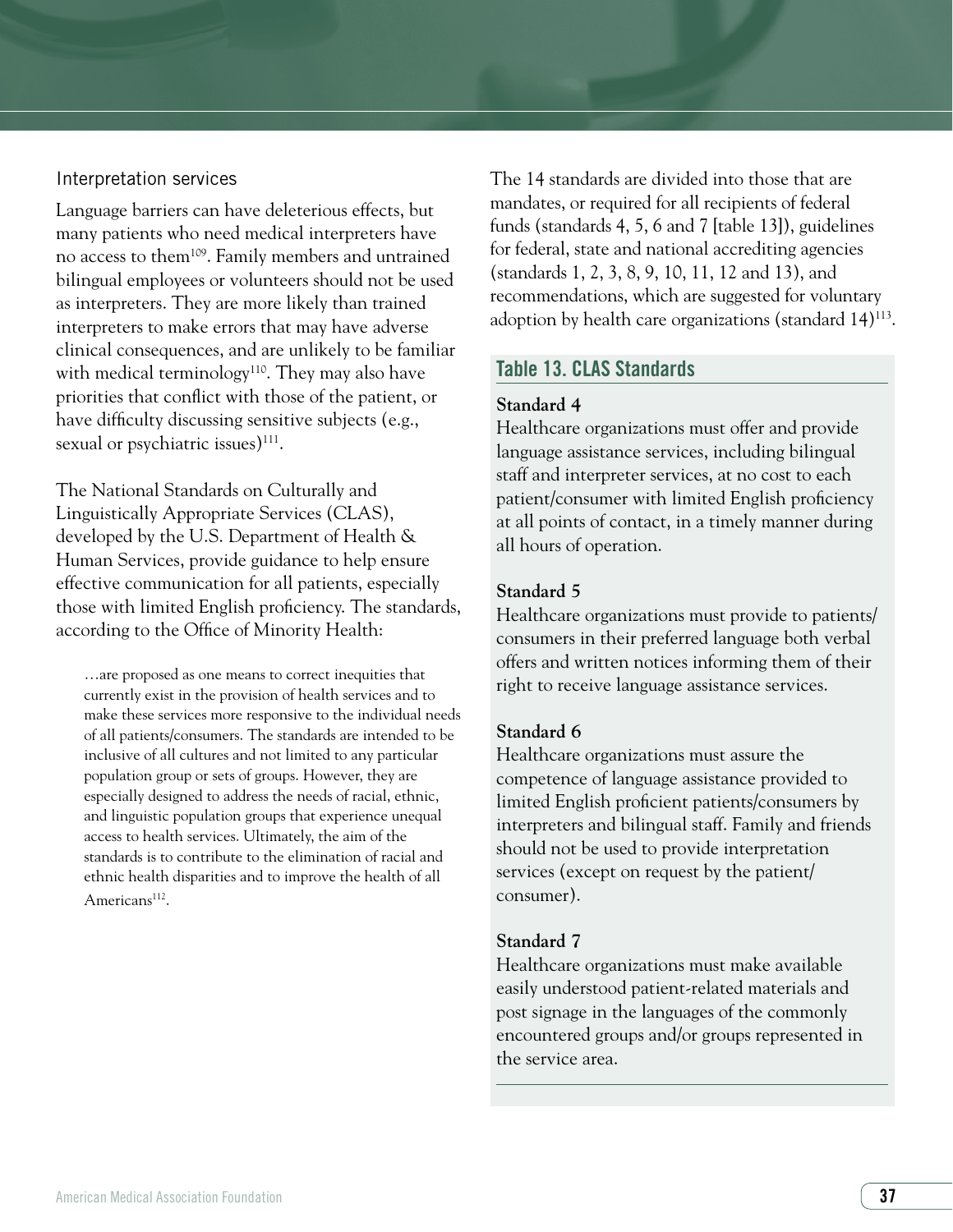#### Interpretation services

Language barriers can have deleterious effects, but many patients who need medical interpreters have no access to them109. Family members and untrained bilingual employees or volunteers should not be used as interpreters. They are more likely than trained interpreters to make errors that may have adverse clinical consequences, and are unlikely to be familiar with medical terminology<sup>110</sup>. They may also have priorities that conflict with those of the patient, or have difficulty discussing sensitive subjects (e.g., sexual or psychiatric issues)<sup>111</sup>.

The National Standards on Culturally and Linguistically Appropriate Services (CLAS), developed by the U.S. Department of Health & Human Services, provide guidance to help ensure effective communication for all patients, especially those with limited English proficiency. The standards, according to the Office of Minority Health:

…are proposed as one means to correct inequities that currently exist in the provision of health services and to make these services more responsive to the individual needs of all patients/consumers. The standards are intended to be inclusive of all cultures and not limited to any particular population group or sets of groups. However, they are especially designed to address the needs of racial, ethnic, and linguistic population groups that experience unequal access to health services. Ultimately, the aim of the standards is to contribute to the elimination of racial and ethnic health disparities and to improve the health of all Americans<sup>112</sup>.

The 14 standards are divided into those that are mandates, or required for all recipients of federal funds (standards 4, 5, 6 and 7 [table 13]), guidelines for federal, state and national accrediting agencies (standards 1, 2, 3, 8, 9, 10, 11, 12 and 13), and recommendations, which are suggested for voluntary adoption by health care organizations (standard 14)<sup>113</sup>.

#### Table 13. CLAS Standards

#### **Standard 4**

Healthcare organizations must offer and provide language assistance services, including bilingual staff and interpreter services, at no cost to each patient/consumer with limited English proficiency at all points of contact, in a timely manner during all hours of operation.

#### **Standard 5**

Healthcare organizations must provide to patients/ consumers in their preferred language both verbal offers and written notices informing them of their right to receive language assistance services.

#### **Standard 6**

Healthcare organizations must assure the competence of language assistance provided to limited English proficient patients/consumers by interpreters and bilingual staff. Family and friends should not be used to provide interpretation services (except on request by the patient/ consumer).

#### **Standard 7**

Healthcare organizations must make available easily understood patient-related materials and post signage in the languages of the commonly encountered groups and/or groups represented in the service area.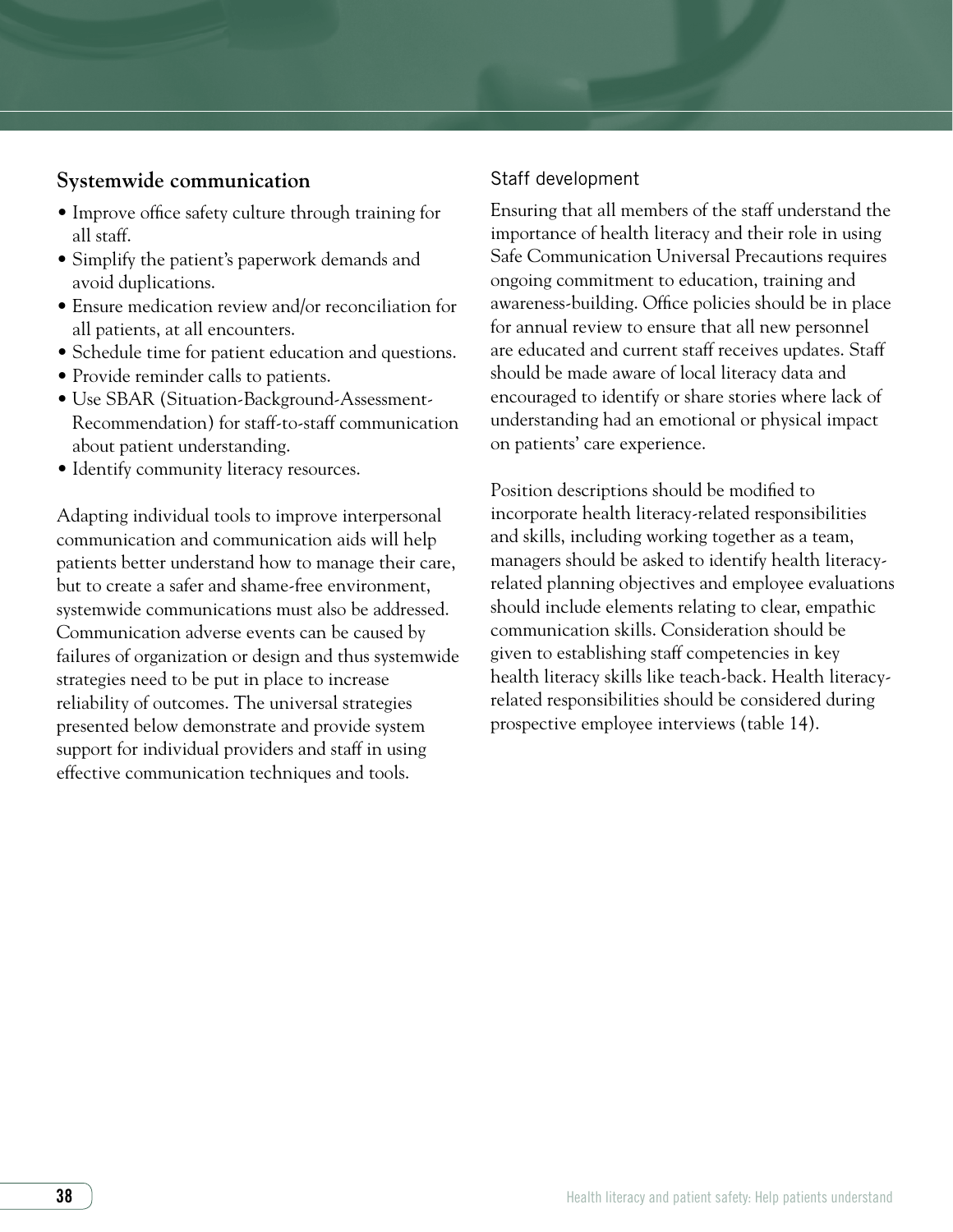# **Systemwide communication**

- Improve office safety culture through training for all staff.
- Simplify the patient's paperwork demands and avoid duplications.
- Ensure medication review and/or reconciliation for all patients, at all encounters.
- Schedule time for patient education and questions.
- Provide reminder calls to patients.
- Use SBAR (Situation-Background-Assessment-Recommendation) for staff-to-staff communication about patient understanding.
- Identify community literacy resources.

Adapting individual tools to improve interpersonal communication and communication aids will help patients better understand how to manage their care, but to create a safer and shame-free environment, systemwide communications must also be addressed. Communication adverse events can be caused by failures of organization or design and thus systemwide strategies need to be put in place to increase reliability of outcomes. The universal strategies presented below demonstrate and provide system support for individual providers and staff in using effective communication techniques and tools.

#### Staff development

Ensuring that all members of the staff understand the importance of health literacy and their role in using Safe Communication Universal Precautions requires ongoing commitment to education, training and awareness-building. Office policies should be in place for annual review to ensure that all new personnel are educated and current staff receives updates. Staff should be made aware of local literacy data and encouraged to identify or share stories where lack of understanding had an emotional or physical impact on patients' care experience.

Position descriptions should be modified to incorporate health literacy-related responsibilities and skills, including working together as a team, managers should be asked to identify health literacyrelated planning objectives and employee evaluations should include elements relating to clear, empathic communication skills. Consideration should be given to establishing staff competencies in key health literacy skills like teach-back. Health literacyrelated responsibilities should be considered during prospective employee interviews (table 14).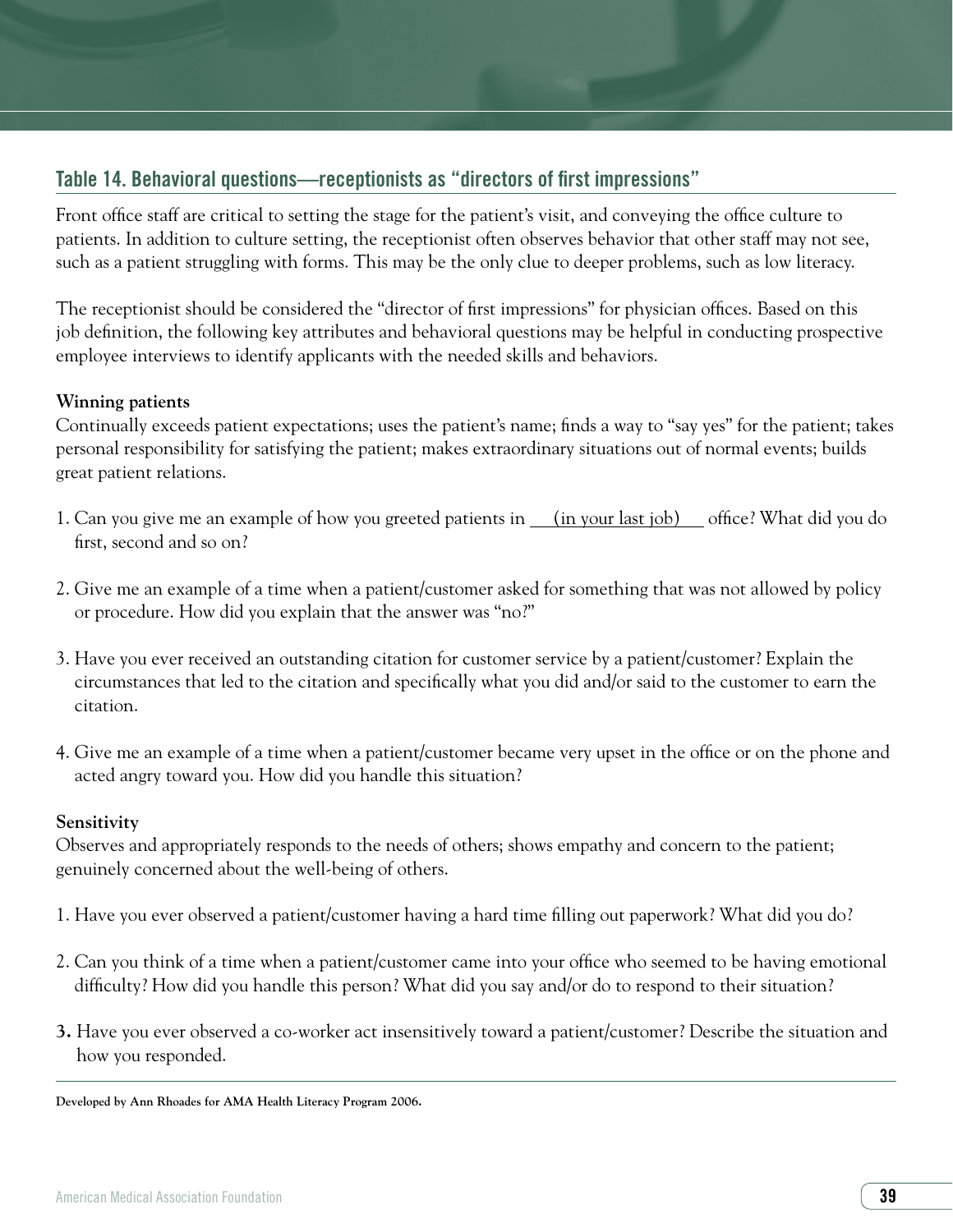# Table 14. Behavioral questions—receptionists as "directors of first impressions"

Front office staff are critical to setting the stage for the patient's visit, and conveying the office culture to patients. In addition to culture setting, the receptionist often observes behavior that other staff may not see, such as a patient struggling with forms. This may be the only clue to deeper problems, such as low literacy.

The receptionist should be considered the "director of first impressions" for physician offices. Based on this job definition, the following key attributes and behavioral questions may be helpful in conducting prospective employee interviews to identify applicants with the needed skills and behaviors.

#### **Winning patients**

Continually exceeds patient expectations; uses the patient's name; finds a way to "say yes" for the patient; takes personal responsibility for satisfying the patient; makes extraordinary situations out of normal events; builds great patient relations.

- 1. Can you give me an example of how you greeted patients in <u>(in your last job)</u> office? What did you do first, second and so on?
- 2. Give me an example of a time when a patient/customer asked for something that was not allowed by policy or procedure. How did you explain that the answer was "no?"
- 3. Have you ever received an outstanding citation for customer service by a patient/customer? Explain the circumstances that led to the citation and specifically what you did and/or said to the customer to earn the citation.
- 4. Give me an example of a time when a patient/customer became very upset in the office or on the phone and acted angry toward you. How did you handle this situation?

#### **Sensitivity**

Observes and appropriately responds to the needs of others; shows empathy and concern to the patient; genuinely concerned about the well-being of others.

- 1. Have you ever observed a patient/customer having a hard time filling out paperwork? What did you do?
- 2. Can you think of a time when a patient/customer came into your office who seemed to be having emotional difficulty? How did you handle this person? What did you say and/or do to respond to their situation?
- **3.** Have you ever observed a co-worker act insensitively toward a patient/customer? Describe the situation and how you responded.

**Developed by Ann Rhoades for AMA Health Literacy Program 2006.**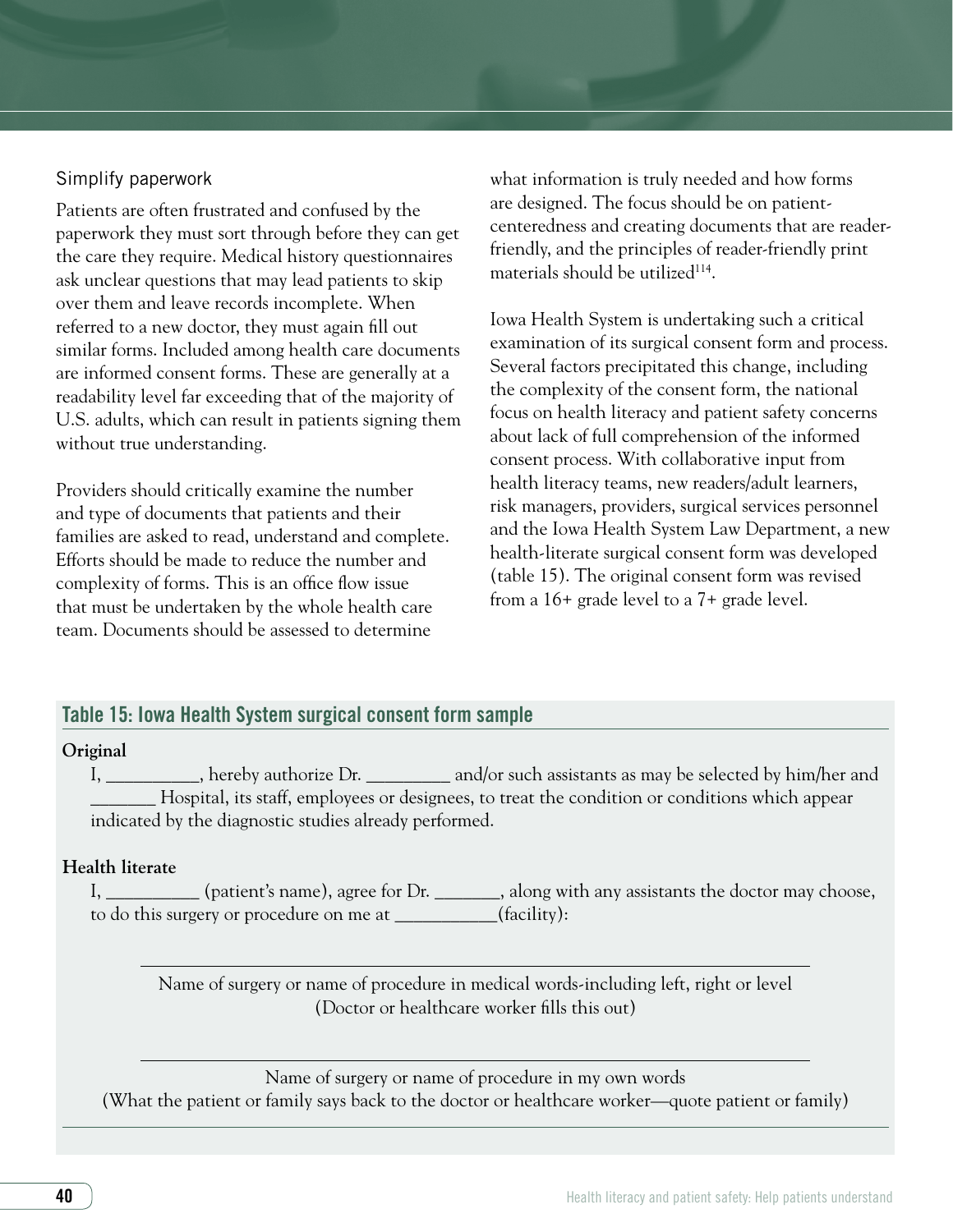#### Simplify paperwork

Patients are often frustrated and confused by the paperwork they must sort through before they can get the care they require. Medical history questionnaires ask unclear questions that may lead patients to skip over them and leave records incomplete. When referred to a new doctor, they must again fill out similar forms. Included among health care documents are informed consent forms. These are generally at a readability level far exceeding that of the majority of U.S. adults, which can result in patients signing them without true understanding.

Providers should critically examine the number and type of documents that patients and their families are asked to read, understand and complete. Efforts should be made to reduce the number and complexity of forms. This is an office flow issue that must be undertaken by the whole health care team. Documents should be assessed to determine

what information is truly needed and how forms are designed. The focus should be on patientcenteredness and creating documents that are readerfriendly, and the principles of reader-friendly print materials should be utilized $114$ .

Iowa Health System is undertaking such a critical examination of its surgical consent form and process. Several factors precipitated this change, including the complexity of the consent form, the national focus on health literacy and patient safety concerns about lack of full comprehension of the informed consent process. With collaborative input from health literacy teams, new readers/adult learners, risk managers, providers, surgical services personnel and the Iowa Health System Law Department, a new health-literate surgical consent form was developed (table 15). The original consent form was revised from a 16+ grade level to a 7+ grade level.

#### Table 15: Iowa Health System surgical consent form sample

#### **Original**

I, \_\_\_\_\_\_\_\_\_\_, hereby authorize Dr. \_\_\_\_\_\_\_\_\_ and/or such assistants as may be selected by him/her and \_\_\_\_\_\_\_ Hospital, its staff, employees or designees, to treat the condition or conditions which appear indicated by the diagnostic studies already performed.

#### **Health literate**

I, \_\_\_\_\_\_\_\_\_ (patient's name), agree for Dr. \_\_\_\_\_\_\_, along with any assistants the doctor may choose, to do this surgery or procedure on me at \_\_\_\_\_\_\_\_\_\_\_(facility):

Name of surgery or name of procedure in medical words-including left, right or level (Doctor or healthcare worker fills this out)

Name of surgery or name of procedure in my own words (What the patient or family says back to the doctor or healthcare worker—quote patient or family)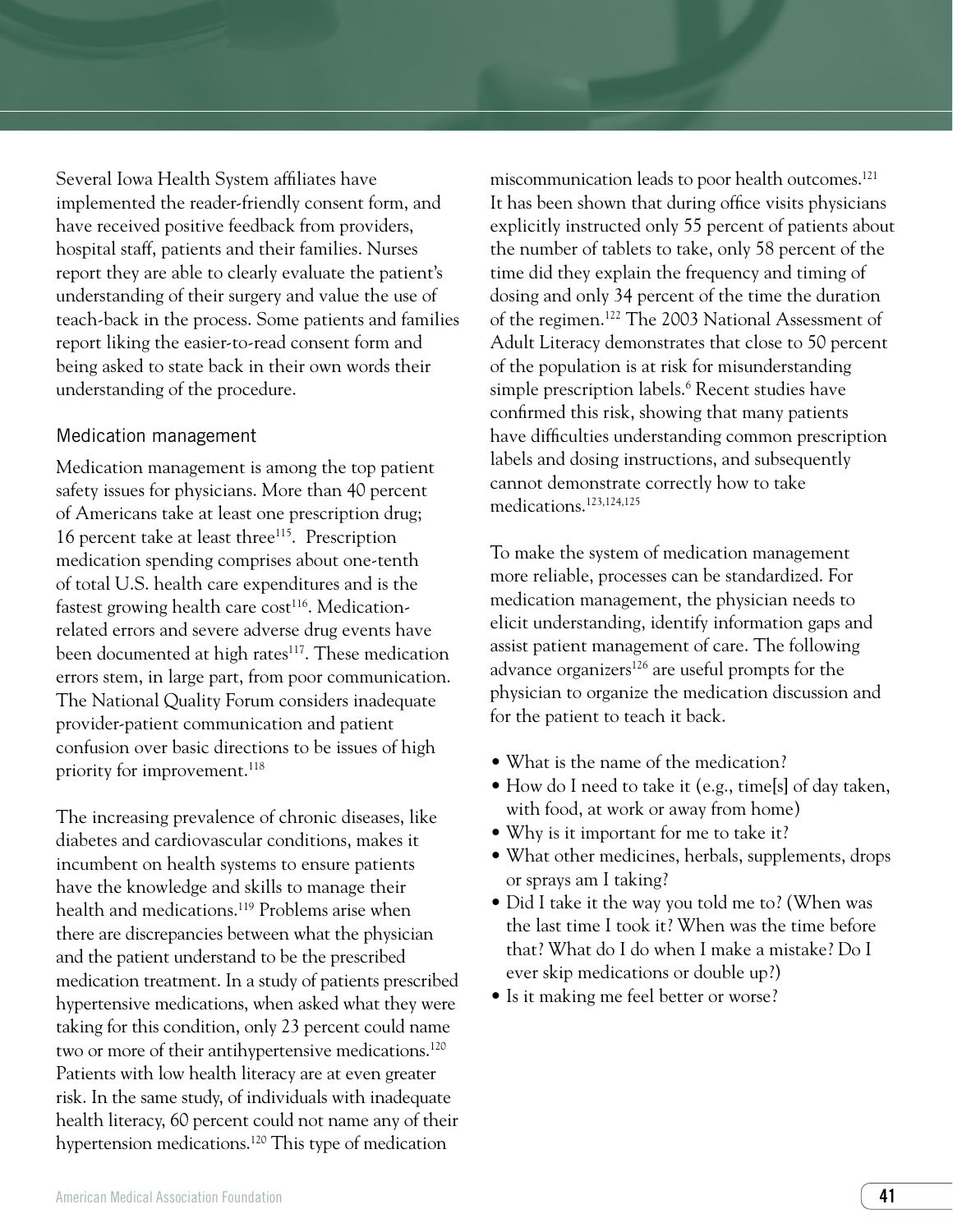Several Iowa Health System affiliates have implemented the reader-friendly consent form, and have received positive feedback from providers, hospital staff, patients and their families. Nurses report they are able to clearly evaluate the patient's understanding of their surgery and value the use of teach-back in the process. Some patients and families report liking the easier-to-read consent form and being asked to state back in their own words their understanding of the procedure.

#### Medication management

Medication management is among the top patient safety issues for physicians. More than 40 percent of Americans take at least one prescription drug; 16 percent take at least three<sup>115</sup>. Prescription medication spending comprises about one-tenth of total U.S. health care expenditures and is the fastest growing health care cost<sup>116</sup>. Medicationrelated errors and severe adverse drug events have been documented at high rates<sup>117</sup>. These medication errors stem, in large part, from poor communication. The National Quality Forum considers inadequate provider-patient communication and patient confusion over basic directions to be issues of high priority for improvement.<sup>118</sup>

The increasing prevalence of chronic diseases, like diabetes and cardiovascular conditions, makes it incumbent on health systems to ensure patients have the knowledge and skills to manage their health and medications.<sup>119</sup> Problems arise when there are discrepancies between what the physician and the patient understand to be the prescribed medication treatment. In a study of patients prescribed hypertensive medications, when asked what they were taking for this condition, only 23 percent could name two or more of their antihypertensive medications.<sup>120</sup> Patients with low health literacy are at even greater risk. In the same study, of individuals with inadequate health literacy, 60 percent could not name any of their hypertension medications.120 This type of medication

miscommunication leads to poor health outcomes.<sup>121</sup> It has been shown that during office visits physicians explicitly instructed only 55 percent of patients about the number of tablets to take, only 58 percent of the time did they explain the frequency and timing of dosing and only 34 percent of the time the duration of the regimen.122 The 2003 National Assessment of Adult Literacy demonstrates that close to 50 percent of the population is at risk for misunderstanding simple prescription labels.6 Recent studies have confirmed this risk, showing that many patients have difficulties understanding common prescription labels and dosing instructions, and subsequently cannot demonstrate correctly how to take medications.123,124,125

To make the system of medication management more reliable, processes can be standardized. For medication management, the physician needs to elicit understanding, identify information gaps and assist patient management of care. The following advance organizers<sup>126</sup> are useful prompts for the physician to organize the medication discussion and for the patient to teach it back.

- What is the name of the medication?
- How do I need to take it (e.g., time[s] of day taken, with food, at work or away from home)
- Why is it important for me to take it?
- What other medicines, herbals, supplements, drops or sprays am I taking?
- Did I take it the way you told me to? (When was the last time I took it? When was the time before that? What do I do when I make a mistake? Do I ever skip medications or double up?)
- Is it making me feel better or worse?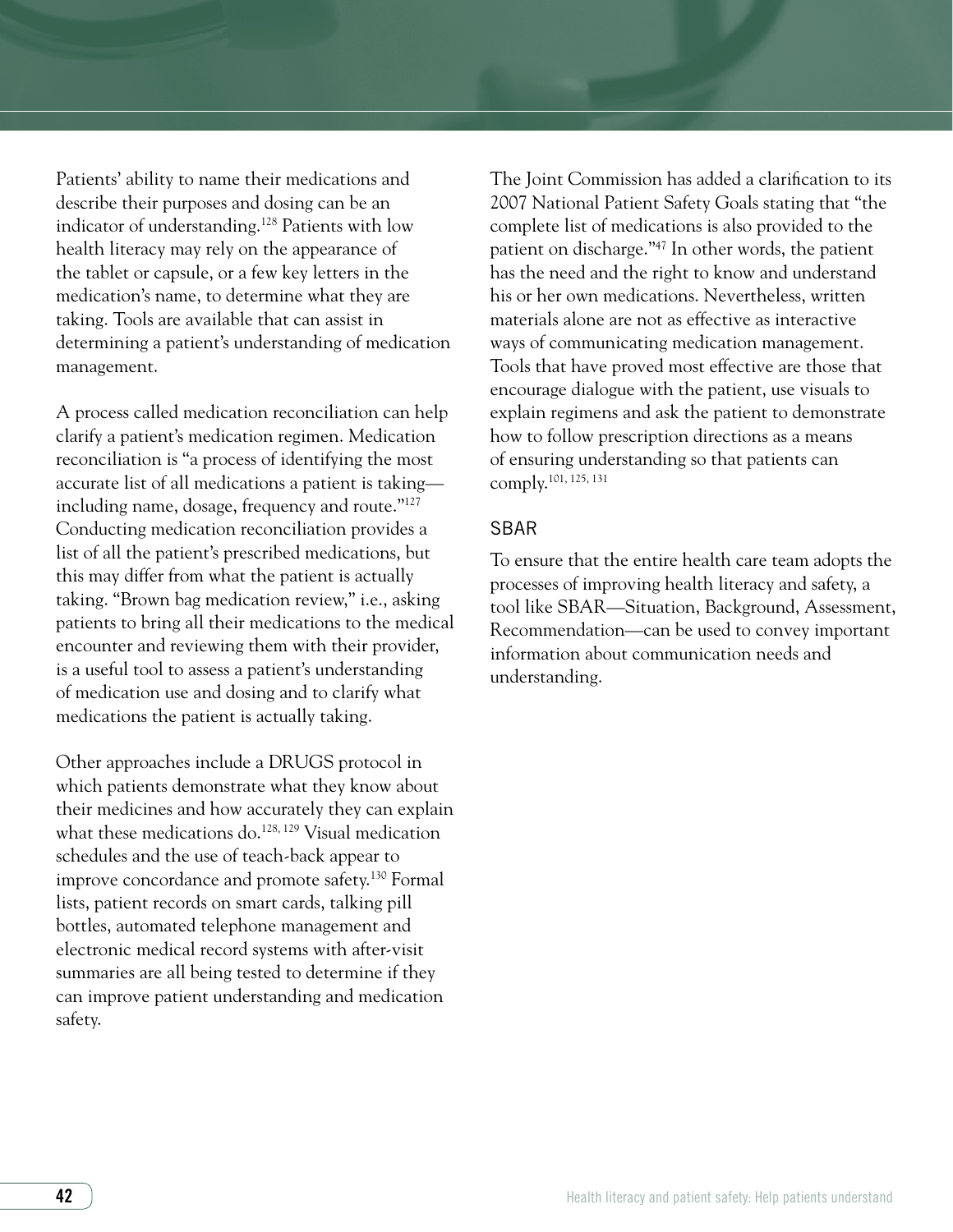Patients' ability to name their medications and describe their purposes and dosing can be an indicator of understanding.128 Patients with low health literacy may rely on the appearance of the tablet or capsule, or a few key letters in the medication's name, to determine what they are taking. Tools are available that can assist in determining a patient's understanding of medication management.

A process called medication reconciliation can help clarify a patient's medication regimen. Medication reconciliation is "a process of identifying the most accurate list of all medications a patient is taking including name, dosage, frequency and route."127 Conducting medication reconciliation provides a list of all the patient's prescribed medications, but this may differ from what the patient is actually taking. "Brown bag medication review," i.e., asking patients to bring all their medications to the medical encounter and reviewing them with their provider, is a useful tool to assess a patient's understanding of medication use and dosing and to clarify what medications the patient is actually taking.

Other approaches include a DRUGS protocol in which patients demonstrate what they know about their medicines and how accurately they can explain what these medications do.<sup>128, 129</sup> Visual medication schedules and the use of teach-back appear to improve concordance and promote safety.130 Formal lists, patient records on smart cards, talking pill bottles, automated telephone management and electronic medical record systems with after-visit summaries are all being tested to determine if they can improve patient understanding and medication safety.

The Joint Commission has added a clarification to its 2007 National Patient Safety Goals stating that "the complete list of medications is also provided to the patient on discharge."47 In other words, the patient has the need and the right to know and understand his or her own medications. Nevertheless, written materials alone are not as effective as interactive ways of communicating medication management. Tools that have proved most effective are those that encourage dialogue with the patient, use visuals to explain regimens and ask the patient to demonstrate how to follow prescription directions as a means of ensuring understanding so that patients can comply.101, 125, 131

#### SBAR

To ensure that the entire health care team adopts the processes of improving health literacy and safety, a tool like SBAR—Situation, Background, Assessment, Recommendation—can be used to convey important information about communication needs and understanding.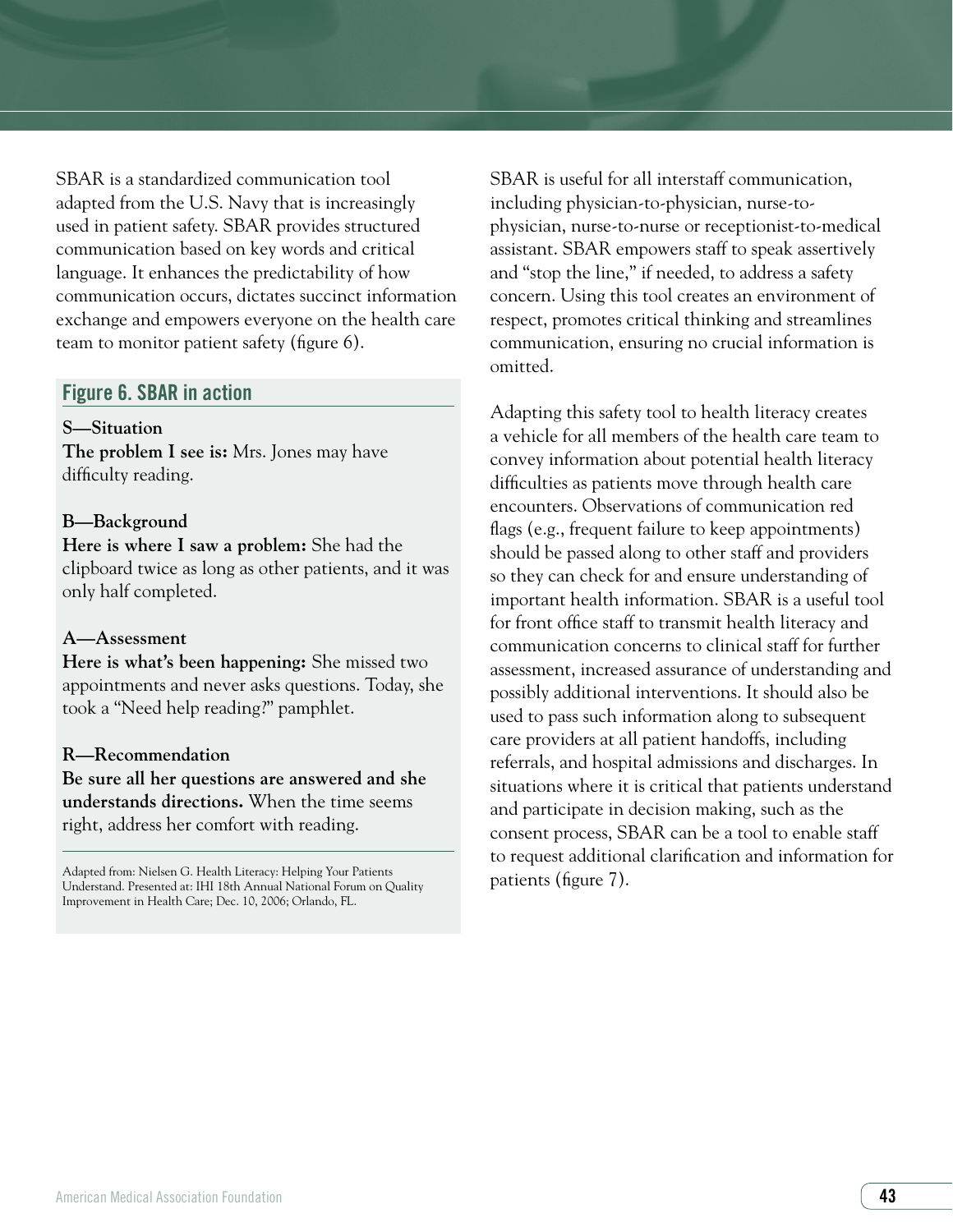SBAR is a standardized communication tool adapted from the U.S. Navy that is increasingly used in patient safety. SBAR provides structured communication based on key words and critical language. It enhances the predictability of how communication occurs, dictates succinct information exchange and empowers everyone on the health care team to monitor patient safety (figure 6).

#### Figure 6. SBAR in action

#### **S—Situation**

**The problem I see is:** Mrs. Jones may have difficulty reading.

#### **B—Background**

**Here is where I saw a problem:** She had the clipboard twice as long as other patients, and it was only half completed.

#### **A—Assessment**

**Here is what's been happening:** She missed two appointments and never asks questions. Today, she took a "Need help reading?" pamphlet.

#### **R—Recommendation**

**Be sure all her questions are answered and she understands directions.** When the time seems right, address her comfort with reading.

Adapted from: Nielsen G. Health Literacy: Helping Your Patients Understand. Presented at: IHI 18th Annual National Forum on Quality Improvement in Health Care; Dec. 10, 2006; Orlando, FL.

SBAR is useful for all interstaff communication, including physician-to-physician, nurse-tophysician, nurse-to-nurse or receptionist-to-medical assistant. SBAR empowers staff to speak assertively and "stop the line," if needed, to address a safety concern. Using this tool creates an environment of respect, promotes critical thinking and streamlines communication, ensuring no crucial information is omitted.

Adapting this safety tool to health literacy creates a vehicle for all members of the health care team to convey information about potential health literacy difficulties as patients move through health care encounters. Observations of communication red flags (e.g., frequent failure to keep appointments) should be passed along to other staff and providers so they can check for and ensure understanding of important health information. SBAR is a useful tool for front office staff to transmit health literacy and communication concerns to clinical staff for further assessment, increased assurance of understanding and possibly additional interventions. It should also be used to pass such information along to subsequent care providers at all patient handoffs, including referrals, and hospital admissions and discharges. In situations where it is critical that patients understand and participate in decision making, such as the consent process, SBAR can be a tool to enable staff to request additional clarification and information for patients (figure 7).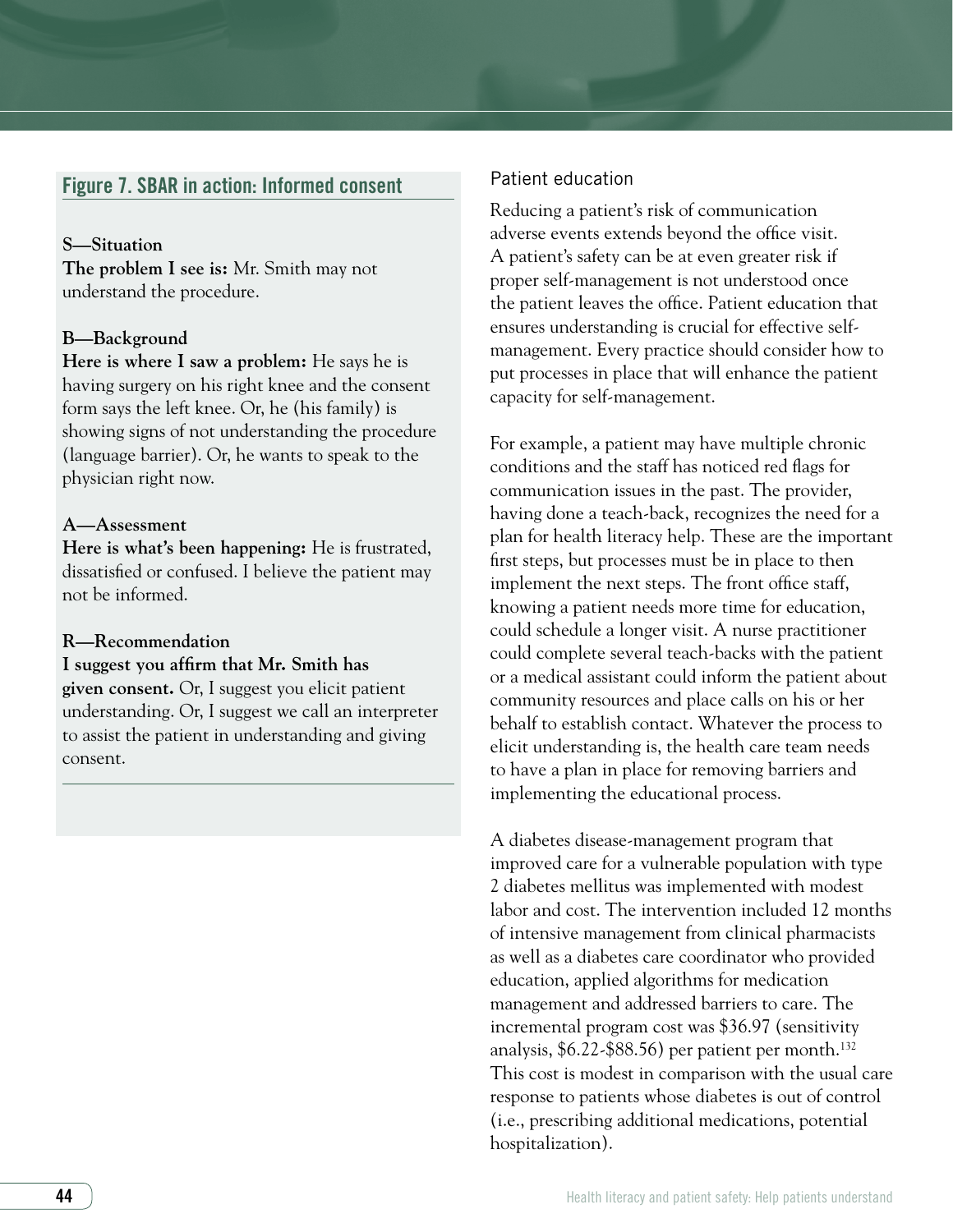#### Figure 7. SBAR in action: Informed consent

#### **S—Situation**

**The problem I see is:** Mr. Smith may not understand the procedure.

#### **B—Background**

**Here is where I saw a problem:** He says he is having surgery on his right knee and the consent form says the left knee. Or, he (his family) is showing signs of not understanding the procedure (language barrier). Or, he wants to speak to the physician right now.

#### **A—Assessment**

**Here is what's been happening:** He is frustrated, dissatisfied or confused. I believe the patient may not be informed.

#### **R—Recommendation**

**I suggest you affirm that Mr. Smith has given consent.** Or, I suggest you elicit patient understanding. Or, I suggest we call an interpreter to assist the patient in understanding and giving consent.

#### Patient education

Reducing a patient's risk of communication adverse events extends beyond the office visit. A patient's safety can be at even greater risk if proper self-management is not understood once the patient leaves the office. Patient education that ensures understanding is crucial for effective selfmanagement. Every practice should consider how to put processes in place that will enhance the patient capacity for self-management.

For example, a patient may have multiple chronic conditions and the staff has noticed red flags for communication issues in the past. The provider, having done a teach-back, recognizes the need for a plan for health literacy help. These are the important first steps, but processes must be in place to then implement the next steps. The front office staff, knowing a patient needs more time for education, could schedule a longer visit. A nurse practitioner could complete several teach-backs with the patient or a medical assistant could inform the patient about community resources and place calls on his or her behalf to establish contact. Whatever the process to elicit understanding is, the health care team needs to have a plan in place for removing barriers and implementing the educational process.

A diabetes disease-management program that improved care for a vulnerable population with type 2 diabetes mellitus was implemented with modest labor and cost. The intervention included 12 months of intensive management from clinical pharmacists as well as a diabetes care coordinator who provided education, applied algorithms for medication management and addressed barriers to care. The incremental program cost was \$36.97 (sensitivity analysis, \$6.22-\$88.56) per patient per month.132 This cost is modest in comparison with the usual care response to patients whose diabetes is out of control (i.e., prescribing additional medications, potential hospitalization).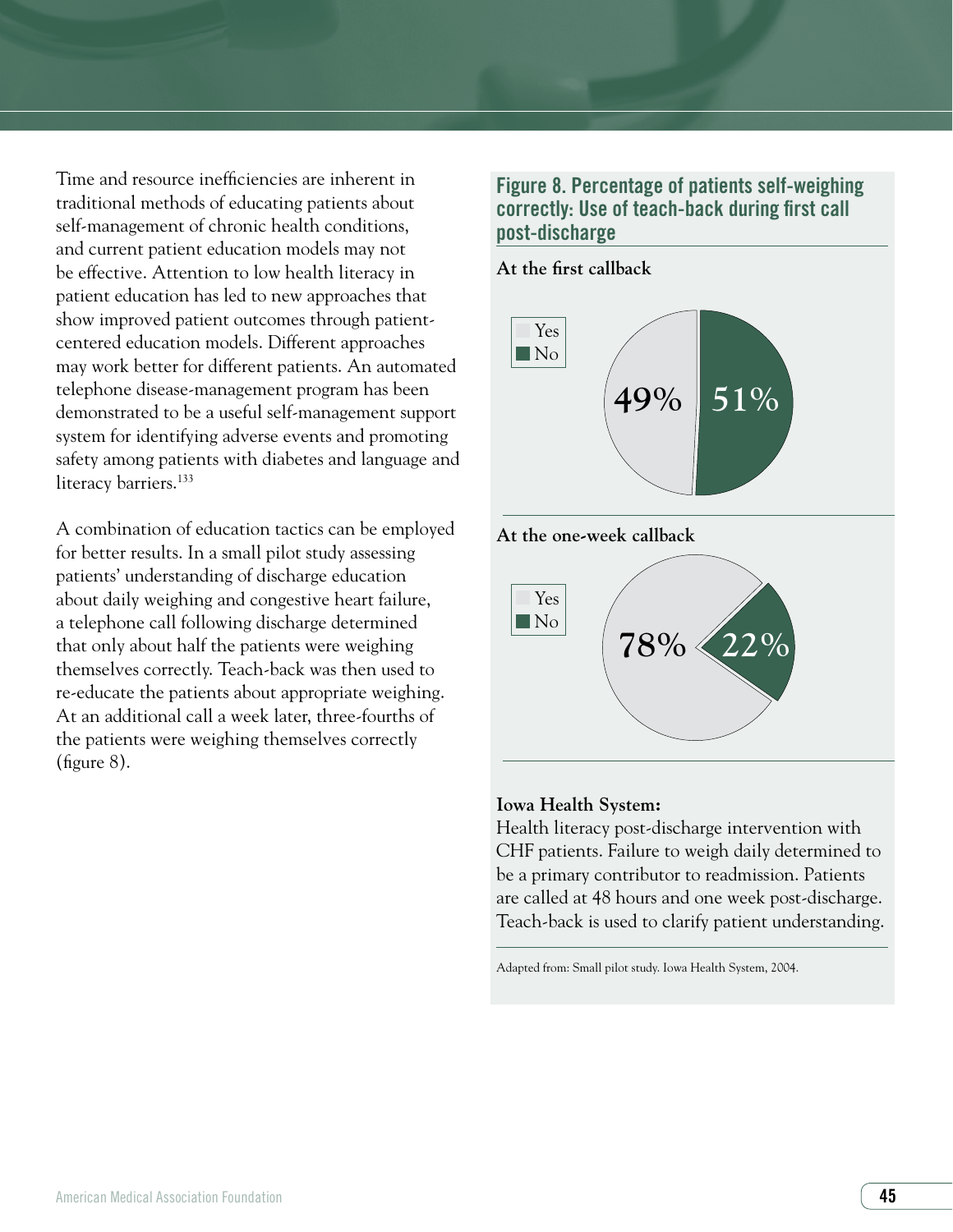Time and resource inefficiencies are inherent in traditional methods of educating patients about self-management of chronic health conditions, and current patient education models may not be effective. Attention to low health literacy in patient education has led to new approaches that show improved patient outcomes through patientcentered education models. Different approaches may work better for different patients. An automated telephone disease-management program has been demonstrated to be a useful self-management support system for identifying adverse events and promoting safety among patients with diabetes and language and literacy barriers.<sup>133</sup>

A combination of education tactics can be employed for better results. In a small pilot study assessing patients' understanding of discharge education about daily weighing and congestive heart failure, a telephone call following discharge determined that only about half the patients were weighing themselves correctly. Teach-back was then used to re-educate the patients about appropriate weighing. At an additional call a week later, three-fourths of the patients were weighing themselves correctly (figure 8).

#### Figure 8. Percentage of patients self-weighing correctly: Use of teach-back during first call post-discharge

**At the first callback**







#### **Iowa Health System:**

Health literacy post-discharge intervention with CHF patients. Failure to weigh daily determined to be a primary contributor to readmission. Patients are called at 48 hours and one week post-discharge. Teach-back is used to clarify patient understanding.

Adapted from: Small pilot study. Iowa Health System, 2004.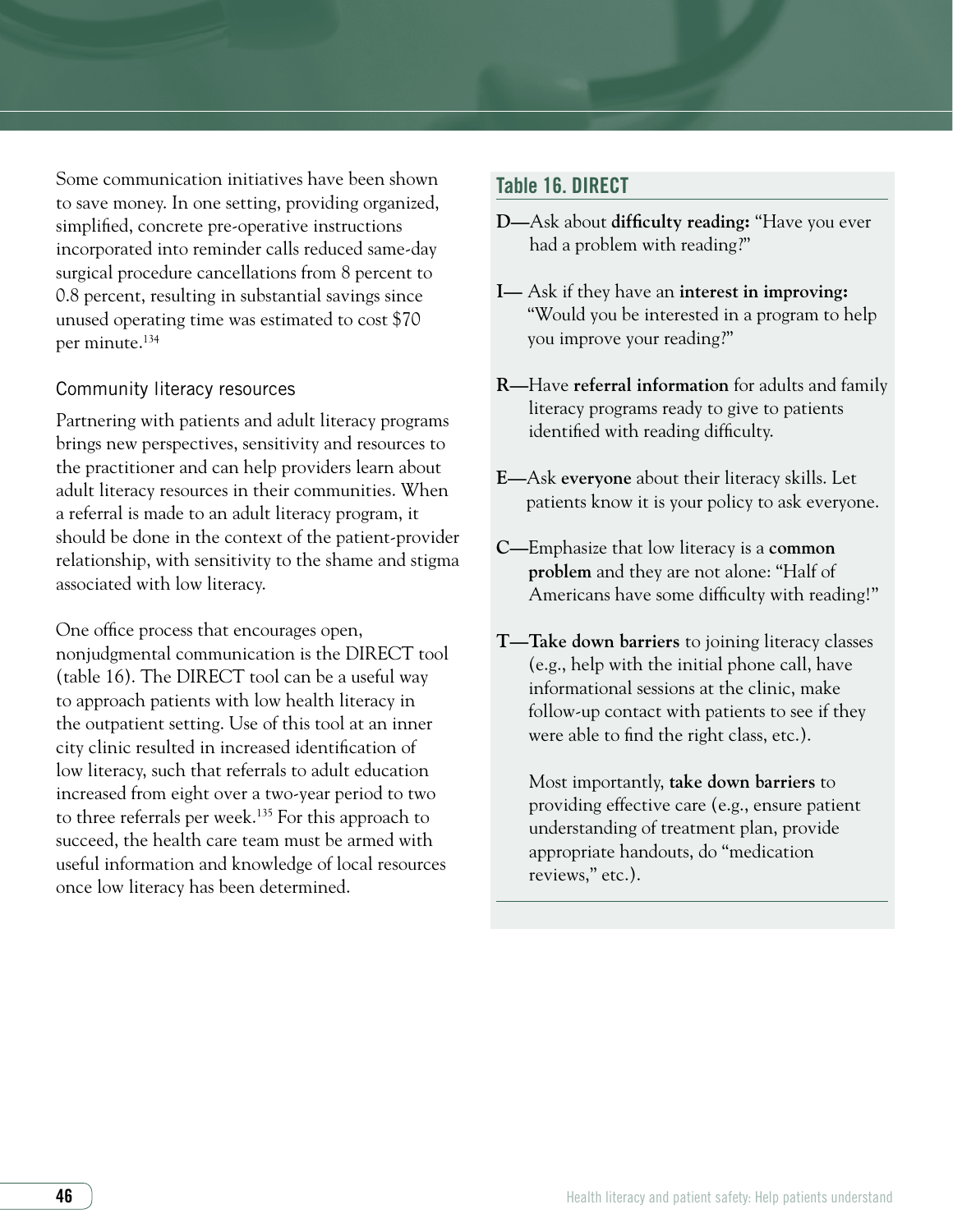Some communication initiatives have been shown to save money. In one setting, providing organized, simplified, concrete pre-operative instructions incorporated into reminder calls reduced same-day surgical procedure cancellations from 8 percent to 0.8 percent, resulting in substantial savings since unused operating time was estimated to cost \$70 per minute.134

#### Community literacy resources

Partnering with patients and adult literacy programs brings new perspectives, sensitivity and resources to the practitioner and can help providers learn about adult literacy resources in their communities. When a referral is made to an adult literacy program, it should be done in the context of the patient-provider relationship, with sensitivity to the shame and stigma associated with low literacy.

One office process that encourages open, nonjudgmental communication is the DIRECT tool (table 16). The DIRECT tool can be a useful way to approach patients with low health literacy in the outpatient setting. Use of this tool at an inner city clinic resulted in increased identification of low literacy, such that referrals to adult education increased from eight over a two-year period to two to three referrals per week.135 For this approach to succeed, the health care team must be armed with useful information and knowledge of local resources once low literacy has been determined.

#### Table 16. DIRECT

- **D—**Ask about **difficulty reading:** "Have you ever had a problem with reading?"
- **I—** Ask if they have an **interest in improving:**  "Would you be interested in a program to help you improve your reading?"
- **R—**Have **referral information** for adults and family literacy programs ready to give to patients identified with reading difficulty.
- **E—**Ask **everyone** about their literacy skills. Let patients know it is your policy to ask everyone.
- **C—**Emphasize that low literacy is a **common problem** and they are not alone: "Half of Americans have some difficulty with reading!"
- **T—Take down barriers** to joining literacy classes (e.g., help with the initial phone call, have informational sessions at the clinic, make follow-up contact with patients to see if they were able to find the right class, etc.).

Most importantly, **take down barriers** to providing effective care (e.g., ensure patient understanding of treatment plan, provide appropriate handouts, do "medication reviews," etc.).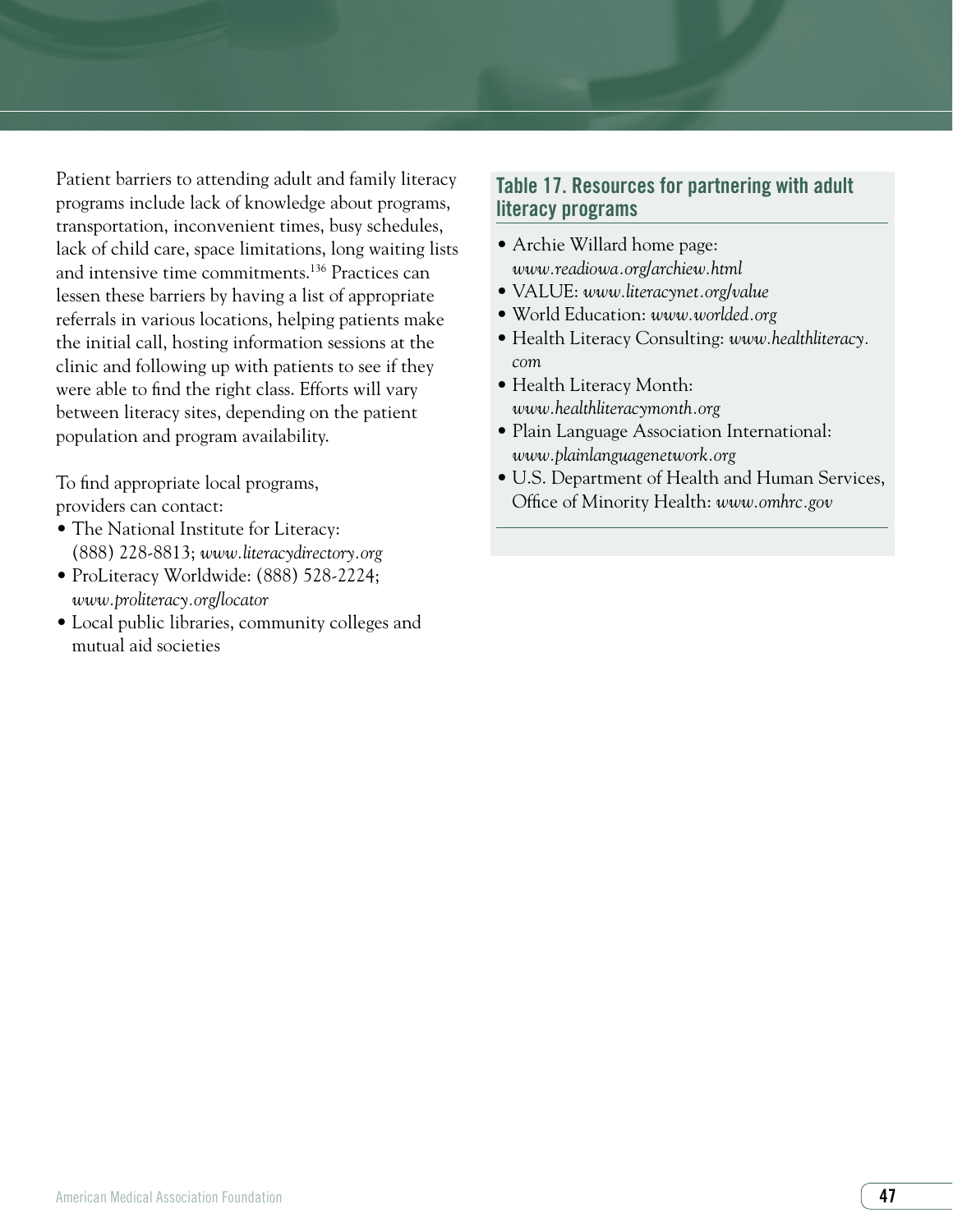Patient barriers to attending adult and family literacy programs include lack of knowledge about programs, transportation, inconvenient times, busy schedules, lack of child care, space limitations, long waiting lists and intensive time commitments.136 Practices can lessen these barriers by having a list of appropriate referrals in various locations, helping patients make the initial call, hosting information sessions at the clinic and following up with patients to see if they were able to find the right class. Efforts will vary between literacy sites, depending on the patient population and program availability.

To find appropriate local programs, providers can contact:

- The National Institute for Literacy: (888) 228-8813; *www.literacydirectory.org*
- ProLiteracy Worldwide: (888) 528-2224; *www.proliteracy.org/locator*
- Local public libraries, community colleges and mutual aid societies

# Table 17. Resources for partnering with adult literacy programs

- Archie Willard home page: *www.readiowa.org/archiew.html*
- VALUE: *www.literacynet.org/value*
- World Education: *www.worlded.org*
- Health Literacy Consulting: *www.healthliteracy. com*
- Health Literacy Month: *www.healthliteracymonth.org*
- Plain Language Association International: *www.plainlanguagenetwork.org*
- U.S. Department of Health and Human Services, Office of Minority Health: *www.omhrc.gov*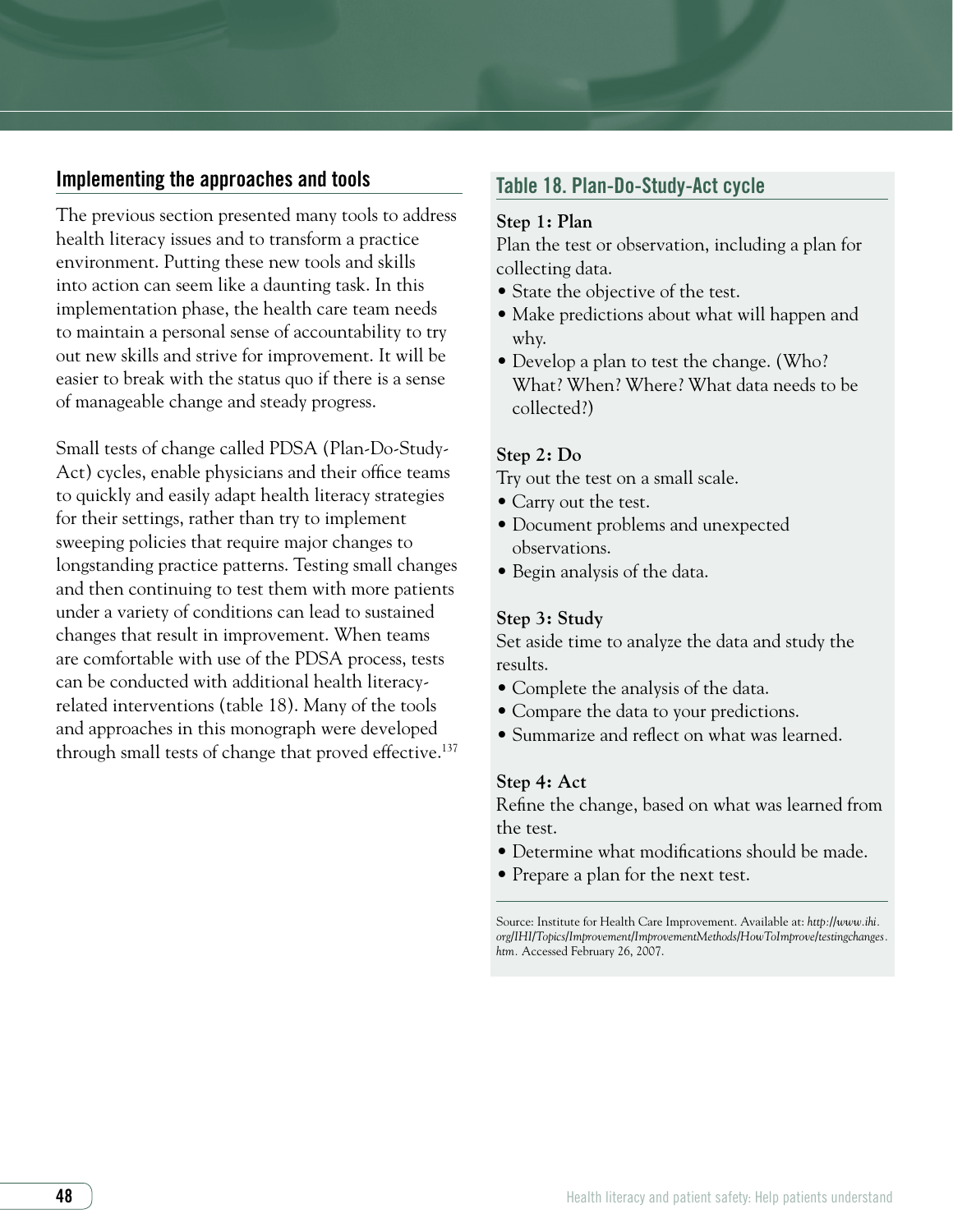# Implementing the approaches and tools

The previous section presented many tools to address health literacy issues and to transform a practice environment. Putting these new tools and skills into action can seem like a daunting task. In this implementation phase, the health care team needs to maintain a personal sense of accountability to try out new skills and strive for improvement. It will be easier to break with the status quo if there is a sense of manageable change and steady progress.

Small tests of change called PDSA (Plan-Do-Study-Act) cycles, enable physicians and their office teams to quickly and easily adapt health literacy strategies for their settings, rather than try to implement sweeping policies that require major changes to longstanding practice patterns. Testing small changes and then continuing to test them with more patients under a variety of conditions can lead to sustained changes that result in improvement. When teams are comfortable with use of the PDSA process, tests can be conducted with additional health literacyrelated interventions (table 18). Many of the tools and approaches in this monograph were developed through small tests of change that proved effective.<sup>137</sup>

#### Table 18. Plan-Do-Study-Act cycle

#### **Step 1: Plan**

Plan the test or observation, including a plan for collecting data.

- State the objective of the test.
- Make predictions about what will happen and why.
- Develop a plan to test the change. (Who? What? When? Where? What data needs to be collected?)

#### **Step 2: Do**

Try out the test on a small scale.

- Carry out the test.
- Document problems and unexpected observations.
- Begin analysis of the data.

#### **Step 3: Study**

Set aside time to analyze the data and study the results.

- Complete the analysis of the data.
- Compare the data to your predictions.
- Summarize and reflect on what was learned.

#### **Step 4: Act**

Refine the change, based on what was learned from the test.

- Determine what modifications should be made.
- Prepare a plan for the next test.

Source: Institute for Health Care Improvement. Available at: *http://www.ihi. org/IHI/Topics/Improvement/ImprovementMethods/HowToImprove/testingchanges. htm.* Accessed February 26, 2007.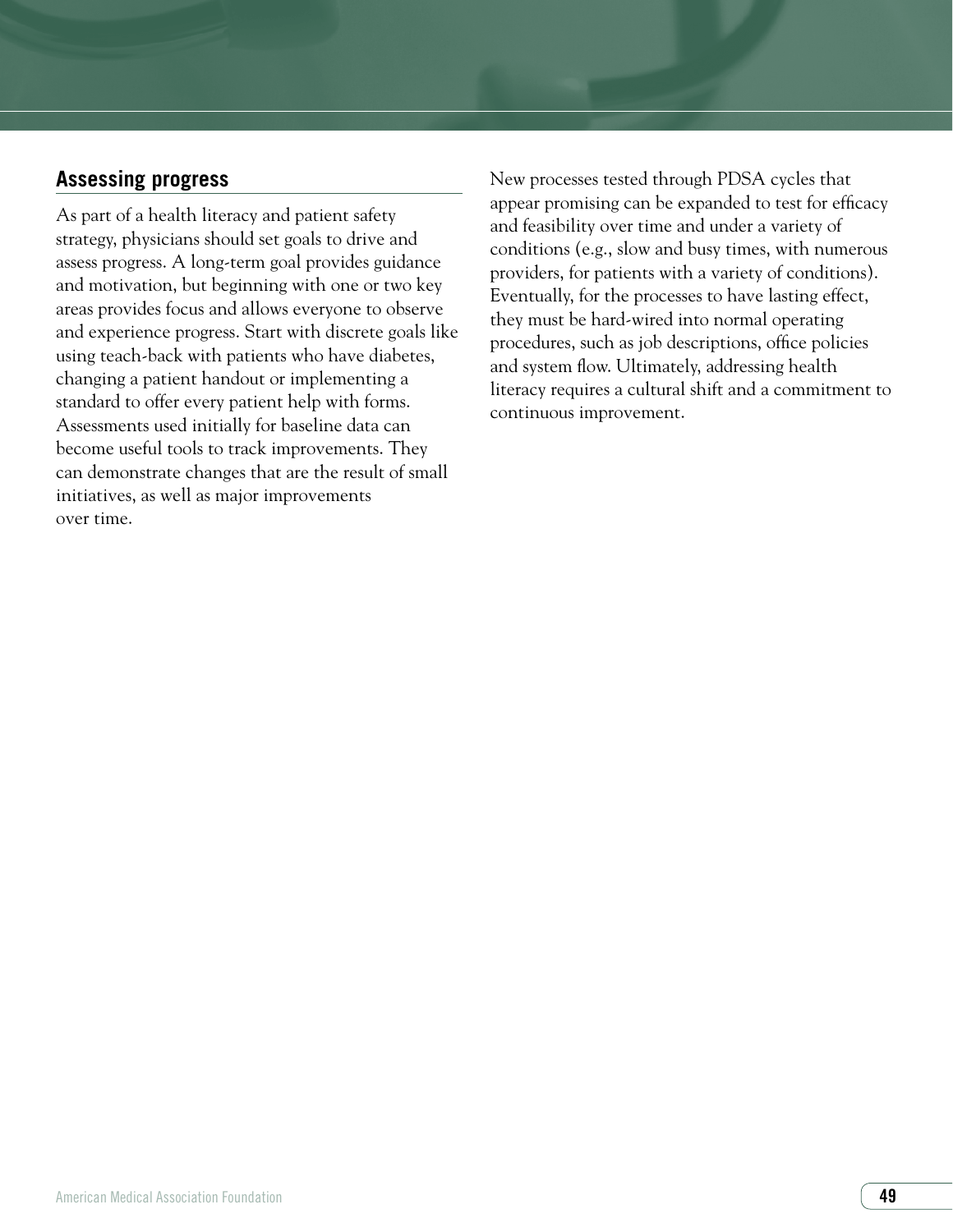# **Assessing progress**

As part of a health literacy and patient safety strategy, physicians should set goals to drive and assess progress. A long-term goal provides guidance and motivation, but beginning with one or two key areas provides focus and allows everyone to observe and experience progress. Start with discrete goals like using teach-back with patients who have diabetes, changing a patient handout or implementing a standard to offer every patient help with forms. Assessments used initially for baseline data can become useful tools to track improvements. They can demonstrate changes that are the result of small initiatives, as well as major improvements over time.

New processes tested through PDSA cycles that appear promising can be expanded to test for efficacy and feasibility over time and under a variety of conditions (e.g., slow and busy times, with numerous providers, for patients with a variety of conditions). Eventually, for the processes to have lasting effect, they must be hard-wired into normal operating procedures, such as job descriptions, office policies and system flow. Ultimately, addressing health literacy requires a cultural shift and a commitment to continuous improvement.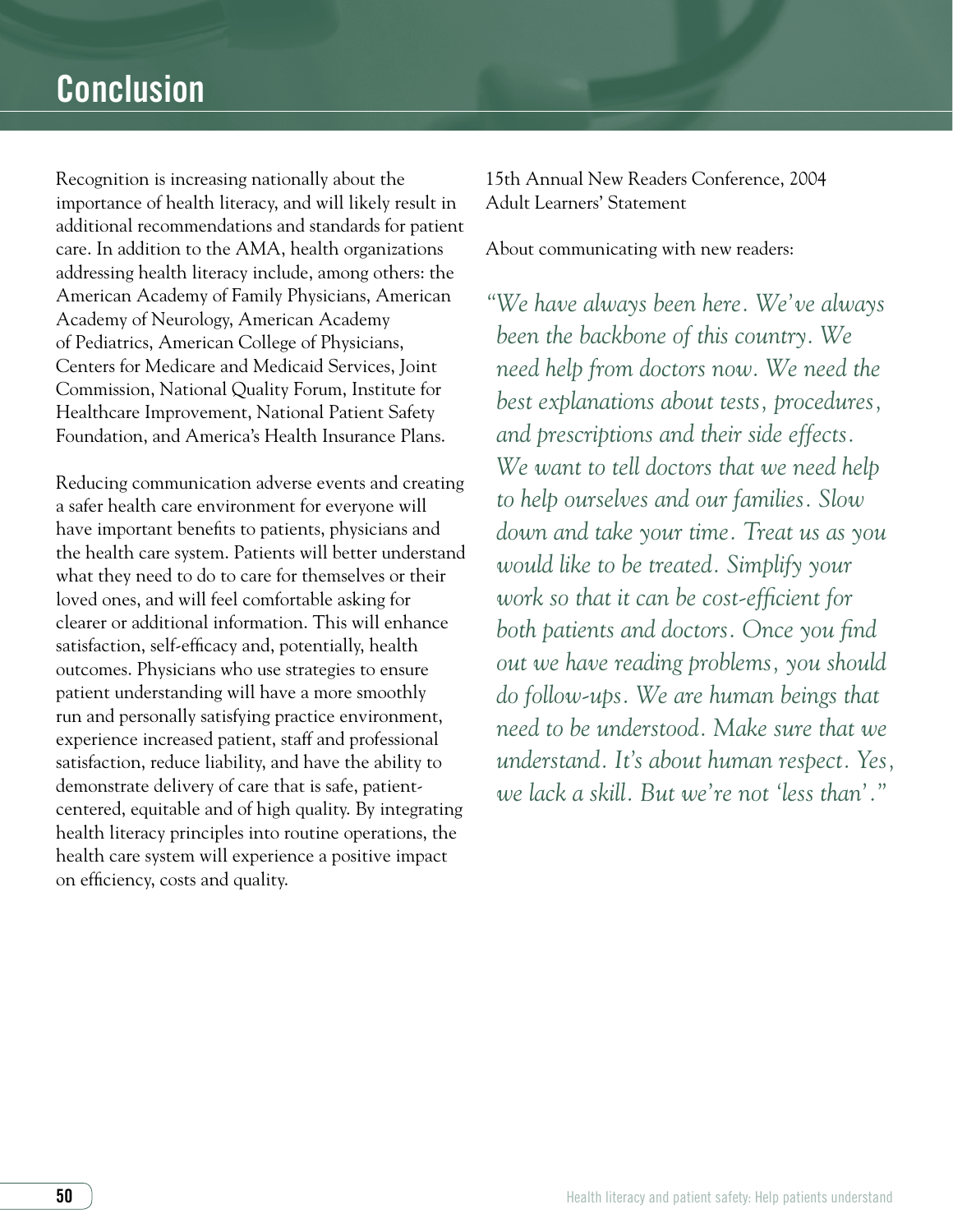Recognition is increasing nationally about the importance of health literacy, and will likely result in additional recommendations and standards for patient care. In addition to the AMA, health organizations addressing health literacy include, among others: the American Academy of Family Physicians, American Academy of Neurology, American Academy of Pediatrics, American College of Physicians, Centers for Medicare and Medicaid Services, Joint Commission, National Quality Forum, Institute for Healthcare Improvement, National Patient Safety Foundation, and America's Health Insurance Plans.

Reducing communication adverse events and creating a safer health care environment for everyone will have important benefits to patients, physicians and the health care system. Patients will better understand what they need to do to care for themselves or their loved ones, and will feel comfortable asking for clearer or additional information. This will enhance satisfaction, self-efficacy and, potentially, health outcomes. Physicians who use strategies to ensure patient understanding will have a more smoothly run and personally satisfying practice environment, experience increased patient, staff and professional satisfaction, reduce liability, and have the ability to demonstrate delivery of care that is safe, patientcentered, equitable and of high quality. By integrating health literacy principles into routine operations, the health care system will experience a positive impact on efficiency, costs and quality.

15th Annual New Readers Conference, 2004 Adult Learners' Statement

About communicating with new readers:

*"We have always been here. We've always been the backbone of this country. We need help from doctors now. We need the best explanations about tests, procedures, and prescriptions and their side effects. We want to tell doctors that we need help to help ourselves and our families. Slow down and take your time. Treat us as you would like to be treated. Simplify your work so that it can be cost-efficient for both patients and doctors. Once you find out we have reading problems, you should do follow-ups. We are human beings that need to be understood. Make sure that we understand. It's about human respect. Yes, we lack a skill. But we're not 'less than'."*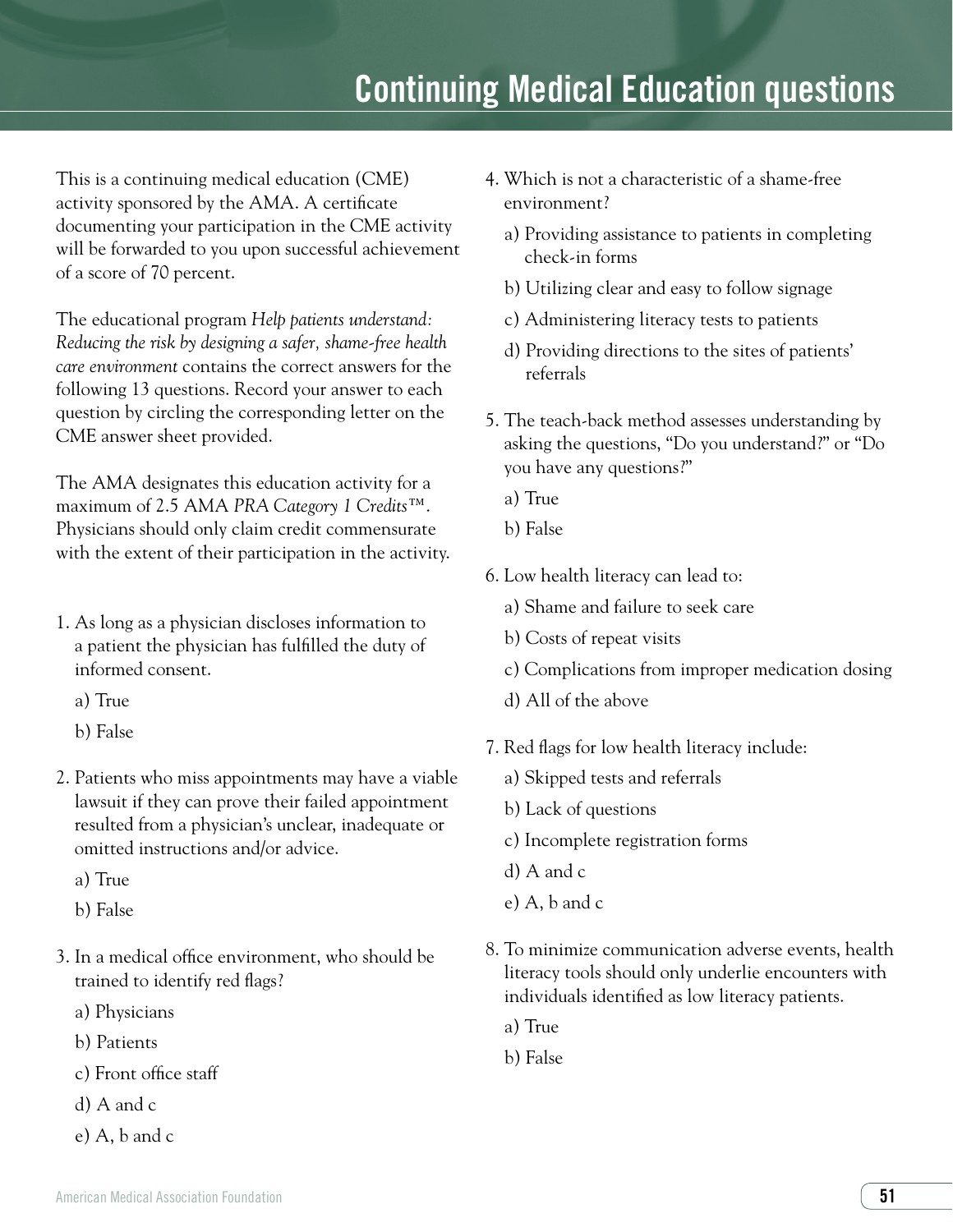# **Continuing Medical Education questions**

This is a continuing medical education (CME) activity sponsored by the AMA. A certificate documenting your participation in the CME activity will be forwarded to you upon successful achievement of a score of 70 percent.

The educational program *Help patients understand: Reducing the risk by designing a safer, shame-free health care environment* contains the correct answers for the following 13 questions. Record your answer to each question by circling the corresponding letter on the CME answer sheet provided.

The AMA designates this education activity for a maximum of 2.5 AMA *PRA Category 1 Credits*™. Physicians should only claim credit commensurate with the extent of their participation in the activity.

- 1. As long as a physician discloses information to a patient the physician has fulfilled the duty of informed consent.
	- a) True
	- b) False
- 2. Patients who miss appointments may have a viable lawsuit if they can prove their failed appointment resulted from a physician's unclear, inadequate or omitted instructions and/or advice.
	- a) True
	- b) False
- 3. In a medical office environment, who should be trained to identify red flags?
	- a) Physicians
	- b) Patients
	- c) Front office staff
	- d) A and c
	- e) A, b and c
- 4. Which is not a characteristic of a shame-free environment?
	- a) Providing assistance to patients in completing check-in forms
	- b) Utilizing clear and easy to follow signage
	- c) Administering literacy tests to patients
	- d) Providing directions to the sites of patients' referrals
- 5. The teach-back method assesses understanding by asking the questions, "Do you understand?" or "Do you have any questions?"
	- a) True
	- b) False
- 6. Low health literacy can lead to:
	- a) Shame and failure to seek care
	- b) Costs of repeat visits
	- c) Complications from improper medication dosing
	- d) All of the above
- 7. Red flags for low health literacy include:
	- a) Skipped tests and referrals
	- b) Lack of questions
	- c) Incomplete registration forms
	- d) A and c
	- e) A, b and c
- 8. To minimize communication adverse events, health literacy tools should only underlie encounters with individuals identified as low literacy patients.
	- a) True
	- b) False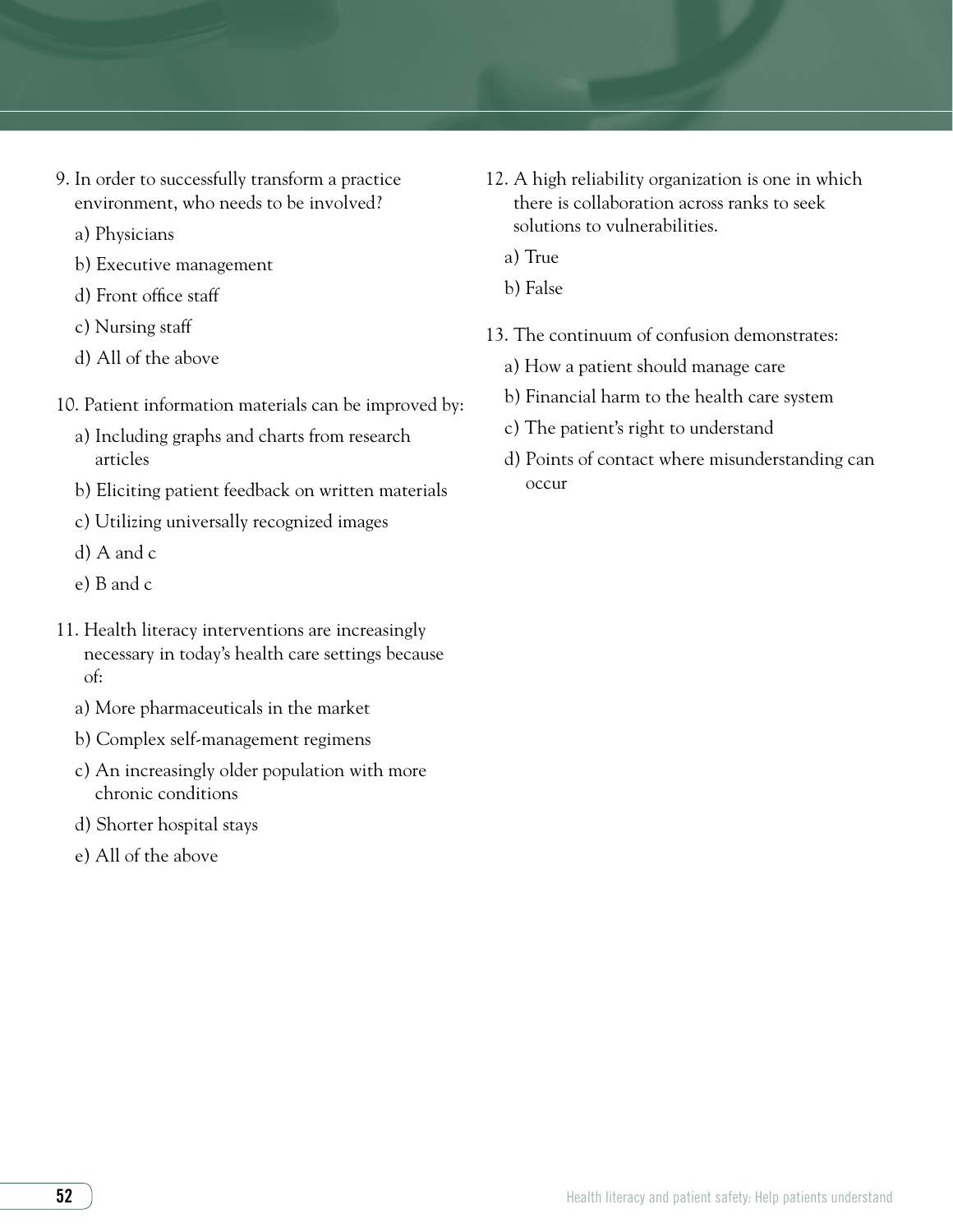- 9. In order to successfully transform a practice environment, who needs to be involved?
	- a) Physicians
	- b) Executive management
	- d) Front office staff
	- c) Nursing staff
	- d) All of the above
- 10. Patient information materials can be improved by:
	- a) Including graphs and charts from research articles
	- b) Eliciting patient feedback on written materials
	- c) Utilizing universally recognized images
	- d) A and c
	- e) B and c
- 11. Health literacy interventions are increasingly necessary in today's health care settings because of:
	- a) More pharmaceuticals in the market
	- b) Complex self-management regimens
	- c) An increasingly older population with more chronic conditions
	- d) Shorter hospital stays
	- e) All of the above
- 12. A high reliability organization is one in which there is collaboration across ranks to seek solutions to vulnerabilities.
	- a) True
	- b) False
- 13. The continuum of confusion demonstrates:
	- a) How a patient should manage care
	- b) Financial harm to the health care system
	- c) The patient's right to understand
	- d) Points of contact where misunderstanding can occur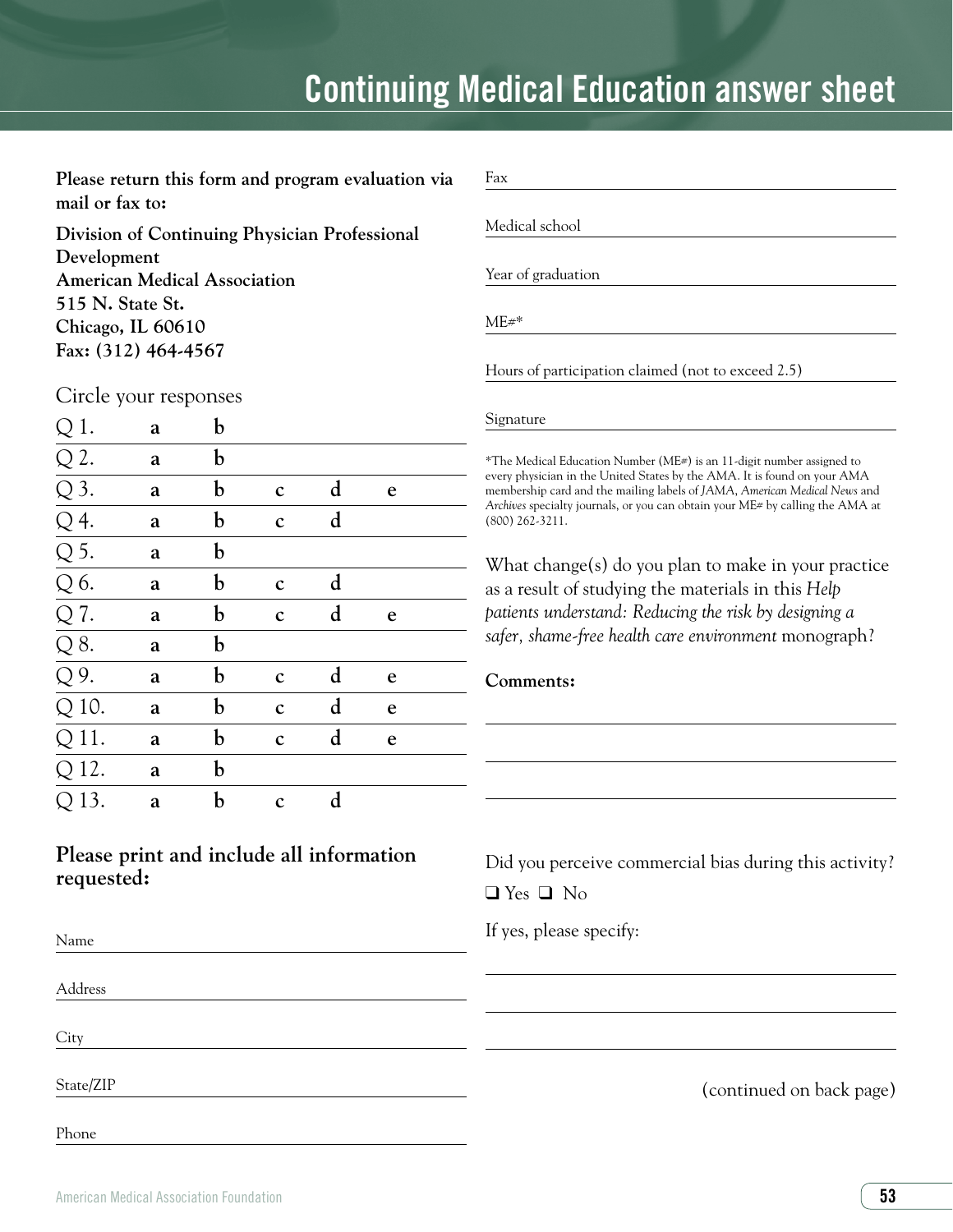# **Continuing Medical Education answer sheet**

Please return this form and program evaluation **mail or fax to:**

**Division of Continuing Physician Professional Development American Medical Association 515 N. State St. Chicago, IL 60610 Fax: (312) 464-4567**

| Fax                                                                                                                                                                                                                                                                                                                                |
|------------------------------------------------------------------------------------------------------------------------------------------------------------------------------------------------------------------------------------------------------------------------------------------------------------------------------------|
| Medical school                                                                                                                                                                                                                                                                                                                     |
| Year of graduation                                                                                                                                                                                                                                                                                                                 |
| $ME#$ *                                                                                                                                                                                                                                                                                                                            |
| Hours of participation claimed (not to exceed 2.5)                                                                                                                                                                                                                                                                                 |
| Signature                                                                                                                                                                                                                                                                                                                          |
| *The Medical Education Number (ME#) is an 11-digit number assigned to<br>every physician in the United States by the AMA. It is found on your AMA<br>membership card and the mailing labels of JAMA, American Medical News and<br>Archives specialty journals, or you can obtain your ME# by calling the AMA at<br>(800) 262-3211. |
| What change(s) do you plan to make in your practice<br>as a result of studying the materials in this Help<br>patients understand: Reducing the risk by designing a<br>safer, shame-free health care environment monograph?                                                                                                         |
| Comments:                                                                                                                                                                                                                                                                                                                          |
|                                                                                                                                                                                                                                                                                                                                    |
|                                                                                                                                                                                                                                                                                                                                    |
|                                                                                                                                                                                                                                                                                                                                    |
|                                                                                                                                                                                                                                                                                                                                    |
| Did you perceive commercial bias during this activity?<br>$\Box$ Yes $\Box$ No                                                                                                                                                                                                                                                     |

Circle your responses

|                                                                                                                                                                         | a | b |             |             |   |  |
|-------------------------------------------------------------------------------------------------------------------------------------------------------------------------|---|---|-------------|-------------|---|--|
|                                                                                                                                                                         | a | b |             |             |   |  |
| $\frac{Q}{Q}$ $\frac{Q}{Q}$ $\frac{Q}{Q}$ $\frac{Q}{Q}$ $\frac{Q}{Q}$ $\frac{Q}{Q}$ $\frac{Q}{Q}$ $\frac{Q}{Q}$ $\frac{Q}{Q}$ $\frac{Q}{Q}$ $\frac{Q}{Q}$ $\frac{Q}{Q}$ | a | b | $\mathbf c$ | d           | e |  |
|                                                                                                                                                                         | a | b | $\mathbf c$ | $\mathbf d$ |   |  |
|                                                                                                                                                                         | a | b |             |             |   |  |
|                                                                                                                                                                         | a | b | $\mathbf c$ | d           |   |  |
|                                                                                                                                                                         | a | b | $\mathbf c$ | d           | e |  |
|                                                                                                                                                                         | a | b |             |             |   |  |
|                                                                                                                                                                         | a | b | $\mathbf c$ | d           | e |  |
|                                                                                                                                                                         | a | b | $\mathbf c$ | d           | e |  |
| $\overline{Q11}$ .                                                                                                                                                      | a | b | $\mathbf c$ | $\mathbf d$ | e |  |
| $\overline{Q12}$ .                                                                                                                                                      | a | b |             |             |   |  |
| $\overline{Q13}$ .                                                                                                                                                      | a | b | $\mathbf c$ | d           |   |  |

# **Please print and include all information requested:**

Phone

State/Zip

Name

Address

**City**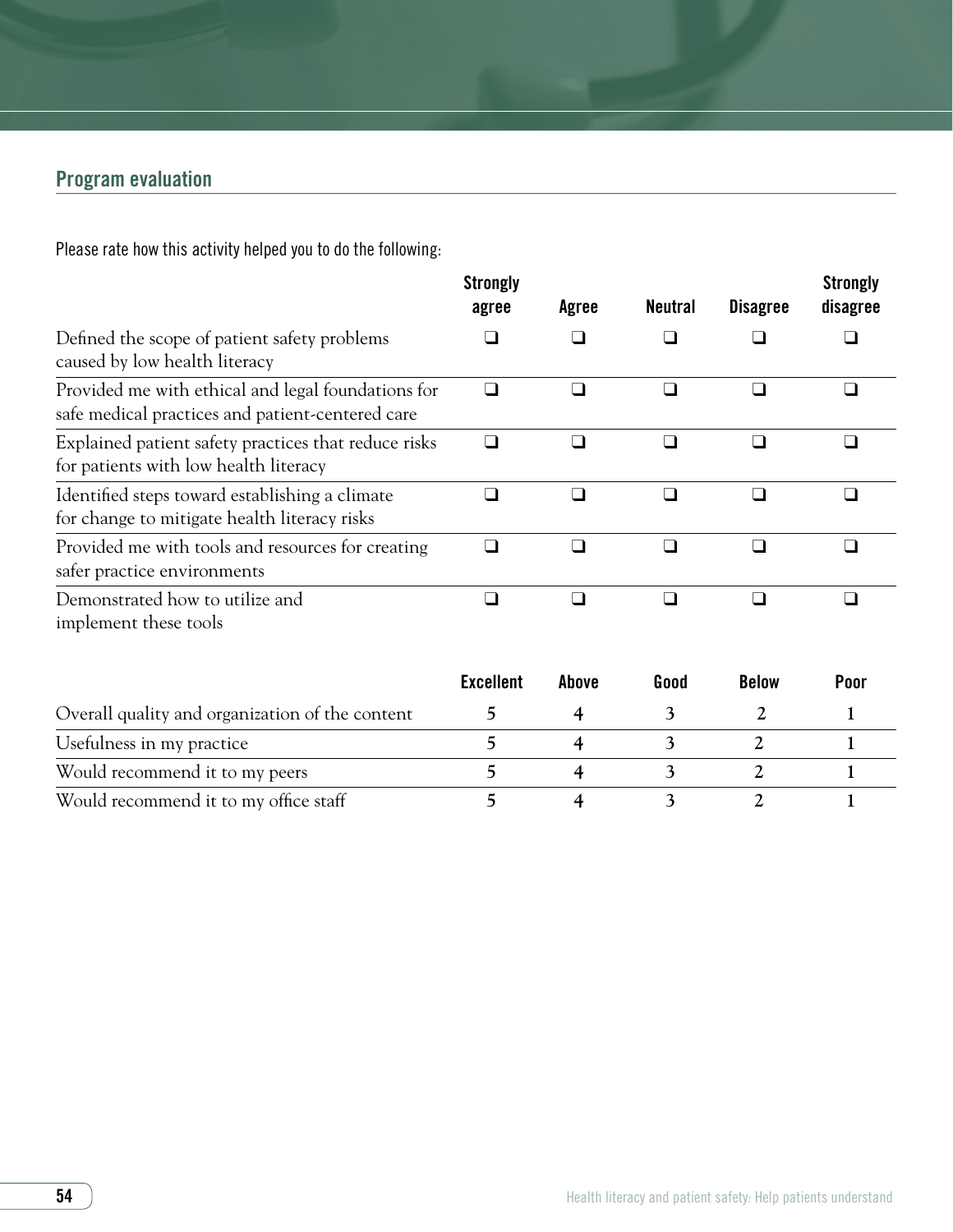# Program evaluation

Please rate how this activity helped you to do the following:

|                                                                                                        | <b>Strongly</b><br>agree | Agree          | <b>Neutral</b> | <b>Disagree</b> | <b>Strongly</b><br>disagree |
|--------------------------------------------------------------------------------------------------------|--------------------------|----------------|----------------|-----------------|-----------------------------|
| Defined the scope of patient safety problems<br>caused by low health literacy                          |                          |                | $\blacksquare$ |                 |                             |
| Provided me with ethical and legal foundations for<br>safe medical practices and patient-centered care | $\Box$                   | ∩              | □              | ⊓               | □                           |
| Explained patient safety practices that reduce risks<br>for patients with low health literacy          | П                        | ⊓              | $\Box$         | ⊓               | $\Box$                      |
| Identified steps toward establishing a climate<br>for change to mitigate health literacy risks         | ⊓                        | ∩              | □              | □               | $\Box$                      |
| Provided me with tools and resources for creating<br>safer practice environments                       | $\Box$                   | $\Box$         | ❏              | $\Box$          | $\Box$                      |
| Demonstrated how to utilize and<br>implement these tools                                               | $\Box$                   | ❏              | $\Box$         | $\Box$          | □                           |
|                                                                                                        | <b>Excellent</b>         | Above          | Good           | <b>Below</b>    | Poor                        |
| Overall quality and organization of the content                                                        | 5                        | $\overline{4}$ | 3              | $\overline{2}$  | 1                           |
| Usefulness in my practice                                                                              | 5                        | $\overline{4}$ | 3              | 2               | $\mathbf{1}$                |
| Would recommend it to my peers                                                                         | 5                        | 4              | 3              | $\overline{2}$  | $\mathbf{1}$                |

Would recommend it to my office staff **5** 4 3 2 1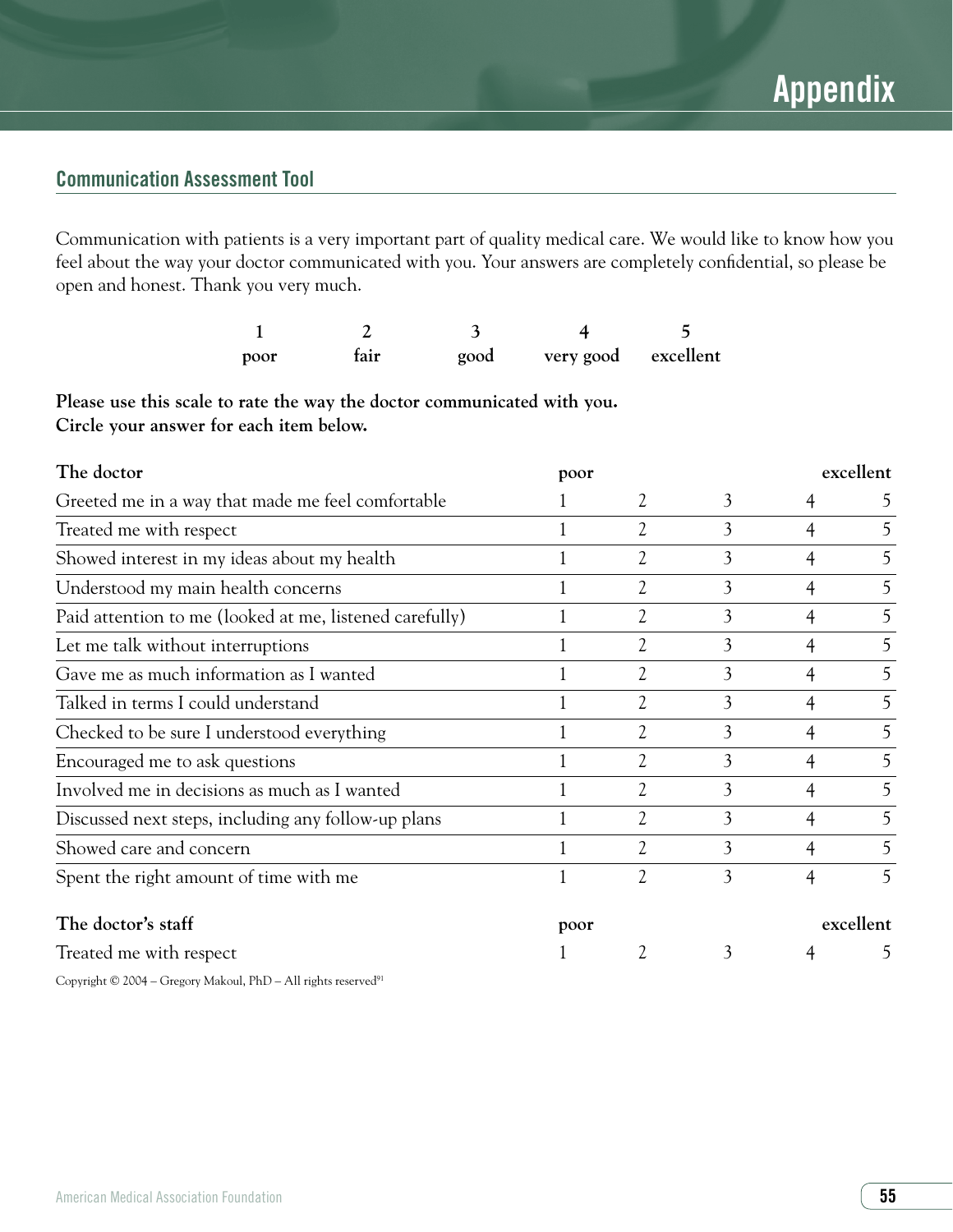# Communication Assessment Tool

Communication with patients is a very important part of quality medical care. We would like to know how you feel about the way your doctor communicated with you. Your answers are completely confidential, so please be open and honest. Thank you very much.

| poor | fair | good | very good excellent |  |
|------|------|------|---------------------|--|

**Please use this scale to rate the way the doctor communicated with you. Circle your answer for each item below.** 

| The doctor                                              | poor |                |   | excellent      |               |  |
|---------------------------------------------------------|------|----------------|---|----------------|---------------|--|
| Greeted me in a way that made me feel comfortable       |      | 2              | 3 | 4              | $\mathcal{L}$ |  |
| Treated me with respect                                 |      | 2              | 3 | $\overline{4}$ | 5             |  |
| Showed interest in my ideas about my health             |      | 2              | 3 | 4              | 5             |  |
| Understood my main health concerns                      |      | 2              | 3 | 4              | 5             |  |
| Paid attention to me (looked at me, listened carefully) |      | $\overline{2}$ | 3 | 4              | 5             |  |
| Let me talk without interruptions                       |      | 2              | 3 | 4              | 5             |  |
| Gave me as much information as I wanted                 |      | 2              | 3 | 4              | 5             |  |
| Talked in terms I could understand                      |      | $\overline{2}$ | 3 | 4              | 5             |  |
| Checked to be sure I understood everything              |      | 2              | 3 | $\overline{4}$ | 5             |  |
| Encouraged me to ask questions                          |      | $\overline{2}$ | 3 | 4              | 5             |  |
| Involved me in decisions as much as I wanted            |      | 2              | 3 | 4              | 5             |  |
| Discussed next steps, including any follow-up plans     |      | $\overline{2}$ | 3 | 4              | 5             |  |
| Showed care and concern                                 |      | 2              | 3 | 4              | 5             |  |
| Spent the right amount of time with me                  |      | $\overline{2}$ | 3 | 4              | 5             |  |
| The doctor's staff                                      | poor |                |   |                | excellent     |  |
| Treated me with respect                                 |      | 2              | 3 | 4              | $\mathcal{L}$ |  |

Copyright © 2004 – Gregory Makoul, PhD – All rights reserved<sup>91</sup>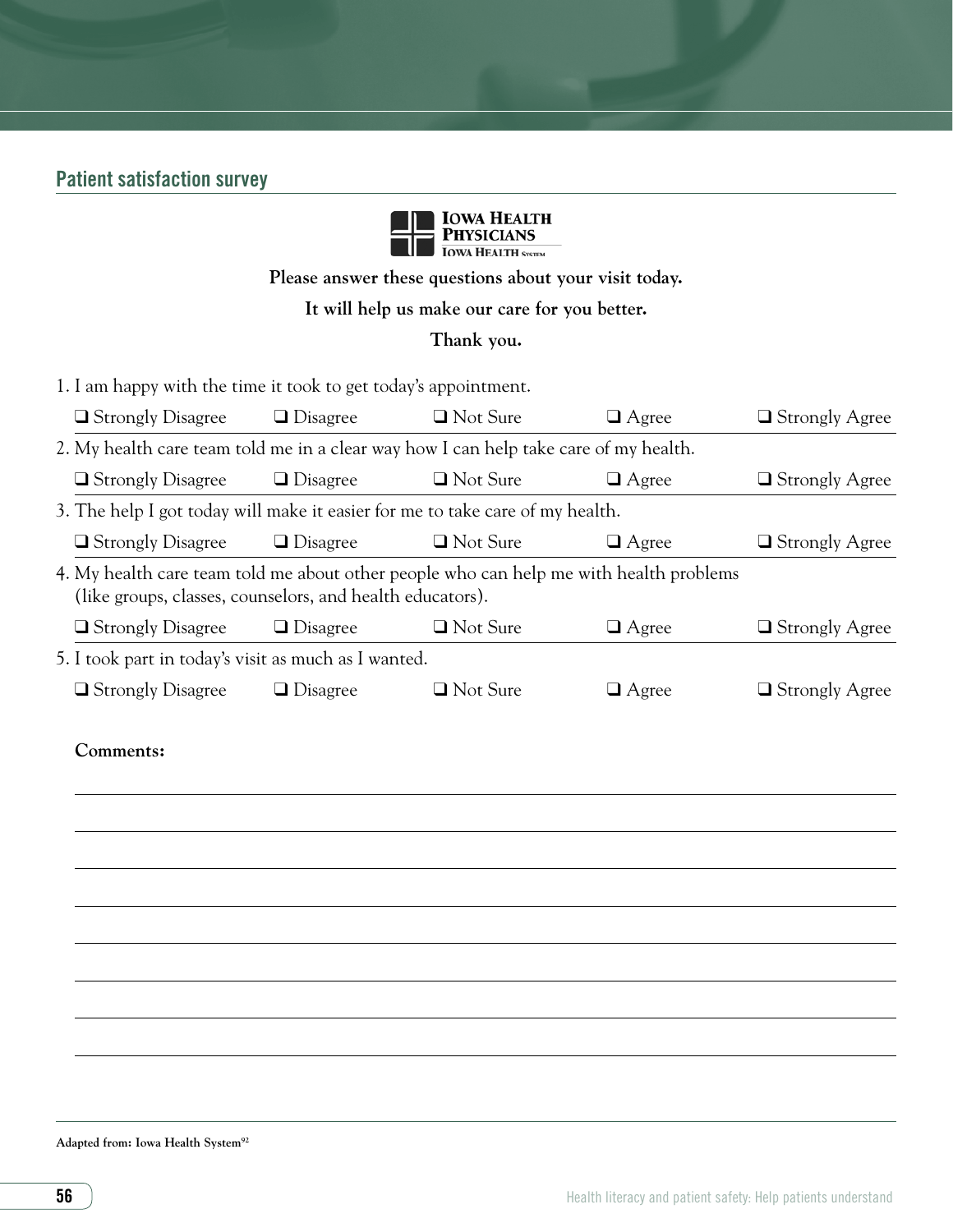# Patient satisfaction survey



**Please answer these questions about your visit today.**

# **It will help us make our care for you better.**

#### **Thank you.**

1. I am happy with the time it took to get today's appointment.

| $\Box$ Strongly Disagree                                                                                                                            | $\Box$ Disagree | $\Box$ Not Sure | $\Box$ Agree | $\Box$ Strongly Agree |  |
|-----------------------------------------------------------------------------------------------------------------------------------------------------|-----------------|-----------------|--------------|-----------------------|--|
| 2. My health care team told me in a clear way how I can help take care of my health.                                                                |                 |                 |              |                       |  |
| $\Box$ Strongly Disagree                                                                                                                            | $\Box$ Disagree | $\Box$ Not Sure | $\Box$ Agree | $\Box$ Strongly Agree |  |
| 3. The help I got today will make it easier for me to take care of my health.                                                                       |                 |                 |              |                       |  |
| $\Box$ Strongly Disagree                                                                                                                            | $\Box$ Disagree | $\Box$ Not Sure | $\Box$ Agree | $\Box$ Strongly Agree |  |
| 4. My health care team told me about other people who can help me with health problems<br>(like groups, classes, counselors, and health educators). |                 |                 |              |                       |  |
| $\Box$ Strongly Disagree                                                                                                                            | $\Box$ Disagree | $\Box$ Not Sure | $\Box$ Agree | $\Box$ Strongly Agree |  |
| 5. I took part in today's visit as much as I wanted.                                                                                                |                 |                 |              |                       |  |
| □ Strongly Disagree                                                                                                                                 | $\Box$ Disagree | $\Box$ Not Sure | $\Box$ Agree | $\Box$ Strongly Agree |  |
| Comments:                                                                                                                                           |                 |                 |              |                       |  |
|                                                                                                                                                     |                 |                 |              |                       |  |

#### **Adapted from: Iowa Health System92**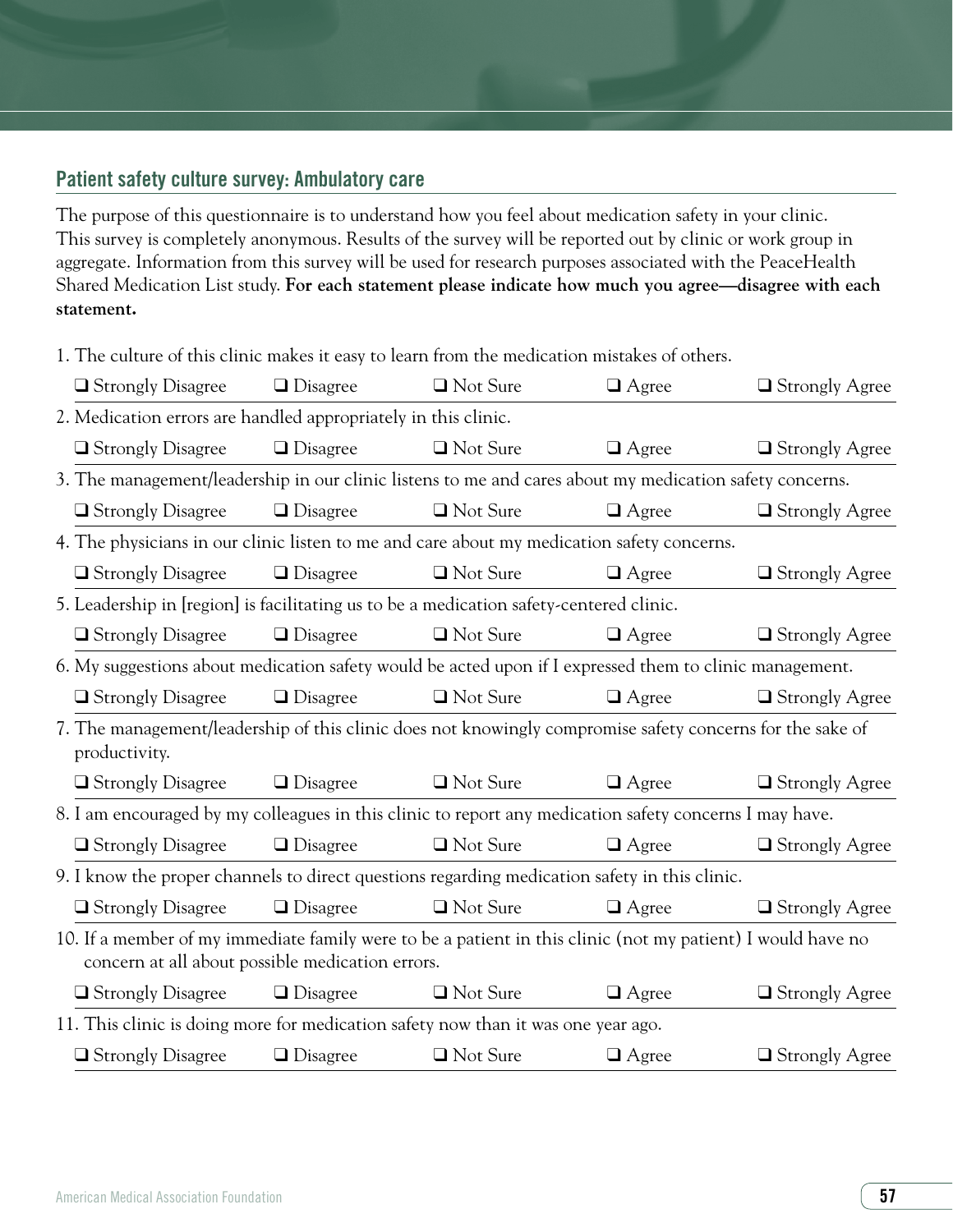# Patient safety culture survey: Ambulatory care

The purpose of this questionnaire is to understand how you feel about medication safety in your clinic. This survey is completely anonymous. Results of the survey will be reported out by clinic or work group in aggregate. Information from this survey will be used for research purposes associated with the PeaceHealth Shared Medication List study. **For each statement please indicate how much you agree—disagree with each statement.** 

1. The culture of this clinic makes it easy to learn from the medication mistakes of others.

| $\Box$ Strongly Disagree                                                                                                                                        | $\Box$ Disagree | □ Not Sure      | $\Box$ Agree | $\Box$ Strongly Agree |  |  |  |
|-----------------------------------------------------------------------------------------------------------------------------------------------------------------|-----------------|-----------------|--------------|-----------------------|--|--|--|
| 2. Medication errors are handled appropriately in this clinic.                                                                                                  |                 |                 |              |                       |  |  |  |
| $\Box$ Strongly Disagree                                                                                                                                        | $\Box$ Disagree | $\Box$ Not Sure | $\Box$ Agree | $\Box$ Strongly Agree |  |  |  |
| 3. The management/leadership in our clinic listens to me and cares about my medication safety concerns.                                                         |                 |                 |              |                       |  |  |  |
| $\Box$ Strongly Disagree                                                                                                                                        | $\Box$ Disagree | □ Not Sure      | $\Box$ Agree | $\Box$ Strongly Agree |  |  |  |
| 4. The physicians in our clinic listen to me and care about my medication safety concerns.                                                                      |                 |                 |              |                       |  |  |  |
| □ Strongly Disagree                                                                                                                                             | $\Box$ Disagree | □ Not Sure      | $\Box$ Agree | $\Box$ Strongly Agree |  |  |  |
| 5. Leadership in [region] is facilitating us to be a medication safety-centered clinic.                                                                         |                 |                 |              |                       |  |  |  |
| $\Box$ Strongly Disagree                                                                                                                                        | $\Box$ Disagree | □ Not Sure      | $\Box$ Agree | $\Box$ Strongly Agree |  |  |  |
| 6. My suggestions about medication safety would be acted upon if I expressed them to clinic management.                                                         |                 |                 |              |                       |  |  |  |
| $\Box$ Strongly Disagree                                                                                                                                        | $\Box$ Disagree | □ Not Sure      | $\Box$ Agree | $\Box$ Strongly Agree |  |  |  |
| 7. The management/leadership of this clinic does not knowingly compromise safety concerns for the sake of<br>productivity.                                      |                 |                 |              |                       |  |  |  |
| $\Box$ Strongly Disagree                                                                                                                                        | $\Box$ Disagree | $\Box$ Not Sure | $\Box$ Agree | $\Box$ Strongly Agree |  |  |  |
| 8. I am encouraged by my colleagues in this clinic to report any medication safety concerns I may have.                                                         |                 |                 |              |                       |  |  |  |
| $\Box$ Strongly Disagree                                                                                                                                        | $\Box$ Disagree | □ Not Sure      | $\Box$ Agree | $\Box$ Strongly Agree |  |  |  |
| 9. I know the proper channels to direct questions regarding medication safety in this clinic.                                                                   |                 |                 |              |                       |  |  |  |
| $\Box$ Strongly Disagree                                                                                                                                        | $\Box$ Disagree | □ Not Sure      | $\Box$ Agree | $\Box$ Strongly Agree |  |  |  |
| 10. If a member of my immediate family were to be a patient in this clinic (not my patient) I would have no<br>concern at all about possible medication errors. |                 |                 |              |                       |  |  |  |
| $\Box$ Strongly Disagree                                                                                                                                        | $\Box$ Disagree | $\Box$ Not Sure | $\Box$ Agree | $\Box$ Strongly Agree |  |  |  |
| 11. This clinic is doing more for medication safety now than it was one year ago.                                                                               |                 |                 |              |                       |  |  |  |
| $\Box$ Strongly Disagree                                                                                                                                        | $\Box$ Disagree | □ Not Sure      | $\Box$ Agree | $\Box$ Strongly Agree |  |  |  |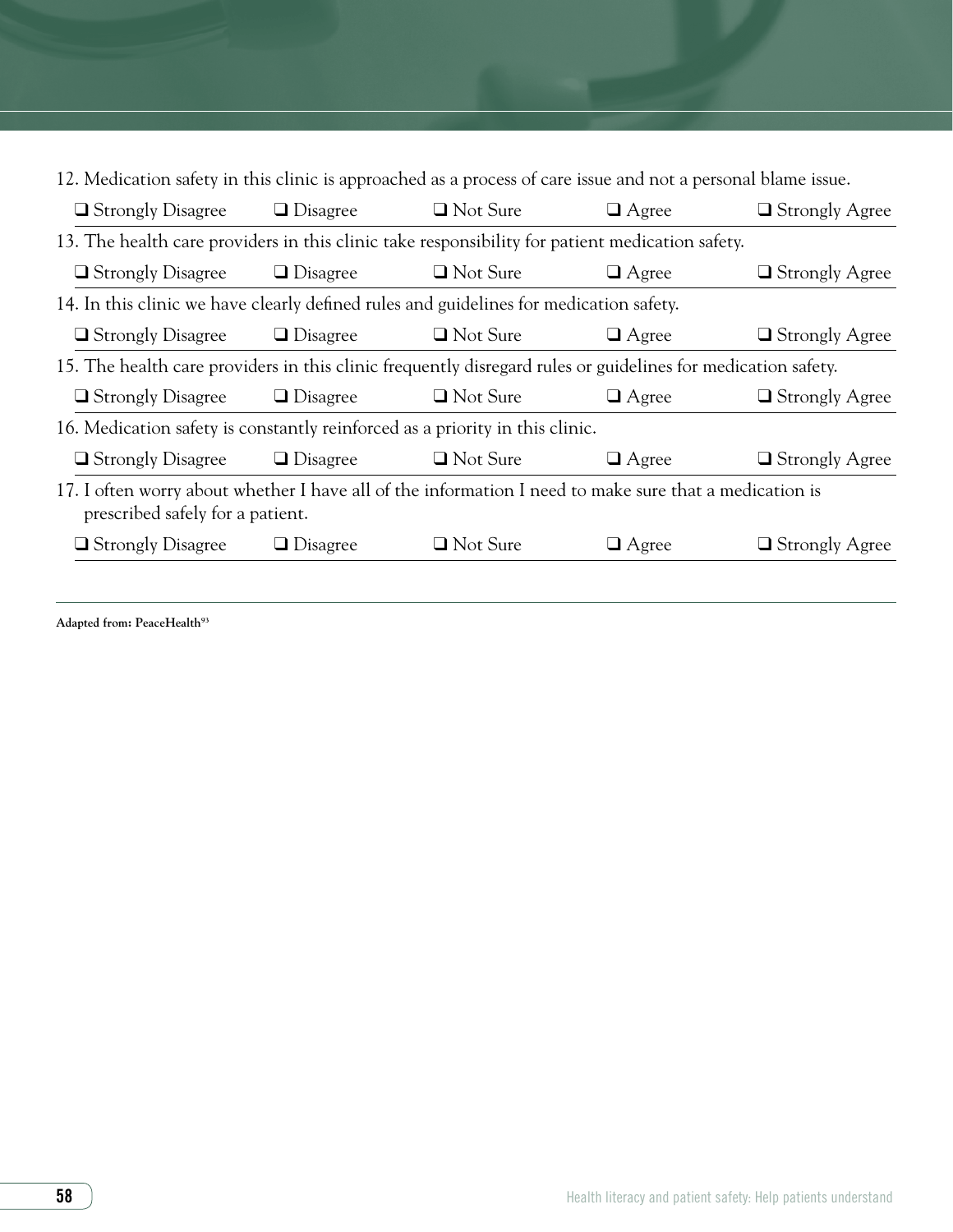| 12. Medication safety in this clinic is approached as a process of care issue and not a personal blame issue.                              |                 |                 |              |                       |  |  |  |
|--------------------------------------------------------------------------------------------------------------------------------------------|-----------------|-----------------|--------------|-----------------------|--|--|--|
| $\Box$ Strongly Disagree                                                                                                                   | $\Box$ Disagree | $\Box$ Not Sure | $\Box$ Agree | $\Box$ Strongly Agree |  |  |  |
| 13. The health care providers in this clinic take responsibility for patient medication safety.                                            |                 |                 |              |                       |  |  |  |
| $\Box$ Strongly Disagree                                                                                                                   | $\Box$ Disagree | $\Box$ Not Sure | $\Box$ Agree | $\Box$ Strongly Agree |  |  |  |
| 14. In this clinic we have clearly defined rules and guidelines for medication safety.                                                     |                 |                 |              |                       |  |  |  |
| $\Box$ Strongly Disagree                                                                                                                   | $\Box$ Disagree | $\Box$ Not Sure | $\Box$ Agree | $\Box$ Strongly Agree |  |  |  |
| 15. The health care providers in this clinic frequently disregard rules or guidelines for medication safety.                               |                 |                 |              |                       |  |  |  |
| $\Box$ Strongly Disagree                                                                                                                   | $\Box$ Disagree | $\Box$ Not Sure | $\Box$ Agree | $\Box$ Strongly Agree |  |  |  |
| 16. Medication safety is constantly reinforced as a priority in this clinic.                                                               |                 |                 |              |                       |  |  |  |
| $\Box$ Strongly Disagree                                                                                                                   | $\Box$ Disagree | $\Box$ Not Sure | $\Box$ Agree | $\Box$ Strongly Agree |  |  |  |
| 17. I often worry about whether I have all of the information I need to make sure that a medication is<br>prescribed safely for a patient. |                 |                 |              |                       |  |  |  |
| $\Box$ Strongly Disagree                                                                                                                   | $\Box$ Disagree | $\Box$ Not Sure | $\Box$ Agree | $\Box$ Strongly Agree |  |  |  |
|                                                                                                                                            |                 |                 |              |                       |  |  |  |

**Adapted from: PeaceHealth93**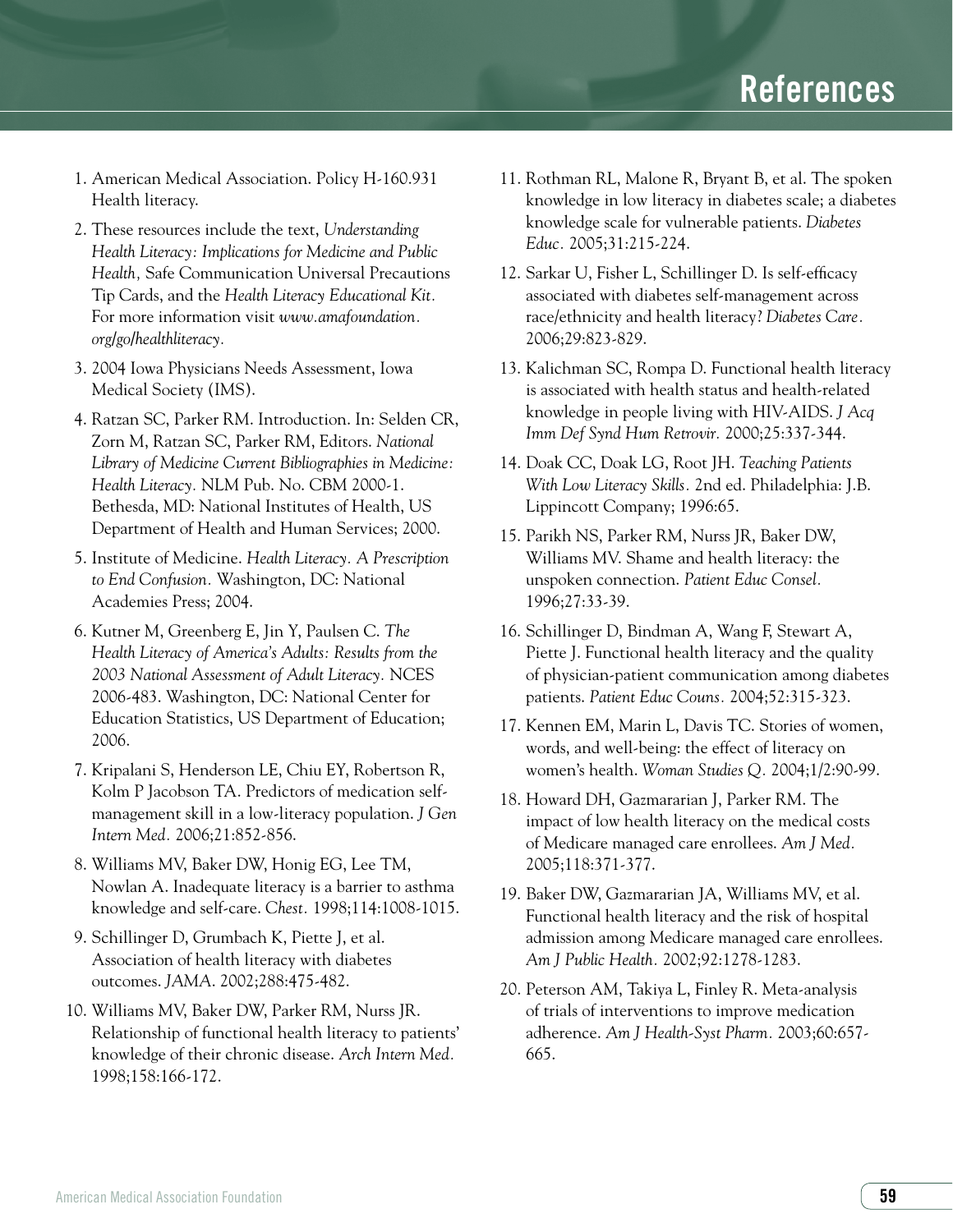- 1. American Medical Association. Policy H-160.931 Health literacy.
- 2. These resources include the text, *Understanding Health Literacy: Implications for Medicine and Public Health,* Safe Communication Universal Precautions Tip Cards, and the *Health Literacy Educational Kit.* For more information visit *www.amafoundation. org/go/healthliteracy.*
- 3. 2004 Iowa Physicians Needs Assessment, Iowa Medical Society (IMS).
- 4. Ratzan SC, Parker RM. Introduction. In: Selden CR, Zorn M, Ratzan SC, Parker RM, Editors. *National Library of Medicine Current Bibliographies in Medicine: Health Literacy.* NLM Pub. No. CBM 2000-1. Bethesda, MD: National Institutes of Health, US Department of Health and Human Services; 2000.
- 5. Institute of Medicine. *Health Literacy. A Prescription to End Confusion.* Washington, DC: National Academies Press; 2004.
- 6. Kutner M, Greenberg E, Jin Y, Paulsen C. *The Health Literacy of America's Adults: Results from the 2003 National Assessment of Adult Literacy.* NCES 2006-483. Washington, DC: National Center for Education Statistics, US Department of Education; 2006.
- 7. Kripalani S, Henderson LE, Chiu EY, Robertson R, Kolm P Jacobson TA. Predictors of medication selfmanagement skill in a low-literacy population. *J Gen Intern Med.* 2006;21:852-856.
- 8. Williams MV, Baker DW, Honig EG, Lee TM, Nowlan A. Inadequate literacy is a barrier to asthma knowledge and self-care. *Chest.* 1998;114:1008-1015.
- 9. Schillinger D, Grumbach K, Piette J, et al. Association of health literacy with diabetes outcomes. *JAMA*. 2002;288:475-482.
- 10. Williams MV, Baker DW, Parker RM, Nurss JR. Relationship of functional health literacy to patients' knowledge of their chronic disease. *Arch Intern Med.*  1998;158:166-172.
- 11. Rothman RL, Malone R, Bryant B, et al. The spoken knowledge in low literacy in diabetes scale; a diabetes knowledge scale for vulnerable patients. *Diabetes Educ.* 2005;31:215-224.
- 12. Sarkar U, Fisher L, Schillinger D. Is self-efficacy associated with diabetes self-management across race/ethnicity and health literacy? *Diabetes Care.*  2006;29:823-829.
- 13. Kalichman SC, Rompa D. Functional health literacy is associated with health status and health-related knowledge in people living with HIV-AIDS. *J Acq Imm Def Synd Hum Retrovir.* 2000;25:337-344.
- 14. Doak CC, Doak LG, Root JH. *Teaching Patients With Low Literacy Skills.* 2nd ed. Philadelphia: J.B. Lippincott Company; 1996:65.
- 15. Parikh NS, Parker RM, Nurss JR, Baker DW, Williams MV. Shame and health literacy: the unspoken connection. *Patient Educ Consel.*  1996;27:33-39.
- 16. Schillinger D, Bindman A, Wang F, Stewart A, Piette J. Functional health literacy and the quality of physician-patient communication among diabetes patients. *Patient Educ Couns.* 2004;52:315-323.
- 17. Kennen EM, Marin L, Davis TC. Stories of women, words, and well-being: the effect of literacy on women's health. *Woman Studies Q.* 2004;1/2:90-99.
- 18. Howard DH, Gazmararian J, Parker RM. The impact of low health literacy on the medical costs of Medicare managed care enrollees. *Am J Med.* 2005;118:371-377.
- 19. Baker DW, Gazmararian JA, Williams MV, et al. Functional health literacy and the risk of hospital admission among Medicare managed care enrollees. *Am J Public Health.* 2002;92:1278-1283.
- 20. Peterson AM, Takiya L, Finley R. Meta-analysis of trials of interventions to improve medication adherence. *Am J Health-Syst Pharm.* 2003;60:657- 665.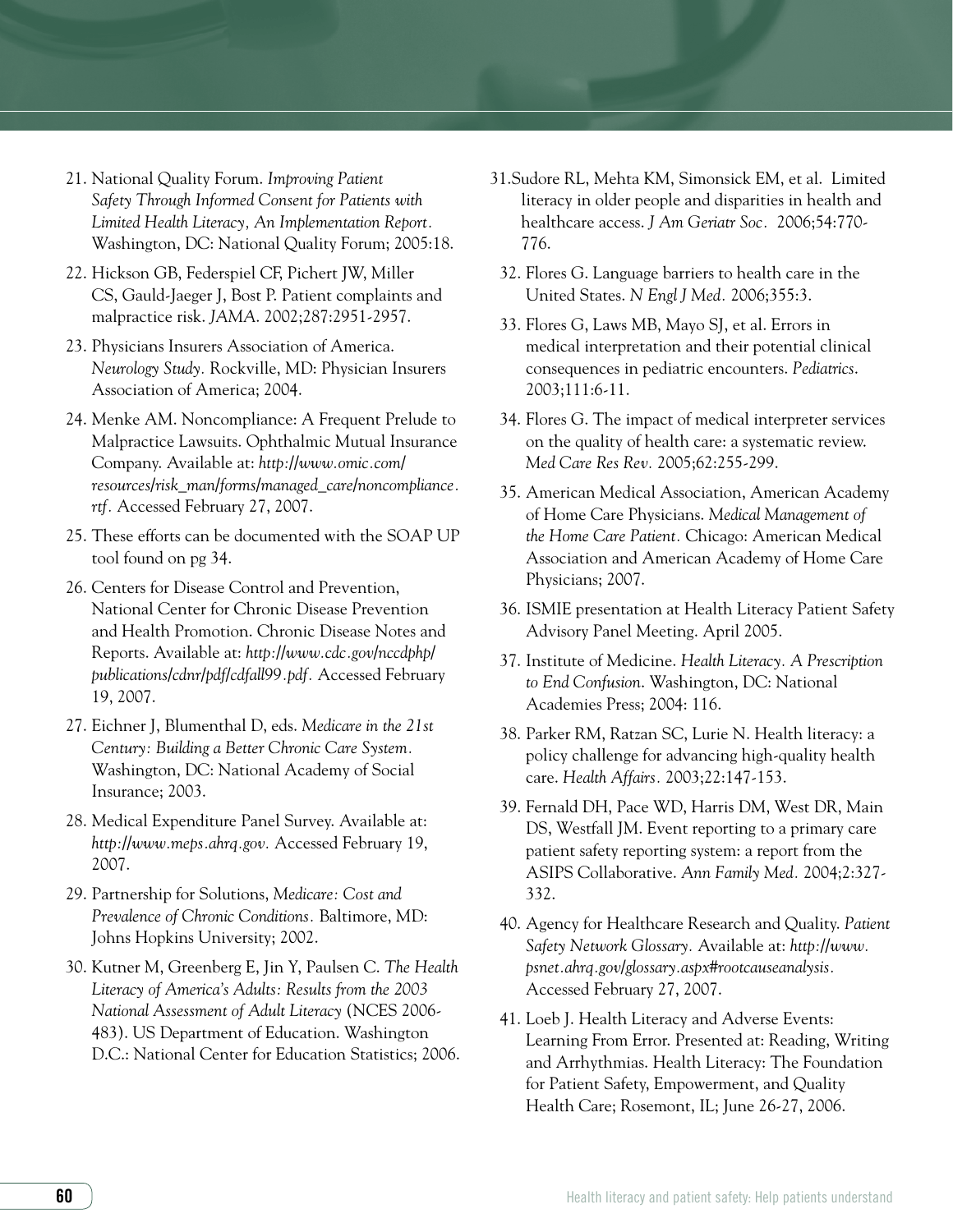- 21. National Quality Forum. *Improving Patient Safety Through Informed Consent for Patients with Limited Health Literacy, An Implementation Report.*  Washington, DC: National Quality Forum; 2005:18.
- 22. Hickson GB, Federspiel CF, Pichert JW, Miller CS, Gauld-Jaeger J, Bost P. Patient complaints and malpractice risk. *JAMA*. 2002;287:2951-2957.
- 23. Physicians Insurers Association of America. *Neurology Study.* Rockville, MD: Physician Insurers Association of America; 2004.
- 24. Menke AM. Noncompliance: A Frequent Prelude to Malpractice Lawsuits. Ophthalmic Mutual Insurance Company. Available at: *http://www.omic.com/ resources/risk\_man/forms/managed\_care/noncompliance. rtf.* Accessed February 27, 2007.
- 25. These efforts can be documented with the SOAP UP tool found on pg 34.
- 26. Centers for Disease Control and Prevention, National Center for Chronic Disease Prevention and Health Promotion. Chronic Disease Notes and Reports. Available at: *http://www.cdc.gov/nccdphp/ publications/cdnr/pdf/cdfall99.pdf.* Accessed February 19, 2007.
- 27. Eichner J, Blumenthal D, eds. *Medicare in the 21st Century: Building a Better Chronic Care System.* Washington, DC: National Academy of Social Insurance; 2003.
- 28. Medical Expenditure Panel Survey. Available at: *http://www.meps.ahrq.gov.* Accessed February 19, 2007.
- 29. Partnership for Solutions, *Medicare: Cost and Prevalence of Chronic Conditions.* Baltimore, MD: Johns Hopkins University; 2002.
- 30. Kutner M, Greenberg E, Jin Y, Paulsen C. *The Health Literacy of America's Adults: Results from the 2003 National Assessment of Adult Literacy* (NCES 2006- 483). US Department of Education. Washington D.C.: National Center for Education Statistics; 2006.
- 31.Sudore RL, Mehta KM, Simonsick EM, et al. Limited literacy in older people and disparities in health and healthcare access. *J Am Geriatr Soc.* 2006;54:770- 776.
	- 32. Flores G. Language barriers to health care in the United States. *N Engl J Med.* 2006;355:3.
	- 33. Flores G, Laws MB, Mayo SJ, et al. Errors in medical interpretation and their potential clinical consequences in pediatric encounters. *Pediatrics*. 2003;111:6-11.
	- 34. Flores G. The impact of medical interpreter services on the quality of health care: a systematic review. *Med Care Res Rev.* 2005;62:255-299.
	- 35. American Medical Association, American Academy of Home Care Physicians. *Medical Management of the Home Care Patient.* Chicago: American Medical Association and American Academy of Home Care Physicians; 2007.
	- 36. ISMIE presentation at Health Literacy Patient Safety Advisory Panel Meeting. April 2005.
	- 37. Institute of Medicine. *Health Literacy. A Prescription to End Confusion*. Washington, DC: National Academies Press; 2004: 116.
	- 38. Parker RM, Ratzan SC, Lurie N. Health literacy: a policy challenge for advancing high-quality health care. *Health Affairs.* 2003;22:147-153.
	- 39. Fernald DH, Pace WD, Harris DM, West DR, Main DS, Westfall JM. Event reporting to a primary care patient safety reporting system: a report from the ASIPS Collaborative. *Ann Family Med.* 2004;2:327- 332.
	- 40. Agency for Healthcare Research and Quality. *Patient Safety Network Glossary.* Available at: *http://www. psnet.ahrq.gov/glossary.aspx#rootcauseanalysis.*  Accessed February 27, 2007.
- 41. Loeb J. Health Literacy and Adverse Events: Learning From Error. Presented at: Reading, Writing and Arrhythmias. Health Literacy: The Foundation for Patient Safety, Empowerment, and Quality Health Care; Rosemont, IL; June 26-27, 2006.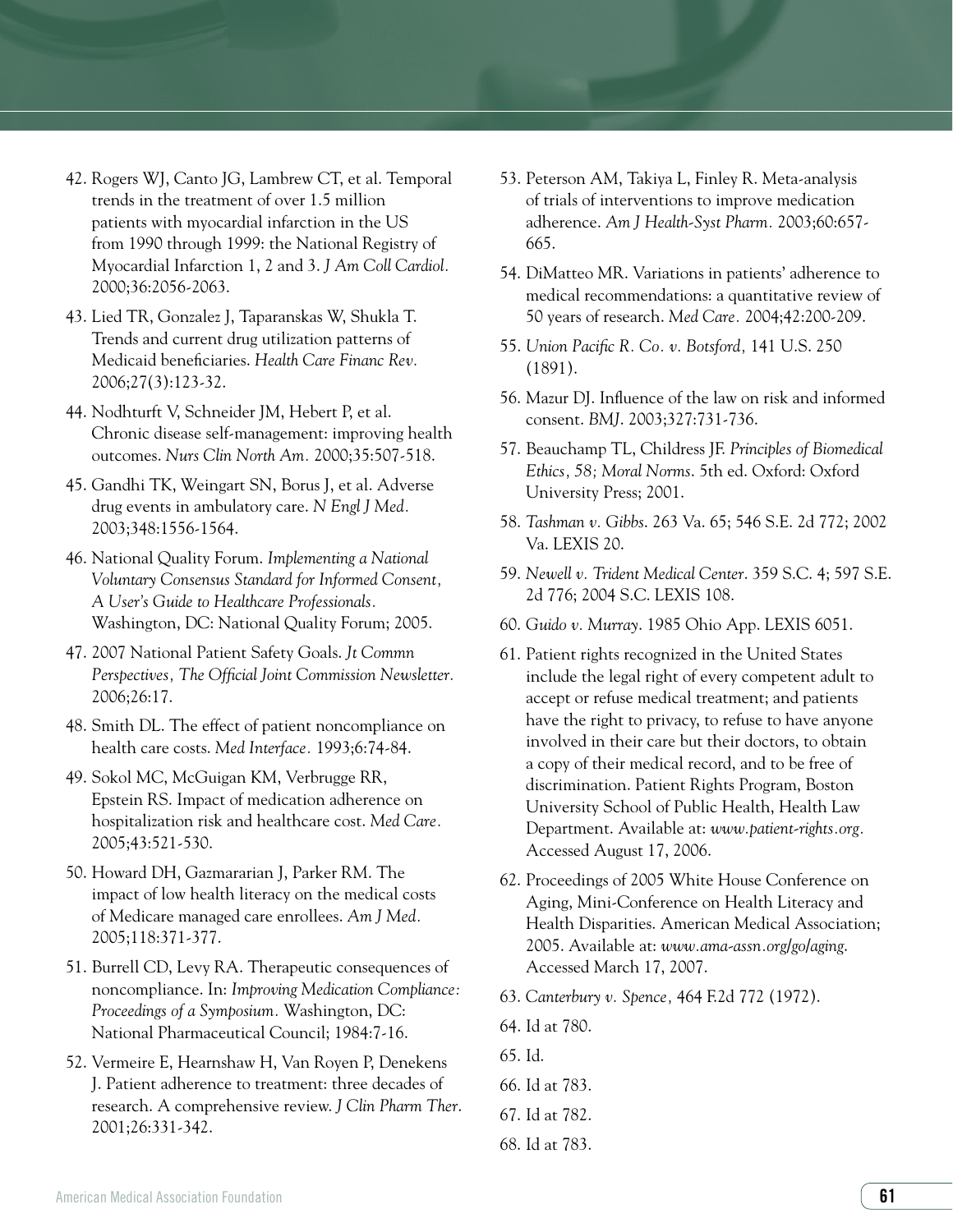- 42. Rogers WJ, Canto JG, Lambrew CT, et al. Temporal trends in the treatment of over 1.5 million patients with myocardial infarction in the US from 1990 through 1999: the National Registry of Myocardial Infarction 1, 2 and 3. *J Am Coll Cardiol.*  2000;36:2056-2063.
- 43. Lied TR, Gonzalez J, Taparanskas W, Shukla T. Trends and current drug utilization patterns of Medicaid beneficiaries. *Health Care Financ Rev.* 2006;27(3):123-32.
- 44. Nodhturft V, Schneider JM, Hebert P, et al. Chronic disease self-management: improving health outcomes. *Nurs Clin North Am.* 2000;35:507-518.
- 45. Gandhi TK, Weingart SN, Borus J, et al. Adverse drug events in ambulatory care. *N Engl J Med.* 2003;348:1556-1564.
- 46. National Quality Forum. *Implementing a National Voluntary Consensus Standard for Informed Consent, A User's Guide to Healthcare Professionals.*  Washington, DC: National Quality Forum; 2005.
- 47. 2007 National Patient Safety Goals. *Jt Commn Perspectives, The Official Joint Commission Newsletter.* 2006;26:17.
- 48. Smith DL. The effect of patient noncompliance on health care costs. *Med Interface.* 1993;6:74-84.
- 49. Sokol MC, McGuigan KM, Verbrugge RR, Epstein RS. Impact of medication adherence on hospitalization risk and healthcare cost. *Med Care.* 2005;43:521-530.
- 50. Howard DH, Gazmararian J, Parker RM. The impact of low health literacy on the medical costs of Medicare managed care enrollees. *Am J Med.*  2005;118:371-377.
- 51. Burrell CD, Levy RA. Therapeutic consequences of noncompliance. In: *Improving Medication Compliance: Proceedings of a Symposium.* Washington, DC: National Pharmaceutical Council; 1984:7-16.
- 52. Vermeire E, Hearnshaw H, Van Royen P, Denekens J. Patient adherence to treatment: three decades of research. A comprehensive review. *J Clin Pharm Ther*. 2001;26:331-342.
- 53. Peterson AM, Takiya L, Finley R. Meta-analysis of trials of interventions to improve medication adherence. *Am J Health-Syst Pharm.* 2003;60:657- 665.
- 54. DiMatteo MR. Variations in patients' adherence to medical recommendations: a quantitative review of 50 years of research. *Med Care.* 2004;42:200-209.
- 55. *Union Pacific R. Co. v. Botsford,* 141 U.S. 250 (1891).
- 56. Mazur DJ. Influence of the law on risk and informed consent. *BMJ*. 2003;327:731-736.
- 57. Beauchamp TL, Childress JF. *Principles of Biomedical Ethics, 58; Moral Norms*. 5th ed. Oxford: Oxford University Press; 2001.
- 58. *Tashman v. Gibbs*. 263 Va. 65; 546 S.E. 2d 772; 2002 Va. LEXIS 20.
- 59. *Newell v. Trident Medical Center*. 359 S.C. 4; 597 S.E. 2d 776; 2004 S.C. LEXIS 108.
- 60. *Guido v. Murray*. 1985 Ohio App. LEXIS 6051.
- 61. Patient rights recognized in the United States include the legal right of every competent adult to accept or refuse medical treatment; and patients have the right to privacy, to refuse to have anyone involved in their care but their doctors, to obtain a copy of their medical record, and to be free of discrimination. Patient Rights Program, Boston University School of Public Health, Health Law Department. Available at: *www.patient-rights.org.* Accessed August 17, 2006.
- 62. Proceedings of 2005 White House Conference on Aging, Mini-Conference on Health Literacy and Health Disparities. American Medical Association; 2005. Available at: *www.ama-assn.org/go/aging*. Accessed March 17, 2007.
- 63. *Canterbury v. Spence,* 464 F.2d 772 (1972).
- 64. Id at 780.
- 65. Id.
- 66. Id at 783.
- 67. Id at 782.
- 68. Id at 783.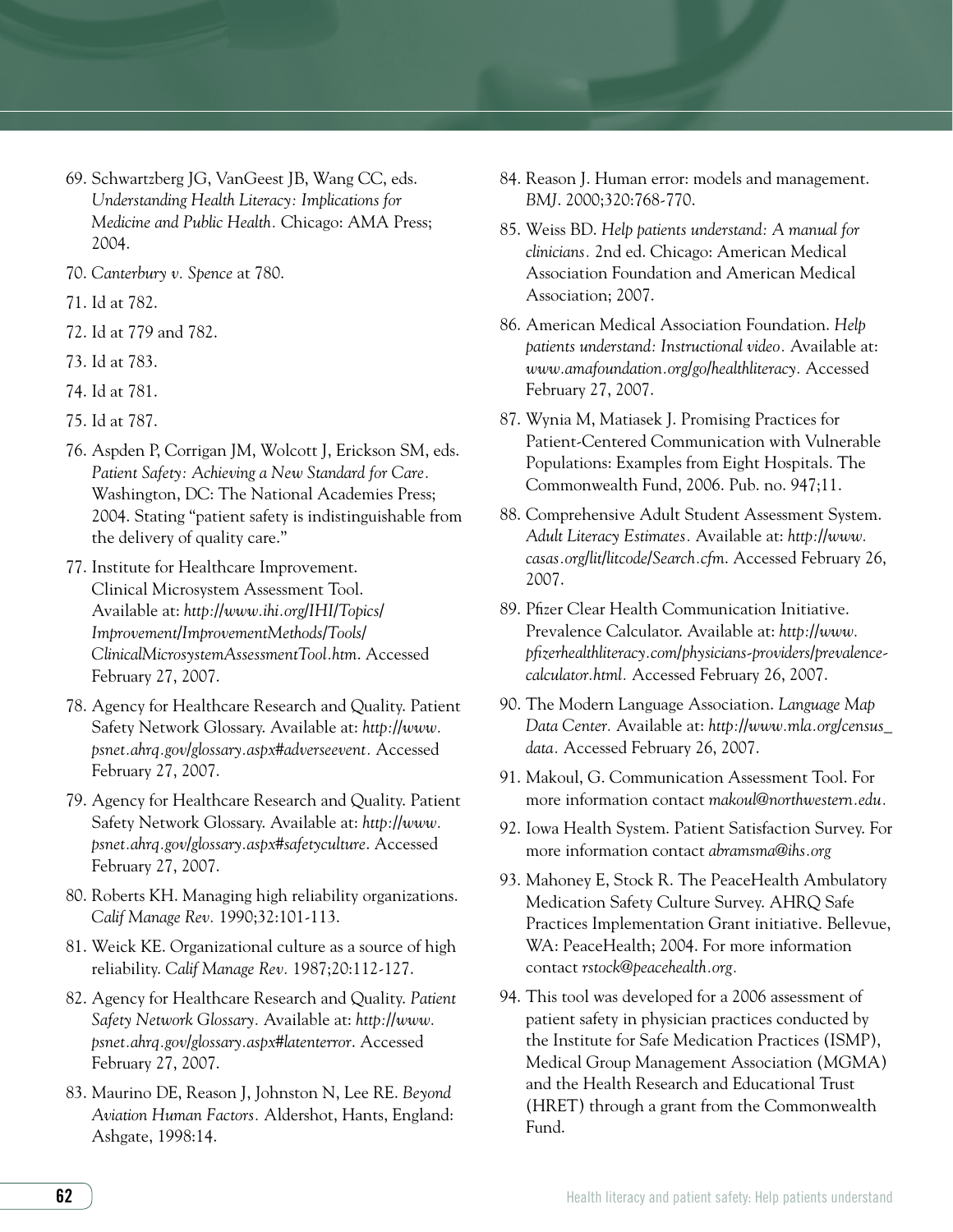- 69. Schwartzberg JG, VanGeest JB, Wang CC, eds. *Understanding Health Literacy: Implications for Medicine and Public Health.* Chicago: AMA Press; 2004.
- 70. *Canterbury v. Spence* at 780.
- 71. Id at 782.
- 72. Id at 779 and 782.
- 73. Id at 783.
- 74. Id at 781.
- 75. Id at 787.
- 76. Aspden P, Corrigan JM, Wolcott J, Erickson SM, eds. *Patient Safety: Achieving a New Standard for Care.*  Washington, DC: The National Academies Press; 2004. Stating "patient safety is indistinguishable from the delivery of quality care."
- 77. Institute for Healthcare Improvement. Clinical Microsystem Assessment Tool. Available at: *http://www.ihi.org/IHI/Topics/ Improvement/ImprovementMethods/Tools/ ClinicalMicrosystemAssessmentTool.htm*. Accessed February 27, 2007.
- 78. Agency for Healthcare Research and Quality. Patient Safety Network Glossary. Available at: *http://www. psnet.ahrq.gov/glossary.aspx#adverseevent.* Accessed February 27, 2007.
- 79. Agency for Healthcare Research and Quality. Patient Safety Network Glossary. Available at: *http://www. psnet.ahrq.gov/glossary.aspx#safetyculture*. Accessed February 27, 2007.
- 80. Roberts KH. Managing high reliability organizations. *Calif Manage Rev.* 1990;32:101-113.
- 81. Weick KE. Organizational culture as a source of high reliability. *Calif Manage Rev.* 1987;20:112-127.
- 82. Agency for Healthcare Research and Quality. *Patient Safety Network Glossary.* Available at: *http://www. psnet.ahrq.gov/glossary.aspx#latenterror*. Accessed February 27, 2007.
- 83. Maurino DE, Reason J, Johnston N, Lee RE. *Beyond Aviation Human Factors.* Aldershot, Hants, England: Ashgate, 1998:14.
- 84. Reason J. Human error: models and management. *BMJ*. 2000;320:768-770.
- 85. Weiss BD. *Help patients understand: A manual for clinicians.* 2nd ed. Chicago: American Medical Association Foundation and American Medical Association; 2007.
- 86. American Medical Association Foundation. *Help patients understand: Instructional video.* Available at: *www.amafoundation.org/go/healthliteracy.* Accessed February 27, 2007.
- 87. Wynia M, Matiasek J. Promising Practices for Patient-Centered Communication with Vulnerable Populations: Examples from Eight Hospitals. The Commonwealth Fund, 2006. Pub. no. 947;11.
- 88. Comprehensive Adult Student Assessment System. *Adult Literacy Estimates.* Available at: *http://www. casas.org/lit/litcode/Search.cfm*. Accessed February 26, 2007.
- 89. Pfizer Clear Health Communication Initiative. Prevalence Calculator. Available at: *http://www. pfizerhealthliteracy.com/physicians-providers/prevalencecalculator.html.* Accessed February 26, 2007.
- 90. The Modern Language Association. *Language Map Data Center.* Available at: *http://www.mla.org/census\_ data.* Accessed February 26, 2007.
- 91. Makoul, G. Communication Assessment Tool. For more information contact *makoul@northwestern.edu.*
- 92. Iowa Health System. Patient Satisfaction Survey. For more information contact *abramsma@ihs.org*
- 93. Mahoney E, Stock R. The PeaceHealth Ambulatory Medication Safety Culture Survey. AHRQ Safe Practices Implementation Grant initiative. Bellevue, WA: PeaceHealth; 2004. For more information contact *rstock@peacehealth.org.*
- 94. This tool was developed for a 2006 assessment of patient safety in physician practices conducted by the Institute for Safe Medication Practices (ISMP), Medical Group Management Association (MGMA) and the Health Research and Educational Trust (HRET) through a grant from the Commonwealth Fund.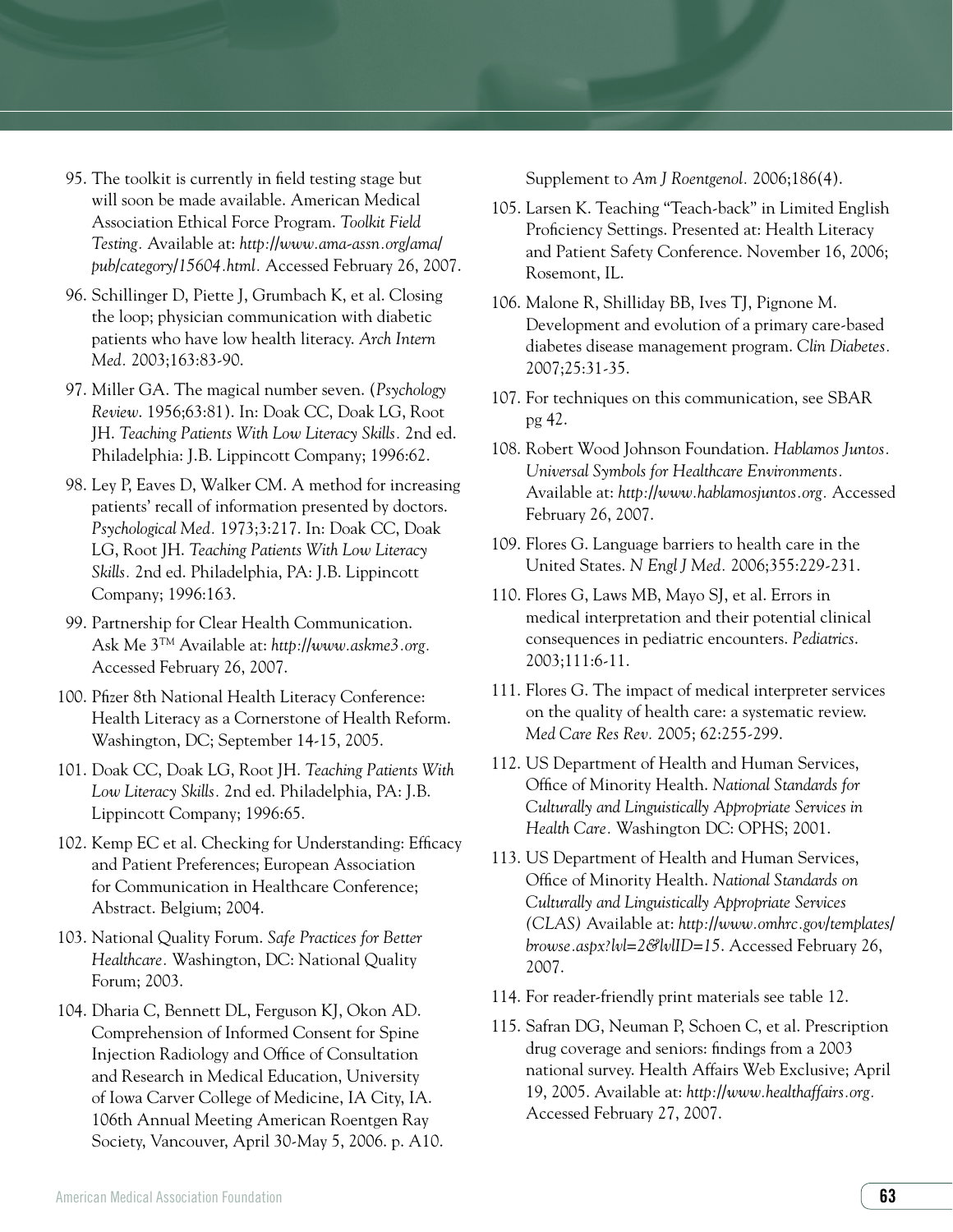- 95. The toolkit is currently in field testing stage but will soon be made available. American Medical Association Ethical Force Program. *Toolkit Field Testing.* Available at: *http://www.ama-assn.org/ama/ pub/category/15604.html.* Accessed February 26, 2007.
- 96. Schillinger D, Piette J, Grumbach K, et al. Closing the loop; physician communication with diabetic patients who have low health literacy. *Arch Intern Med.* 2003;163:83-90.
- 97. Miller GA. The magical number seven. (*Psychology Review*. 1956;63:81). In: Doak CC, Doak LG, Root JH. *Teaching Patients With Low Literacy Skills.* 2nd ed. Philadelphia: J.B. Lippincott Company; 1996:62.
- 98. Ley P, Eaves D, Walker CM. A method for increasing patients' recall of information presented by doctors. *Psychological Med.* 1973;3:217. In: Doak CC, Doak LG, Root JH. *Teaching Patients With Low Literacy Skills.* 2nd ed. Philadelphia, PA: J.B. Lippincott Company; 1996:163.
- 99. Partnership for Clear Health Communication. Ask Me 3TM Available at: *http://www.askme3.org.* Accessed February 26, 2007.
- 100. Pfizer 8th National Health Literacy Conference: Health Literacy as a Cornerstone of Health Reform. Washington, DC; September 14-15, 2005.
- 101. Doak CC, Doak LG, Root JH. *Teaching Patients With Low Literacy Skills.* 2nd ed. Philadelphia, PA: J.B. Lippincott Company; 1996:65.
- 102. Kemp EC et al. Checking for Understanding: Efficacy and Patient Preferences; European Association for Communication in Healthcare Conference; Abstract. Belgium; 2004.
- 103. National Quality Forum. *Safe Practices for Better Healthcare.* Washington, DC: National Quality Forum; 2003.
- 104. Dharia C, Bennett DL, Ferguson KJ, Okon AD. Comprehension of Informed Consent for Spine Injection Radiology and Office of Consultation and Research in Medical Education, University of Iowa Carver College of Medicine, IA City, IA. 106th Annual Meeting American Roentgen Ray Society, Vancouver, April 30-May 5, 2006. p. A10.

Supplement to *Am J Roentgenol.* 2006;186(4).

- 105. Larsen K. Teaching "Teach-back" in Limited English Proficiency Settings. Presented at: Health Literacy and Patient Safety Conference. November 16, 2006; Rosemont, IL.
- 106. Malone R, Shilliday BB, Ives TJ, Pignone M. Development and evolution of a primary care-based diabetes disease management program. *Clin Diabetes.* 2007;25:31-35.
- 107. For techniques on this communication, see SBAR pg 42.
- 108. Robert Wood Johnson Foundation. *Hablamos Juntos. Universal Symbols for Healthcare Environments.* Available at: *http://www.hablamosjuntos.org.* Accessed February 26, 2007.
- 109. Flores G. Language barriers to health care in the United States. *N Engl J Med.* 2006;355:229-231.
- 110. Flores G, Laws MB, Mayo SJ, et al. Errors in medical interpretation and their potential clinical consequences in pediatric encounters. *Pediatrics*. 2003;111:6-11.
- 111. Flores G. The impact of medical interpreter services on the quality of health care: a systematic review. *Med Care Res Rev.* 2005; 62:255-299.
- 112. US Department of Health and Human Services, Office of Minority Health. *National Standards for Culturally and Linguistically Appropriate Services in Health Care.* Washington DC: OPHS; 2001.
- 113. US Department of Health and Human Services, Office of Minority Health. *National Standards on Culturally and Linguistically Appropriate Services (CLAS)* Available at: *http://www.omhrc.gov/templates/ browse.aspx?lvl=2&lvlID=15*. Accessed February 26, 2007.
- 114. For reader-friendly print materials see table 12.
- 115. Safran DG, Neuman P, Schoen C, et al. Prescription drug coverage and seniors: findings from a 2003 national survey. Health Affairs Web Exclusive; April 19, 2005. Available at: *http://www.healthaffairs.org.* Accessed February 27, 2007.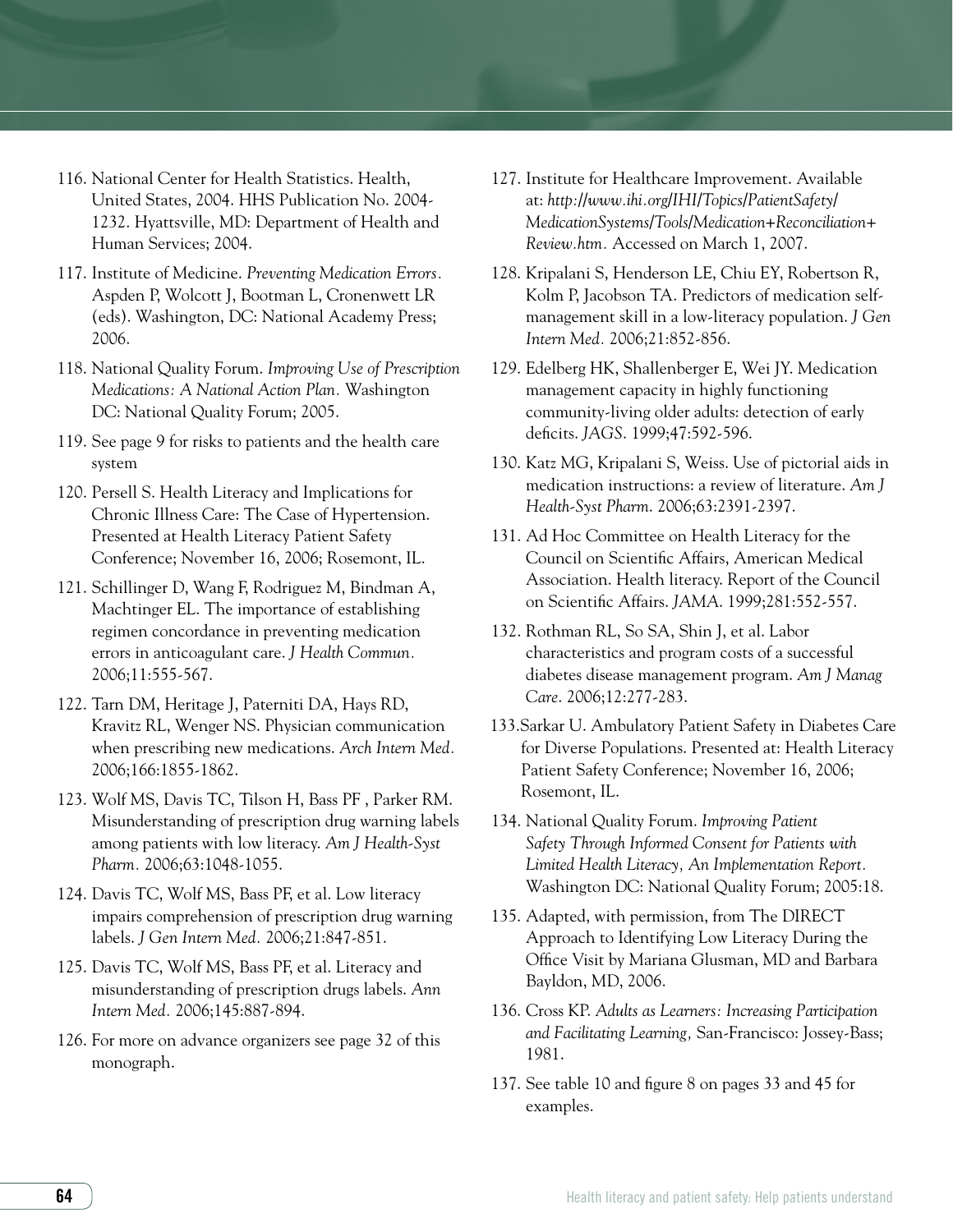- 116. National Center for Health Statistics. Health, United States, 2004. HHS Publication No. 2004- 1232. Hyattsville, MD: Department of Health and Human Services; 2004.
- 117. Institute of Medicine. *Preventing Medication Errors.*  Aspden P, Wolcott J, Bootman L, Cronenwett LR (eds). Washington, DC: National Academy Press; 2006.
- 118. National Quality Forum. *Improving Use of Prescription Medications: A National Action Plan.* Washington DC: National Quality Forum; 2005.
- 119. See page 9 for risks to patients and the health care system
- 120. Persell S. Health Literacy and Implications for Chronic Illness Care: The Case of Hypertension. Presented at Health Literacy Patient Safety Conference; November 16, 2006; Rosemont, IL.
- 121. Schillinger D, Wang F, Rodriguez M, Bindman A, Machtinger EL. The importance of establishing regimen concordance in preventing medication errors in anticoagulant care. *J Health Commun.* 2006;11:555-567.
- 122. Tarn DM, Heritage J, Paterniti DA, Hays RD, Kravitz RL, Wenger NS. Physician communication when prescribing new medications. *Arch Intern Med.*  2006;166:1855-1862.
- 123. Wolf MS, Davis TC, Tilson H, Bass PF , Parker RM. Misunderstanding of prescription drug warning labels among patients with low literacy. *Am J Health-Syst Pharm.* 2006;63:1048-1055.
- 124. Davis TC, Wolf MS, Bass PF, et al. Low literacy impairs comprehension of prescription drug warning labels. *J Gen Intern Med.* 2006;21:847-851.
- 125. Davis TC, Wolf MS, Bass PF, et al. Literacy and misunderstanding of prescription drugs labels. *Ann Intern Med.* 2006;145:887-894.
- 126. For more on advance organizers see page 32 of this monograph.
- 127. Institute for Healthcare Improvement. Available at: *http://www.ihi.org/IHI/Topics/PatientSafety/ MedicationSystems/Tools/Medication+Reconciliation+ Review.htm.* Accessed on March 1, 2007.
- 128. Kripalani S, Henderson LE, Chiu EY, Robertson R, Kolm P, Jacobson TA. Predictors of medication selfmanagement skill in a low-literacy population. *J Gen Intern Med.* 2006;21:852-856.
- 129. Edelberg HK, Shallenberger E, Wei JY. Medication management capacity in highly functioning community-living older adults: detection of early deficits. *JAGS*. 1999;47:592-596.
- 130. Katz MG, Kripalani S, Weiss. Use of pictorial aids in medication instructions: a review of literature. *Am J Health-Syst Pharm*. 2006;63:2391-2397.
- 131. Ad Hoc Committee on Health Literacy for the Council on Scientific Affairs, American Medical Association. Health literacy. Report of the Council on Scientific Affairs. *JAMA*. 1999;281:552-557.
- 132. Rothman RL, So SA, Shin J, et al. Labor characteristics and program costs of a successful diabetes disease management program. *Am J Manag Care*. 2006;12:277-283.
- 133.Sarkar U. Ambulatory Patient Safety in Diabetes Care for Diverse Populations. Presented at: Health Literacy Patient Safety Conference; November 16, 2006; Rosemont, IL.
- 134. National Quality Forum. *Improving Patient Safety Through Informed Consent for Patients with Limited Health Literacy, An Implementation Report.*  Washington DC: National Quality Forum; 2005:18.
- 135. Adapted, with permission, from The DIRECT Approach to Identifying Low Literacy During the Office Visit by Mariana Glusman, MD and Barbara Bayldon, MD, 2006.
- 136. Cross KP. *Adults as Learners: Increasing Participation and Facilitating Learning,* San-Francisco: Jossey-Bass; 1981.
- 137. See table 10 and figure 8 on pages 33 and 45 for examples.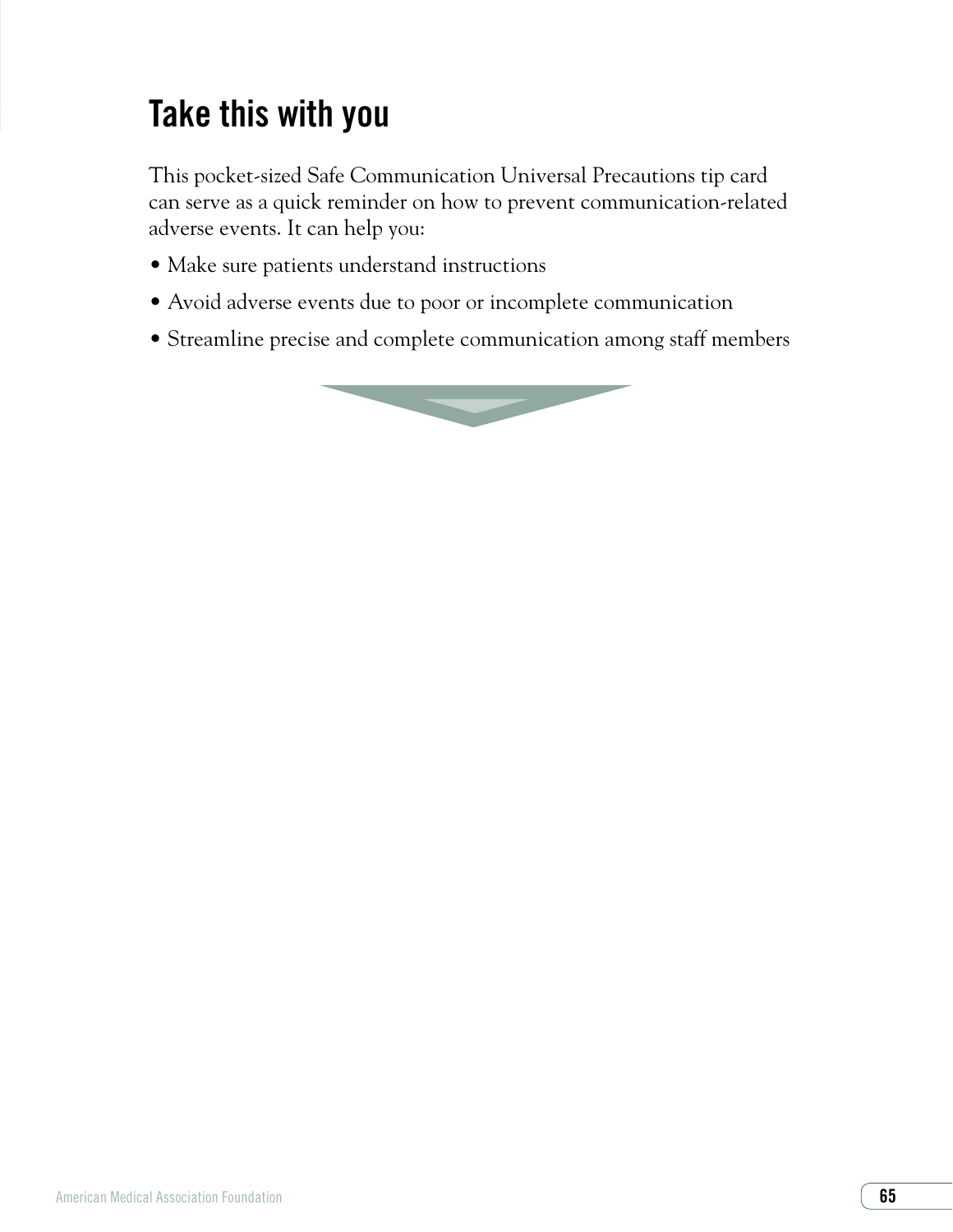# Take this with you

This pocket-sized Safe Communication Universal Precautions tip card can serve as a quick reminder on how to prevent communication-related adverse events. It can help you:

- Make sure patients understand instructions
- Avoid adverse events due to poor or incomplete communication
- Streamline precise and complete communication among staff members